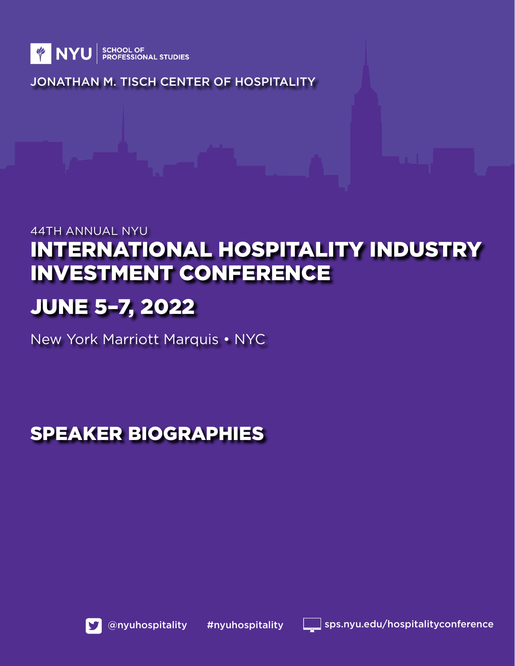

JONATHAN M. TISCH CENTER OF HOSPITALITY

# 44TH ANNUAL NYU INTERNATIONAL HOSPITALITY INDUSTRY INVESTMENT CONFERENCE

# JUNE 5–7, 2022

New York Marriott Marquis • NYC

# SPEAKER BIOGRAPHIES



@nyuhospitality #nyuhospitality sps.nyu.edu/hospitalityconference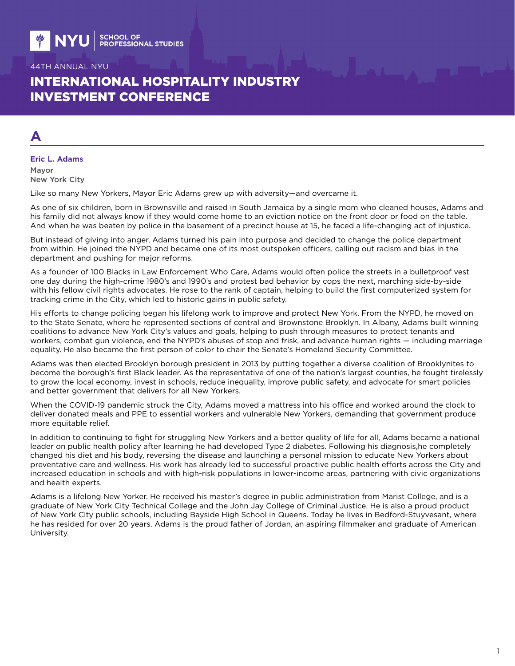# INTERNATIONAL HOSPITALITY INDUSTRY INVESTMENT CONFERENCE

# **A**

# **Eric L. Adams**

Mayor New York City

Like so many New Yorkers, Mayor Eric Adams grew up with adversity—and overcame it.

As one of six children, born in Brownsville and raised in South Jamaica by a single mom who cleaned houses, Adams and his family did not always know if they would come home to an eviction notice on the front door or food on the table. And when he was beaten by police in the basement of a precinct house at 15, he faced a life-changing act of injustice.

But instead of giving into anger, Adams turned his pain into purpose and decided to change the police department from within. He joined the NYPD and became one of its most outspoken officers, calling out racism and bias in the department and pushing for major reforms.

As a founder of 100 Blacks in Law Enforcement Who Care, Adams would often police the streets in a bulletproof vest one day during the high-crime 1980's and 1990's and protest bad behavior by cops the next, marching side-by-side with his fellow civil rights advocates. He rose to the rank of captain, helping to build the first computerized system for tracking crime in the City, which led to historic gains in public safety.

His efforts to change policing began his lifelong work to improve and protect New York. From the NYPD, he moved on to the State Senate, where he represented sections of central and Brownstone Brooklyn. In Albany, Adams built winning coalitions to advance New York City's values and goals, helping to push through measures to protect tenants and workers, combat gun violence, end the NYPD's abuses of stop and frisk, and advance human rights — including marriage equality. He also became the first person of color to chair the Senate's Homeland Security Committee.

Adams was then elected Brooklyn borough president in 2013 by putting together a diverse coalition of Brooklynites to become the borough's first Black leader. As the representative of one of the nation's largest counties, he fought tirelessly to grow the local economy, invest in schools, reduce inequality, improve public safety, and advocate for smart policies and better government that delivers for all New Yorkers.

When the COVID-19 pandemic struck the City, Adams moved a mattress into his office and worked around the clock to deliver donated meals and PPE to essential workers and vulnerable New Yorkers, demanding that government produce more equitable relief.

In addition to continuing to fight for struggling New Yorkers and a better quality of life for all, Adams became a national leader on public health policy after learning he had developed Type 2 diabetes. Following his diagnosis,he completely changed his diet and his body, reversing the disease and launching a personal mission to educate New Yorkers about preventative care and wellness. His work has already led to successful proactive public health efforts across the City and increased education in schools and with high-risk populations in lower-income areas, partnering with civic organizations and health experts.

Adams is a lifelong New Yorker. He received his master's degree in public administration from Marist College, and is a graduate of New York City Technical College and the John Jay College of Criminal Justice. He is also a proud product of New York City public schools, including Bayside High School in Queens. Today he lives in Bedford-Stuyvesant, where he has resided for over 20 years. Adams is the proud father of Jordan, an aspiring filmmaker and graduate of American University.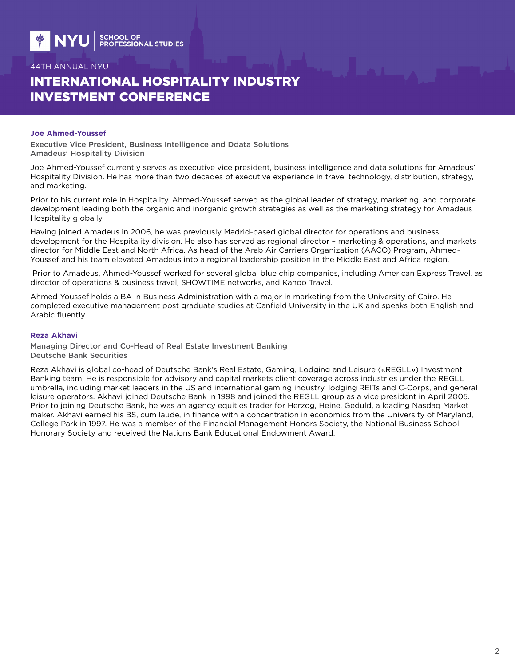# INTERNATIONAL HOSPITALITY INDUSTRY INVESTMENT CONFERENCE

#### **Joe Ahmed-Youssef**

Executive Vice President, Business Intelligence and Ddata Solutions Amadeus' Hospitality Division

Joe Ahmed-Youssef currently serves as executive vice president, business intelligence and data solutions for Amadeus' Hospitality Division. He has more than two decades of executive experience in travel technology, distribution, strategy, and marketing.

Prior to his current role in Hospitality, Ahmed-Youssef served as the global leader of strategy, marketing, and corporate development leading both the organic and inorganic growth strategies as well as the marketing strategy for Amadeus Hospitality globally.

Having joined Amadeus in 2006, he was previously Madrid-based global director for operations and business development for the Hospitality division. He also has served as regional director – marketing & operations, and markets director for Middle East and North Africa. As head of the Arab Air Carriers Organization (AACO) Program, Ahmed-Youssef and his team elevated Amadeus into a regional leadership position in the Middle East and Africa region.

 Prior to Amadeus, Ahmed-Youssef worked for several global blue chip companies, including American Express Travel, as director of operations & business travel, SHOWTIME networks, and Kanoo Travel.

Ahmed-Youssef holds a BA in Business Administration with a major in marketing from the University of Cairo. He completed executive management post graduate studies at Canfield University in the UK and speaks both English and Arabic fluently.

#### **Reza Akhavi**

Managing Director and Co-Head of Real Estate Investment Banking Deutsche Bank Securities

Reza Akhavi is global co-head of Deutsche Bank's Real Estate, Gaming, Lodging and Leisure («REGLL») Investment Banking team. He is responsible for advisory and capital markets client coverage across industries under the REGLL umbrella, including market leaders in the US and international gaming industry, lodging REITs and C-Corps, and general leisure operators. Akhavi joined Deutsche Bank in 1998 and joined the REGLL group as a vice president in April 2005. Prior to joining Deutsche Bank, he was an agency equities trader for Herzog, Heine, Geduld, a leading Nasdaq Market maker. Akhavi earned his BS, cum laude, in finance with a concentration in economics from the University of Maryland, College Park in 1997. He was a member of the Financial Management Honors Society, the National Business School Honorary Society and received the Nations Bank Educational Endowment Award.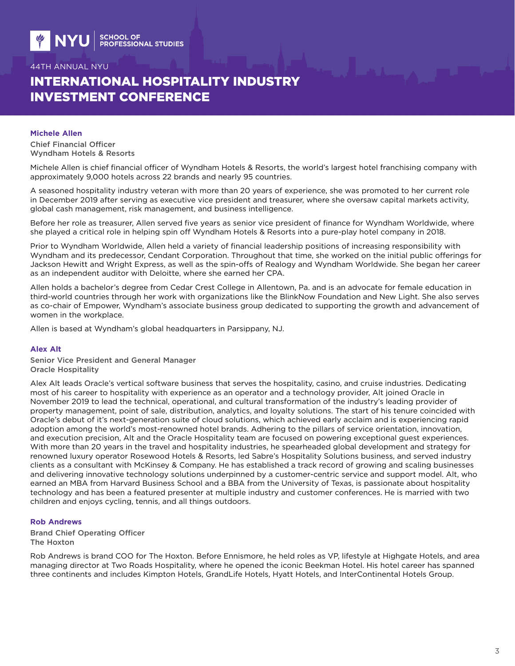# INTERNATIONAL HOSPITALITY INDUSTRY INVESTMENT CONFERENCE

#### **Michele Allen**

Chief Financial Officer Wyndham Hotels & Resorts

Michele Allen is chief financial officer of Wyndham Hotels & Resorts, the world's largest hotel franchising company with approximately 9,000 hotels across 22 brands and nearly 95 countries.

A seasoned hospitality industry veteran with more than 20 years of experience, she was promoted to her current role in December 2019 after serving as executive vice president and treasurer, where she oversaw capital markets activity, global cash management, risk management, and business intelligence.

Before her role as treasurer, Allen served five years as senior vice president of finance for Wyndham Worldwide, where she played a critical role in helping spin off Wyndham Hotels & Resorts into a pure-play hotel company in 2018.

Prior to Wyndham Worldwide, Allen held a variety of financial leadership positions of increasing responsibility with Wyndham and its predecessor, Cendant Corporation. Throughout that time, she worked on the initial public offerings for Jackson Hewitt and Wright Express, as well as the spin-offs of Realogy and Wyndham Worldwide. She began her career as an independent auditor with Deloitte, where she earned her CPA.

Allen holds a bachelor's degree from Cedar Crest College in Allentown, Pa. and is an advocate for female education in third-world countries through her work with organizations like the BlinkNow Foundation and New Light. She also serves as co-chair of Empower, Wyndham's associate business group dedicated to supporting the growth and advancement of women in the workplace.

Allen is based at Wyndham's global headquarters in Parsippany, NJ.

#### **Alex Alt**

Senior Vice President and General Manager Oracle Hospitality

Alex Alt leads Oracle's vertical software business that serves the hospitality, casino, and cruise industries. Dedicating most of his career to hospitality with experience as an operator and a technology provider, Alt joined Oracle in November 2019 to lead the technical, operational, and cultural transformation of the industry's leading provider of property management, point of sale, distribution, analytics, and loyalty solutions. The start of his tenure coincided with Oracle's debut of it's next-generation suite of cloud solutions, which achieved early acclaim and is experiencing rapid adoption among the world's most-renowned hotel brands. Adhering to the pillars of service orientation, innovation, and execution precision, Alt and the Oracle Hospitality team are focused on powering exceptional guest experiences. With more than 20 years in the travel and hospitality industries, he spearheaded global development and strategy for renowned luxury operator Rosewood Hotels & Resorts, led Sabre's Hospitality Solutions business, and served industry clients as a consultant with McKinsey & Company. He has established a track record of growing and scaling businesses and delivering innovative technology solutions underpinned by a customer-centric service and support model. Alt, who earned an MBA from Harvard Business School and a BBA from the University of Texas, is passionate about hospitality technology and has been a featured presenter at multiple industry and customer conferences. He is married with two children and enjoys cycling, tennis, and all things outdoors.

#### **Rob Andrews**

Brand Chief Operating Officer The Hoxton

Rob Andrews is brand COO for The Hoxton. Before Ennismore, he held roles as VP, lifestyle at Highgate Hotels, and area managing director at Two Roads Hospitality, where he opened the iconic Beekman Hotel. His hotel career has spanned three continents and includes Kimpton Hotels, GrandLife Hotels, Hyatt Hotels, and InterContinental Hotels Group.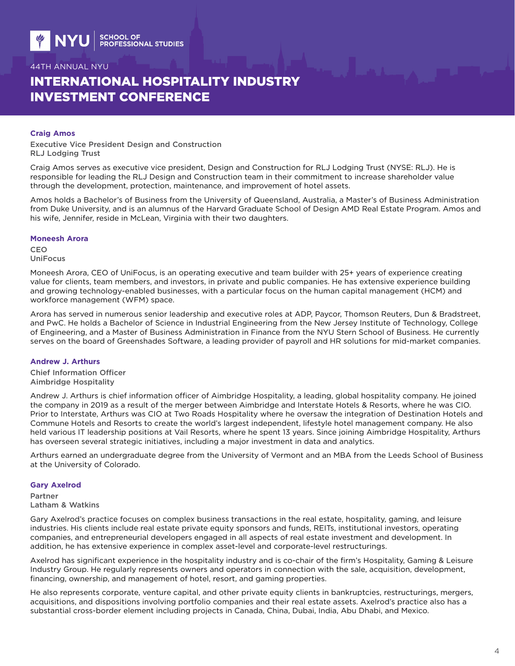# INTERNATIONAL HOSPITALITY INDUSTRY INVESTMENT CONFERENCE

#### **Craig Amos**

Executive Vice President Design and Construction RLJ Lodging Trust

Craig Amos serves as executive vice president, Design and Construction for RLJ Lodging Trust (NYSE: RLJ). He is responsible for leading the RLJ Design and Construction team in their commitment to increase shareholder value through the development, protection, maintenance, and improvement of hotel assets.

Amos holds a Bachelor's of Business from the University of Queensland, Australia, a Master's of Business Administration from Duke University, and is an alumnus of the Harvard Graduate School of Design AMD Real Estate Program. Amos and his wife, Jennifer, reside in McLean, Virginia with their two daughters.

#### **Moneesh Arora**

CEO UniFocus

Moneesh Arora, CEO of UniFocus, is an operating executive and team builder with 25+ years of experience creating value for clients, team members, and investors, in private and public companies. He has extensive experience building and growing technology-enabled businesses, with a particular focus on the human capital management (HCM) and workforce management (WFM) space.

Arora has served in numerous senior leadership and executive roles at ADP, Paycor, Thomson Reuters, Dun & Bradstreet, and PwC. He holds a Bachelor of Science in Industrial Engineering from the New Jersey Institute of Technology, College of Engineering, and a Master of Business Administration in Finance from the NYU Stern School of Business. He currently serves on the board of Greenshades Software, a leading provider of payroll and HR solutions for mid-market companies.

### **Andrew J. Arthurs**

Chief Information Officer Aimbridge Hospitality

Andrew J. Arthurs is chief information officer of Aimbridge Hospitality, a leading, global hospitality company. He joined the company in 2019 as a result of the merger between Aimbridge and Interstate Hotels & Resorts, where he was CIO. Prior to Interstate, Arthurs was CIO at Two Roads Hospitality where he oversaw the integration of Destination Hotels and Commune Hotels and Resorts to create the world's largest independent, lifestyle hotel management company. He also held various IT leadership positions at Vail Resorts, where he spent 13 years. Since joining Aimbridge Hospitality, Arthurs has overseen several strategic initiatives, including a major investment in data and analytics.

Arthurs earned an undergraduate degree from the University of Vermont and an MBA from the Leeds School of Business at the University of Colorado.

#### **Gary Axelrod**

Partner Latham & Watkins

Gary Axelrod's practice focuses on complex business transactions in the real estate, hospitality, gaming, and leisure industries. His clients include real estate private equity sponsors and funds, REITs, institutional investors, operating companies, and entrepreneurial developers engaged in all aspects of real estate investment and development. In addition, he has extensive experience in complex asset-level and corporate-level restructurings.

Axelrod has significant experience in the hospitality industry and is co-chair of the firm's Hospitality, Gaming & Leisure Industry Group. He regularly represents owners and operators in connection with the sale, acquisition, development, financing, ownership, and management of hotel, resort, and gaming properties.

He also represents corporate, venture capital, and other private equity clients in bankruptcies, restructurings, mergers, acquisitions, and dispositions involving portfolio companies and their real estate assets. Axelrod's practice also has a substantial cross-border element including projects in Canada, China, Dubai, India, Abu Dhabi, and Mexico.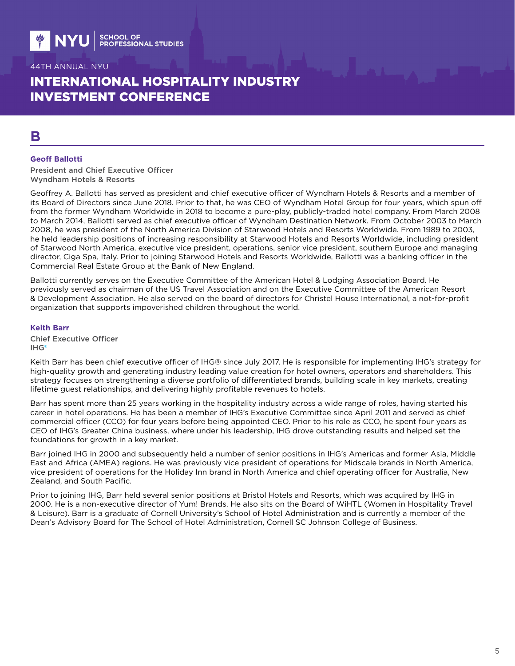# INTERNATIONAL HOSPITALITY INDUSTRY INVESTMENT CONFERENCE

# **B**

### **Geoff Ballotti**

President and Chief Executive Officer Wyndham Hotels & Resorts

Geoffrey A. Ballotti has served as president and chief executive officer of Wyndham Hotels & Resorts and a member of its Board of Directors since June 2018. Prior to that, he was CEO of Wyndham Hotel Group for four years, which spun off from the former Wyndham Worldwide in 2018 to become a pure-play, publicly-traded hotel company. From March 2008 to March 2014, Ballotti served as chief executive officer of Wyndham Destination Network. From October 2003 to March 2008, he was president of the North America Division of Starwood Hotels and Resorts Worldwide. From 1989 to 2003, he held leadership positions of increasing responsibility at Starwood Hotels and Resorts Worldwide, including president of Starwood North America, executive vice president, operations, senior vice president, southern Europe and managing director, Ciga Spa, Italy. Prior to joining Starwood Hotels and Resorts Worldwide, Ballotti was a banking officer in the Commercial Real Estate Group at the Bank of New England.

Ballotti currently serves on the Executive Committee of the American Hotel & Lodging Association Board. He previously served as chairman of the US Travel Association and on the Executive Committee of the American Resort & Development Association. He also served on the board of directors for Christel House International, a not-for-profit organization that supports impoverished children throughout the world.

#### **Keith Barr**

Chief Executive Officer IHG®

Keith Barr has been chief executive officer of IHG® since July 2017. He is responsible for implementing IHG's strategy for high-quality growth and generating industry leading value creation for hotel owners, operators and shareholders. This strategy focuses on strengthening a diverse portfolio of differentiated brands, building scale in key markets, creating lifetime guest relationships, and delivering highly profitable revenues to hotels.

Barr has spent more than 25 years working in the hospitality industry across a wide range of roles, having started his career in hotel operations. He has been a member of IHG's Executive Committee since April 2011 and served as chief commercial officer (CCO) for four years before being appointed CEO. Prior to his role as CCO, he spent four years as CEO of IHG's Greater China business, where under his leadership, IHG drove outstanding results and helped set the foundations for growth in a key market.

Barr joined IHG in 2000 and subsequently held a number of senior positions in IHG's Americas and former Asia, Middle East and Africa (AMEA) regions. He was previously vice president of operations for Midscale brands in North America, vice president of operations for the Holiday Inn brand in North America and chief operating officer for Australia, New Zealand, and South Pacific.

Prior to joining IHG, Barr held several senior positions at Bristol Hotels and Resorts, which was acquired by IHG in 2000. He is a non-executive director of Yum! Brands. He also sits on the Board of WiHTL (Women in Hospitality Travel & Leisure). Barr is a graduate of Cornell University's School of Hotel Administration and is currently a member of the Dean's Advisory Board for The School of Hotel Administration, Cornell SC Johnson College of Business.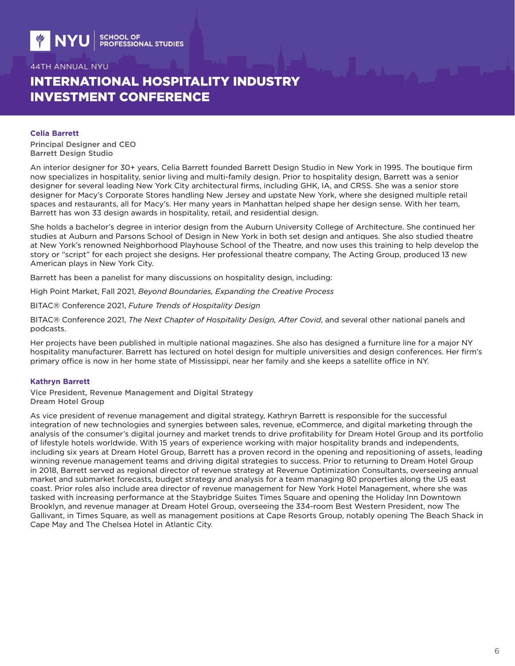# INTERNATIONAL HOSPITALITY INDUSTRY INVESTMENT CONFERENCE

#### **Celia Barrett**

Principal Designer and CEO Barrett Design Studio

An interior designer for 30+ years, Celia Barrett founded Barrett Design Studio in New York in 1995. The boutique firm now specializes in hospitality, senior living and multi-family design. Prior to hospitality design, Barrett was a senior designer for several leading New York City architectural firms, including GHK, IA, and CRSS. She was a senior store designer for Macy's Corporate Stores handling New Jersey and upstate New York, where she designed multiple retail spaces and restaurants, all for Macy's. Her many years in Manhattan helped shape her design sense. With her team, Barrett has won 33 design awards in hospitality, retail, and residential design.

She holds a bachelor's degree in interior design from the Auburn University College of Architecture. She continued her studies at Auburn and Parsons School of Design in New York in both set design and antiques. She also studied theatre at New York's renowned Neighborhood Playhouse School of the Theatre, and now uses this training to help develop the story or "script" for each project she designs. Her professional theatre company, The Acting Group, produced 13 new American plays in New York City.

Barrett has been a panelist for many discussions on hospitality design, including:

High Point Market, Fall 2021, *Beyond Boundaries, Expanding the Creative Process*

BITAC® Conference 2021, *Future Trends of Hospitality Design*

BITAC® Conference 2021, *The Next Chapter of Hospitality Design, After Covid*, and several other national panels and podcasts.

Her projects have been published in multiple national magazines. She also has designed a furniture line for a major NY hospitality manufacturer. Barrett has lectured on hotel design for multiple universities and design conferences. Her firm's primary office is now in her home state of Mississippi, near her family and she keeps a satellite office in NY.

### **Kathryn Barrett**

Vice President, Revenue Management and Digital Strategy Dream Hotel Group

As vice president of revenue management and digital strategy, Kathryn Barrett is responsible for the successful integration of new technologies and synergies between sales, revenue, eCommerce, and digital marketing through the analysis of the consumer's digital journey and market trends to drive profitability for Dream Hotel Group and its portfolio of lifestyle hotels worldwide. With 15 years of experience working with major hospitality brands and independents, including six years at Dream Hotel Group, Barrett has a proven record in the opening and repositioning of assets, leading winning revenue management teams and driving digital strategies to success. Prior to returning to Dream Hotel Group in 2018, Barrett served as regional director of revenue strategy at Revenue Optimization Consultants, overseeing annual market and submarket forecasts, budget strategy and analysis for a team managing 80 properties along the US east coast. Prior roles also include area director of revenue management for New York Hotel Management, where she was tasked with increasing performance at the Staybridge Suites Times Square and opening the Holiday Inn Downtown Brooklyn, and revenue manager at Dream Hotel Group, overseeing the 334-room Best Western President, now The Gallivant, in Times Square, as well as management positions at Cape Resorts Group, notably opening The Beach Shack in Cape May and The Chelsea Hotel in Atlantic City.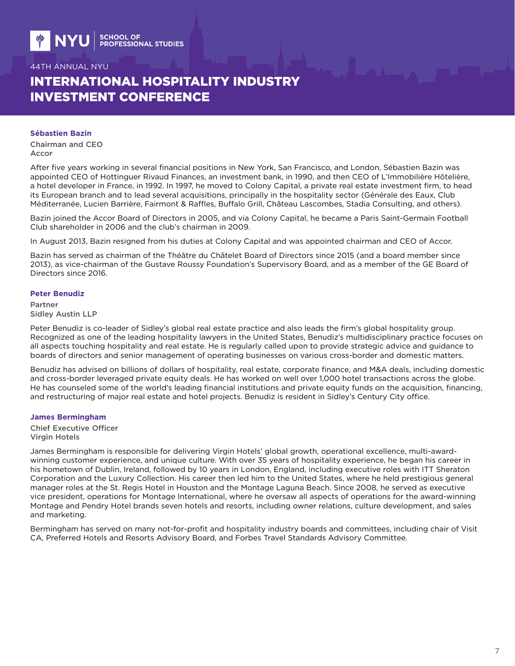# INTERNATIONAL HOSPITALITY INDUSTRY INVESTMENT CONFERENCE

#### **Sébastien Bazin**

Chairman and CEO Accor

After five years working in several financial positions in New York, San Francisco, and London, Sébastien Bazin was appointed CEO of Hottinguer Rivaud Finances, an investment bank, in 1990, and then CEO of L'Immobilière Hôtelière, a hotel developer in France, in 1992. In 1997, he moved to Colony Capital, a private real estate investment firm, to head its European branch and to lead several acquisitions, principally in the hospitality sector (Générale des Eaux, Club Méditerranée, Lucien Barrière, Fairmont & Raffles, Buffalo Grill, Château Lascombes, Stadia Consulting, and others).

Bazin joined the Accor Board of Directors in 2005, and via Colony Capital, he became a Paris Saint-Germain Football Club shareholder in 2006 and the club's chairman in 2009.

In August 2013, Bazin resigned from his duties at Colony Capital and was appointed chairman and CEO of Accor.

Bazin has served as chairman of the Théâtre du Châtelet Board of Directors since 2015 (and a board member since 2013), as vice-chairman of the Gustave Roussy Foundation's Supervisory Board, and as a member of the GE Board of Directors since 2016.

#### **Peter Benudiz**

Partner Sidley Austin LLP

Peter Benudiz is co-leader of Sidley's global real estate practice and also leads the firm's global hospitality group. Recognized as one of the leading hospitality lawyers in the United States, Benudiz's multidisciplinary practice focuses on all aspects touching hospitality and real estate. He is regularly called upon to provide strategic advice and guidance to boards of directors and senior management of operating businesses on various cross-border and domestic matters.

Benudiz has advised on billions of dollars of hospitality, real estate, corporate finance, and M&A deals, including domestic and cross-border leveraged private equity deals. He has worked on well over 1,000 hotel transactions across the globe. He has counseled some of the world's leading financial institutions and private equity funds on the acquisition, financing, and restructuring of major real estate and hotel projects. Benudiz is resident in Sidley's Century City office.

#### **James Bermingham**

Chief Executive Officer Virgin Hotels

James Bermingham is responsible for delivering Virgin Hotels' global growth, operational excellence, multi-awardwinning customer experience, and unique culture. With over 35 years of hospitality experience, he began his career in his hometown of Dublin, Ireland, followed by 10 years in London, England, including executive roles with ITT Sheraton Corporation and the Luxury Collection. His career then led him to the United States, where he held prestigious general manager roles at the St. Regis Hotel in Houston and the Montage Laguna Beach. Since 2008, he served as executive vice president, operations for Montage International, where he oversaw all aspects of operations for the award-winning Montage and Pendry Hotel brands seven hotels and resorts, including owner relations, culture development, and sales and marketing.

Bermingham has served on many not-for-profit and hospitality industry boards and committees, including chair of Visit CA, Preferred Hotels and Resorts Advisory Board, and Forbes Travel Standards Advisory Committee.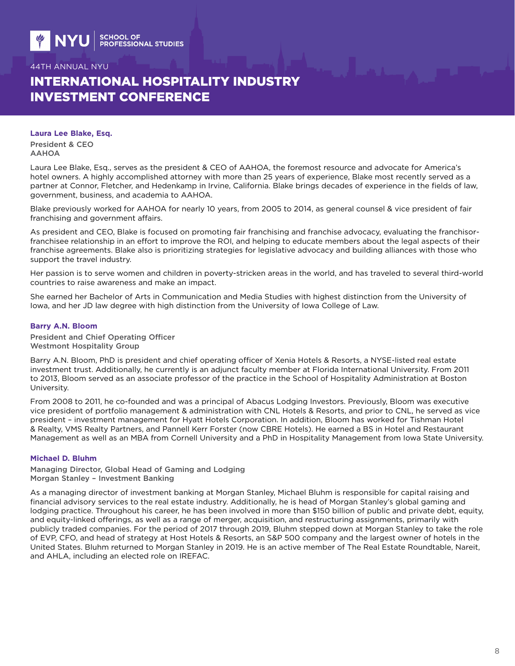# INTERNATIONAL HOSPITALITY INDUSTRY INVESTMENT CONFERENCE

#### **Laura Lee Blake, Esq.**

President & CEO AAHOA

Laura Lee Blake, Esq., serves as the president & CEO of AAHOA, the foremost resource and advocate for America's hotel owners. A highly accomplished attorney with more than 25 years of experience, Blake most recently served as a partner at Connor, Fletcher, and Hedenkamp in Irvine, California. Blake brings decades of experience in the fields of law, government, business, and academia to AAHOA.

Blake previously worked for AAHOA for nearly 10 years, from 2005 to 2014, as general counsel & vice president of fair franchising and government affairs.

As president and CEO, Blake is focused on promoting fair franchising and franchise advocacy, evaluating the franchisorfranchisee relationship in an effort to improve the ROI, and helping to educate members about the legal aspects of their franchise agreements. Blake also is prioritizing strategies for legislative advocacy and building alliances with those who support the travel industry.

Her passion is to serve women and children in poverty-stricken areas in the world, and has traveled to several third-world countries to raise awareness and make an impact.

She earned her Bachelor of Arts in Communication and Media Studies with highest distinction from the University of Iowa, and her JD law degree with high distinction from the University of Iowa College of Law.

### **Barry A.N. Bloom**

President and Chief Operating Officer Westmont Hospitality Group

Barry A.N. Bloom, PhD is president and chief operating officer of Xenia Hotels & Resorts, a NYSE-listed real estate investment trust. Additionally, he currently is an adjunct faculty member at Florida International University. From 2011 to 2013, Bloom served as an associate professor of the practice in the School of Hospitality Administration at Boston University.

From 2008 to 2011, he co-founded and was a principal of Abacus Lodging Investors. Previously, Bloom was executive vice president of portfolio management & administration with CNL Hotels & Resorts, and prior to CNL, he served as vice president – investment management for Hyatt Hotels Corporation. In addition, Bloom has worked for Tishman Hotel & Realty, VMS Realty Partners, and Pannell Kerr Forster (now CBRE Hotels). He earned a BS in Hotel and Restaurant Management as well as an MBA from Cornell University and a PhD in Hospitality Management from Iowa State University.

### **Michael D. Bluhm**

Managing Director, Global Head of Gaming and Lodging Morgan Stanley – Investment Banking

As a managing director of investment banking at Morgan Stanley, Michael Bluhm is responsible for capital raising and financial advisory services to the real estate industry. Additionally, he is head of Morgan Stanley's global gaming and lodging practice. Throughout his career, he has been involved in more than \$150 billion of public and private debt, equity, and equity-linked offerings, as well as a range of merger, acquisition, and restructuring assignments, primarily with publicly traded companies. For the period of 2017 through 2019, Bluhm stepped down at Morgan Stanley to take the role of EVP, CFO, and head of strategy at Host Hotels & Resorts, an S&P 500 company and the largest owner of hotels in the United States. Bluhm returned to Morgan Stanley in 2019. He is an active member of The Real Estate Roundtable, Nareit, and AHLA, including an elected role on IREFAC.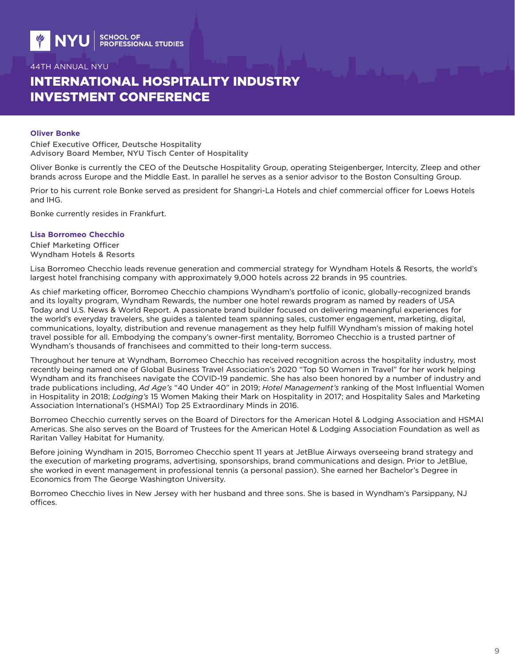# INTERNATIONAL HOSPITALITY INDUSTRY INVESTMENT CONFERENCE

### **Oliver Bonke**

Chief Executive Officer, Deutsche Hospitality Advisory Board Member, NYU Tisch Center of Hospitality

Oliver Bonke is currently the CEO of the Deutsche Hospitality Group, operating Steigenberger, Intercity, Zleep and other brands across Europe and the Middle East. In parallel he serves as a senior advisor to the Boston Consulting Group.

Prior to his current role Bonke served as president for Shangri-La Hotels and chief commercial officer for Loews Hotels and IHG.

Bonke currently resides in Frankfurt.

#### **Lisa Borromeo Checchio**

Chief Marketing Officer Wyndham Hotels & Resorts

Lisa Borromeo Checchio leads revenue generation and commercial strategy for Wyndham Hotels & Resorts, the world's largest hotel franchising company with approximately 9,000 hotels across 22 brands in 95 countries.

As chief marketing officer, Borromeo Checchio champions Wyndham's portfolio of iconic, globally-recognized brands and its loyalty program, Wyndham Rewards, the number one hotel rewards program as named by readers of USA Today and U.S. News & World Report. A passionate brand builder focused on delivering meaningful experiences for the world's everyday travelers, she guides a talented team spanning sales, customer engagement, marketing, digital, communications, loyalty, distribution and revenue management as they help fulfill Wyndham's mission of making hotel travel possible for all. Embodying the company's owner-first mentality, Borromeo Checchio is a trusted partner of Wyndham's thousands of franchisees and committed to their long-term success.

Throughout her tenure at Wyndham, Borromeo Checchio has received recognition across the hospitality industry, most recently being named one of Global Business Travel Association's 2020 "Top 50 Women in Travel" for her work helping Wyndham and its franchisees navigate the COVID-19 pandemic. She has also been honored by a number of industry and trade publications including, *Ad Age's* "40 Under 40" in 2019; *Hotel Management's* ranking of the Most Influential Women in Hospitality in 2018; *Lodging's* 15 Women Making their Mark on Hospitality in 2017; and Hospitality Sales and Marketing Association International's (HSMAI) Top 25 Extraordinary Minds in 2016.

Borromeo Checchio currently serves on the Board of Directors for the American Hotel & Lodging Association and HSMAI Americas. She also serves on the Board of Trustees for the American Hotel & Lodging Association Foundation as well as Raritan Valley Habitat for Humanity.

Before joining Wyndham in 2015, Borromeo Checchio spent 11 years at JetBlue Airways overseeing brand strategy and the execution of marketing programs, advertising, sponsorships, brand communications and design. Prior to JetBlue, she worked in event management in professional tennis (a personal passion). She earned her Bachelor's Degree in Economics from The George Washington University.

Borromeo Checchio lives in New Jersey with her husband and three sons. She is based in Wyndham's Parsippany, NJ offices.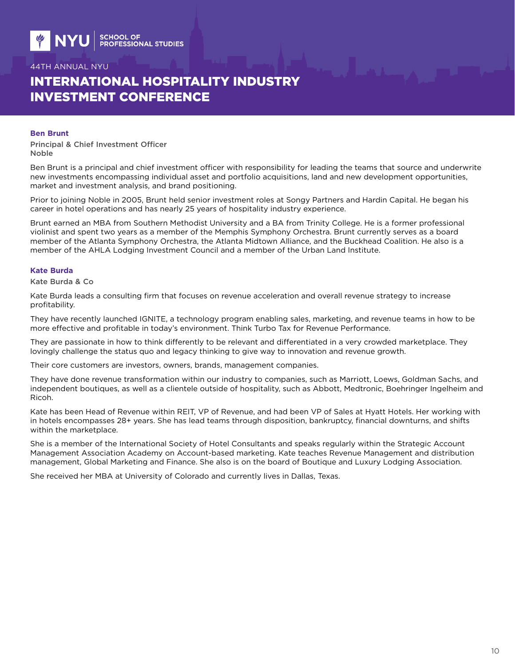# INTERNATIONAL HOSPITALITY INDUSTRY INVESTMENT CONFERENCE

#### **Ben Brunt**

Principal & Chief Investment Officer Noble

Ben Brunt is a principal and chief investment officer with responsibility for leading the teams that source and underwrite new investments encompassing individual asset and portfolio acquisitions, land and new development opportunities, market and investment analysis, and brand positioning.

Prior to joining Noble in 2005, Brunt held senior investment roles at Songy Partners and Hardin Capital. He began his career in hotel operations and has nearly 25 years of hospitality industry experience.

Brunt earned an MBA from Southern Methodist University and a BA from Trinity College. He is a former professional violinist and spent two years as a member of the Memphis Symphony Orchestra. Brunt currently serves as a board member of the Atlanta Symphony Orchestra, the Atlanta Midtown Alliance, and the Buckhead Coalition. He also is a member of the AHLA Lodging Investment Council and a member of the Urban Land Institute.

#### **Kate Burda**

Kate Burda & Co

Kate Burda leads a consulting firm that focuses on revenue acceleration and overall revenue strategy to increase profitability.

They have recently launched IGNITE, a technology program enabling sales, marketing, and revenue teams in how to be more effective and profitable in today's environment. Think Turbo Tax for Revenue Performance.

They are passionate in how to think differently to be relevant and differentiated in a very crowded marketplace. They lovingly challenge the status quo and legacy thinking to give way to innovation and revenue growth.

Their core customers are investors, owners, brands, management companies.

They have done revenue transformation within our industry to companies, such as Marriott, Loews, Goldman Sachs, and independent boutiques, as well as a clientele outside of hospitality, such as Abbott, Medtronic, Boehringer Ingelheim and Ricoh.

Kate has been Head of Revenue within REIT, VP of Revenue, and had been VP of Sales at Hyatt Hotels. Her working with in hotels encompasses 28+ years. She has lead teams through disposition, bankruptcy, financial downturns, and shifts within the marketplace.

She is a member of the International Society of Hotel Consultants and speaks regularly within the Strategic Account Management Association Academy on Account-based marketing. Kate teaches Revenue Management and distribution management, Global Marketing and Finance. She also is on the board of Boutique and Luxury Lodging Association.

She received her MBA at University of Colorado and currently lives in Dallas, Texas.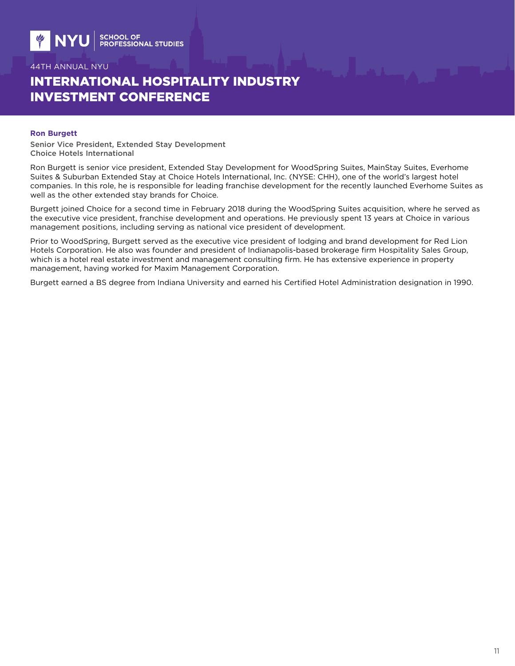# INTERNATIONAL HOSPITALITY INDUSTRY INVESTMENT CONFERENCE

#### **Ron Burgett**

Senior Vice President, Extended Stay Development Choice Hotels International

Ron Burgett is senior vice president, Extended Stay Development for WoodSpring Suites, MainStay Suites, Everhome Suites & Suburban Extended Stay at Choice Hotels International, Inc. (NYSE: CHH), one of the world's largest hotel companies. In this role, he is responsible for leading franchise development for the recently launched Everhome Suites as well as the other extended stay brands for Choice.

Burgett joined Choice for a second time in February 2018 during the WoodSpring Suites acquisition, where he served as the executive vice president, franchise development and operations. He previously spent 13 years at Choice in various management positions, including serving as national vice president of development.

Prior to WoodSpring, Burgett served as the executive vice president of lodging and brand development for Red Lion Hotels Corporation. He also was founder and president of Indianapolis-based brokerage firm Hospitality Sales Group, which is a hotel real estate investment and management consulting firm. He has extensive experience in property management, having worked for Maxim Management Corporation.

Burgett earned a BS degree from Indiana University and earned his Certified Hotel Administration designation in 1990.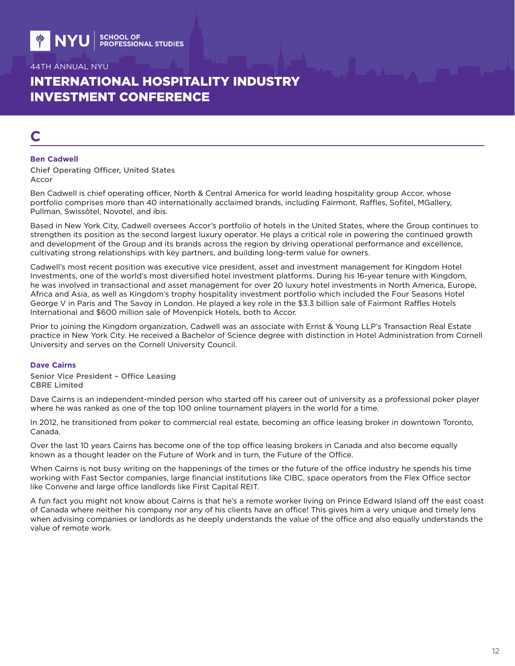# INTERNATIONAL HOSPITALITY INDUSTRY INVESTMENT CONFERENCE

# **C**

#### **Ben Cadwell**

Chief Operating Officer, United States Accor

Ben Cadwell is chief operating officer, North & Central America for world leading hospitality group Accor, whose portfolio comprises more than 40 internationally acclaimed brands, including Fairmont, Raffles, Sofitel, MGallery, Pullman, Swissôtel, Novotel, and ibis.

Based in New York City, Cadwell oversees Accor's portfolio of hotels in the United States, where the Group continues to strengthen its position as the second largest luxury operator. He plays a critical role in powering the continued growth and development of the Group and its brands across the region by driving operational performance and excellence, cultivating strong relationships with key partners, and building long-term value for owners.

Cadwell's most recent position was executive vice president, asset and investment management for Kingdom Hotel Investments, one of the world's most diversified hotel investment platforms. During his 16-year tenure with Kingdom, he was involved in transactional and asset management for over 20 luxury hotel investments in North America, Europe, Africa and Asia, as well as Kingdom's trophy hospitality investment portfolio which included the Four Seasons Hotel George V in Paris and The Savoy in London. He played a key role in the \$3.3 billion sale of Fairmont Raffles Hotels International and \$600 million sale of Movenpick Hotels, both to Accor.

Prior to joining the Kingdom organization, Cadwell was an associate with Ernst & Young LLP's Transaction Real Estate practice in New York City. He received a Bachelor of Science degree with distinction in Hotel Administration from Cornell University and serves on the Cornell University Council.

### **Dave Cairns**

Senior Vice President – Office Leasing CBRE Limited

Dave Cairns is an independent-minded person who started off his career out of university as a professional poker player where he was ranked as one of the top 100 online tournament players in the world for a time.

In 2012, he transitioned from poker to commercial real estate, becoming an office leasing broker in downtown Toronto, Canada.

Over the last 10 years Cairns has become one of the top office leasing brokers in Canada and also become equally known as a thought leader on the Future of Work and in turn, the Future of the Office.

When Cairns is not busy writing on the happenings of the times or the future of the office industry he spends his time working with Fast Sector companies, large financial institutions like CIBC, space operators from the Flex Office sector like Convene and large office landlords like First Capital REIT.

A fun fact you might not know about Cairns is that he's a remote worker living on Prince Edward Island off the east coast of Canada where neither his company nor any of his clients have an office! This gives him a very unique and timely lens when advising companies or landlords as he deeply understands the value of the office and also equally understands the value of remote work.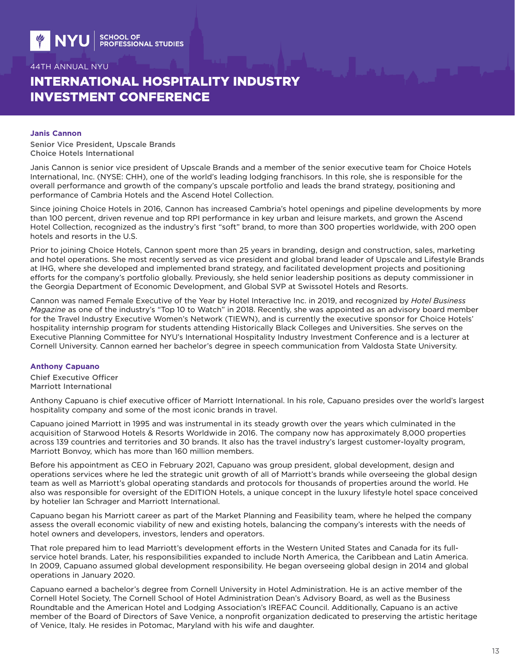# INTERNATIONAL HOSPITALITY INDUSTRY INVESTMENT CONFERENCE

#### **Janis Cannon**

Senior Vice President, Upscale Brands Choice Hotels International

Janis Cannon is senior vice president of Upscale Brands and a member of the senior executive team for Choice Hotels International, Inc. (NYSE: CHH), one of the world's leading lodging franchisors. In this role, she is responsible for the overall performance and growth of the company's upscale portfolio and leads the brand strategy, positioning and performance of Cambria Hotels and the Ascend Hotel Collection.

Since joining Choice Hotels in 2016, Cannon has increased Cambria's hotel openings and pipeline developments by more than 100 percent, driven revenue and top RPI performance in key urban and leisure markets, and grown the Ascend Hotel Collection, recognized as the industry's first "soft" brand, to more than 300 properties worldwide, with 200 open hotels and resorts in the U.S.

Prior to joining Choice Hotels, Cannon spent more than 25 years in branding, design and construction, sales, marketing and hotel operations. She most recently served as vice president and global brand leader of Upscale and Lifestyle Brands at IHG, where she developed and implemented brand strategy, and facilitated development projects and positioning efforts for the company's portfolio globally. Previously, she held senior leadership positions as deputy commissioner in the Georgia Department of Economic Development, and Global SVP at Swissotel Hotels and Resorts.

Cannon was named Female Executive of the Year by Hotel Interactive Inc. in 2019, and recognized by *Hotel Business Magazine* as one of the industry's "Top 10 to Watch" in 2018. Recently, she was appointed as an advisory board member for the Travel Industry Executive Women's Network (TIEWN), and is currently the executive sponsor for Choice Hotels' hospitality internship program for students attending Historically Black Colleges and Universities. She serves on the Executive Planning Committee for NYU's International Hospitality Industry Investment Conference and is a lecturer at Cornell University. Cannon earned her bachelor's degree in speech communication from Valdosta State University.

#### **Anthony Capuano**

Chief Executive Officer Marriott International

Anthony Capuano is chief executive officer of Marriott International. In his role, Capuano presides over the world's largest hospitality company and some of the most iconic brands in travel.

Capuano joined Marriott in 1995 and was instrumental in its steady growth over the years which culminated in the acquisition of Starwood Hotels & Resorts Worldwide in 2016. The company now has approximately 8,000 properties across 139 countries and territories and 30 brands. It also has the travel industry's largest customer-loyalty program, Marriott Bonvoy, which has more than 160 million members.

Before his appointment as CEO in February 2021, Capuano was group president, global development, design and operations services where he led the strategic unit growth of all of Marriott's brands while overseeing the global design team as well as Marriott's global operating standards and protocols for thousands of properties around the world. He also was responsible for oversight of the EDITION Hotels, a unique concept in the luxury lifestyle hotel space conceived by hotelier Ian Schrager and Marriott International.

Capuano began his Marriott career as part of the Market Planning and Feasibility team, where he helped the company assess the overall economic viability of new and existing hotels, balancing the company's interests with the needs of hotel owners and developers, investors, lenders and operators.

That role prepared him to lead Marriott's development efforts in the Western United States and Canada for its fullservice hotel brands. Later, his responsibilities expanded to include North America, the Caribbean and Latin America. In 2009, Capuano assumed global development responsibility. He began overseeing global design in 2014 and global operations in January 2020.

Capuano earned a bachelor's degree from Cornell University in Hotel Administration. He is an active member of the Cornell Hotel Society, The Cornell School of Hotel Administration Dean's Advisory Board, as well as the Business Roundtable and the American Hotel and Lodging Association's IREFAC Council. Additionally, Capuano is an active member of the Board of Directors of Save Venice, a nonprofit organization dedicated to preserving the artistic heritage of Venice, Italy. He resides in Potomac, Maryland with his wife and daughter.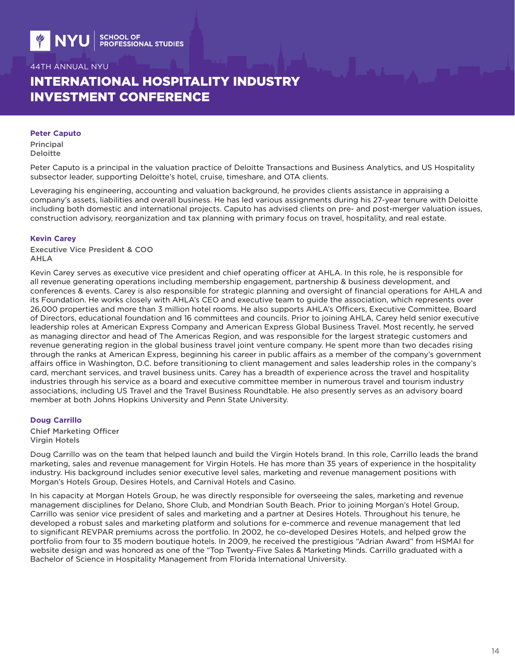# INTERNATIONAL HOSPITALITY INDUSTRY INVESTMENT CONFERENCE

#### **Peter Caputo**

Principal Deloitte

Peter Caputo is a principal in the valuation practice of Deloitte Transactions and Business Analytics, and US Hospitality subsector leader, supporting Deloitte's hotel, cruise, timeshare, and OTA clients.

Leveraging his engineering, accounting and valuation background, he provides clients assistance in appraising a company's assets, liabilities and overall business. He has led various assignments during his 27-year tenure with Deloitte including both domestic and international projects. Caputo has advised clients on pre- and post-merger valuation issues, construction advisory, reorganization and tax planning with primary focus on travel, hospitality, and real estate.

#### **Kevin Carey**

Executive Vice President & COO AHLA

Kevin Carey serves as executive vice president and chief operating officer at AHLA. In this role, he is responsible for all revenue generating operations including membership engagement, partnership & business development, and conferences & events. Carey is also responsible for strategic planning and oversight of financial operations for AHLA and its Foundation. He works closely with AHLA's CEO and executive team to guide the association, which represents over 26,000 properties and more than 3 million hotel rooms. He also supports AHLA's Officers, Executive Committee, Board of Directors, educational foundation and 16 committees and councils. Prior to joining AHLA, Carey held senior executive leadership roles at American Express Company and American Express Global Business Travel. Most recently, he served as managing director and head of The Americas Region, and was responsible for the largest strategic customers and revenue generating region in the global business travel joint venture company. He spent more than two decades rising through the ranks at American Express, beginning his career in public affairs as a member of the company's government affairs office in Washington, D.C. before transitioning to client management and sales leadership roles in the company's card, merchant services, and travel business units. Carey has a breadth of experience across the travel and hospitality industries through his service as a board and executive committee member in numerous travel and tourism industry associations, including US Travel and the Travel Business Roundtable. He also presently serves as an advisory board member at both Johns Hopkins University and Penn State University.

#### **Doug Carrillo**

Chief Marketing Officer Virgin Hotels

Doug Carrillo was on the team that helped launch and build the Virgin Hotels brand. In this role, Carrillo leads the brand marketing, sales and revenue management for Virgin Hotels. He has more than 35 years of experience in the hospitality industry. His background includes senior executive level sales, marketing and revenue management positions with Morgan's Hotels Group, Desires Hotels, and Carnival Hotels and Casino.

In his capacity at Morgan Hotels Group, he was directly responsible for overseeing the sales, marketing and revenue management disciplines for Delano, Shore Club, and Mondrian South Beach. Prior to joining Morgan's Hotel Group, Carrillo was senior vice president of sales and marketing and a partner at Desires Hotels. Throughout his tenure, he developed a robust sales and marketing platform and solutions for e-commerce and revenue management that led to significant REVPAR premiums across the portfolio. In 2002, he co-developed Desires Hotels, and helped grow the portfolio from four to 35 modern boutique hotels. In 2009, he received the prestigious "Adrian Award" from HSMAI for website design and was honored as one of the "Top Twenty-Five Sales & Marketing Minds. Carrillo graduated with a Bachelor of Science in Hospitality Management from Florida International University.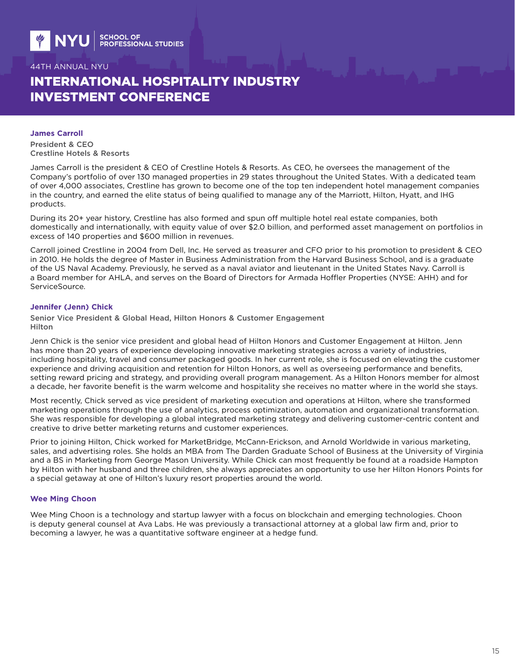# INTERNATIONAL HOSPITALITY INDUSTRY INVESTMENT CONFERENCE

### **James Carroll**

President & CEO Crestline Hotels & Resorts

James Carroll is the president & CEO of Crestline Hotels & Resorts. As CEO, he oversees the management of the Company's portfolio of over 130 managed properties in 29 states throughout the United States. With a dedicated team of over 4,000 associates, Crestline has grown to become one of the top ten independent hotel management companies in the country, and earned the elite status of being qualified to manage any of the Marriott, Hilton, Hyatt, and IHG products.

During its 20+ year history, Crestline has also formed and spun off multiple hotel real estate companies, both domestically and internationally, with equity value of over \$2.0 billion, and performed asset management on portfolios in excess of 140 properties and \$600 million in revenues.

Carroll joined Crestline in 2004 from Dell, Inc. He served as treasurer and CFO prior to his promotion to president & CEO in 2010. He holds the degree of Master in Business Administration from the Harvard Business School, and is a graduate of the US Naval Academy. Previously, he served as a naval aviator and lieutenant in the United States Navy. Carroll is a Board member for AHLA, and serves on the Board of Directors for Armada Hoffler Properties (NYSE: AHH) and for ServiceSource.

#### **Jennifer (Jenn) Chick**

Senior Vice President & Global Head, Hilton Honors & Customer Engagement Hilton

Jenn Chick is the senior vice president and global head of Hilton Honors and Customer Engagement at Hilton. Jenn has more than 20 years of experience developing innovative marketing strategies across a variety of industries, including hospitality, travel and consumer packaged goods. In her current role, she is focused on elevating the customer experience and driving acquisition and retention for Hilton Honors, as well as overseeing performance and benefits, setting reward pricing and strategy, and providing overall program management. As a Hilton Honors member for almost a decade, her favorite benefit is the warm welcome and hospitality she receives no matter where in the world she stays.

Most recently, Chick served as vice president of marketing execution and operations at Hilton, where she transformed marketing operations through the use of analytics, process optimization, automation and organizational transformation. She was responsible for developing a global integrated marketing strategy and delivering customer-centric content and creative to drive better marketing returns and customer experiences.

Prior to joining Hilton, Chick worked for MarketBridge, McCann-Erickson, and Arnold Worldwide in various marketing, sales, and advertising roles. She holds an MBA from The Darden Graduate School of Business at the University of Virginia and a BS in Marketing from George Mason University. While Chick can most frequently be found at a roadside Hampton by Hilton with her husband and three children, she always appreciates an opportunity to use her Hilton Honors Points for a special getaway at one of Hilton's luxury resort properties around the world.

### **Wee Ming Choon**

Wee Ming Choon is a technology and startup lawyer with a focus on blockchain and emerging technologies. Choon is deputy general counsel at Ava Labs. He was previously a transactional attorney at a global law firm and, prior to becoming a lawyer, he was a quantitative software engineer at a hedge fund.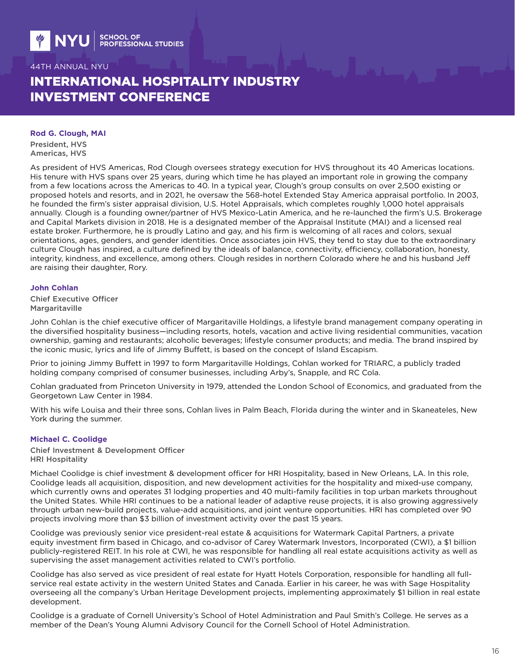# INTERNATIONAL HOSPITALITY INDUSTRY INVESTMENT CONFERENCE

#### **Rod G. Clough, MAI**

President, HVS Americas, HVS

As president of HVS Americas, Rod Clough oversees strategy execution for HVS throughout its 40 Americas locations. His tenure with HVS spans over 25 years, during which time he has played an important role in growing the company from a few locations across the Americas to 40. In a typical year, Clough's group consults on over 2,500 existing or proposed hotels and resorts, and in 2021, he oversaw the 568-hotel Extended Stay America appraisal portfolio. In 2003, he founded the firm's sister appraisal division, U.S. Hotel Appraisals, which completes roughly 1,000 hotel appraisals annually. Clough is a founding owner/partner of HVS Mexico-Latin America, and he re-launched the firm's U.S. Brokerage and Capital Markets division in 2018. He is a designated member of the Appraisal Institute (MAI) and a licensed real estate broker. Furthermore, he is proudly Latino and gay, and his firm is welcoming of all races and colors, sexual orientations, ages, genders, and gender identities. Once associates join HVS, they tend to stay due to the extraordinary culture Clough has inspired, a culture defined by the ideals of balance, connectivity, efficiency, collaboration, honesty, integrity, kindness, and excellence, among others. Clough resides in northern Colorado where he and his husband Jeff are raising their daughter, Rory.

#### **John Cohlan**

Chief Executive Officer **Margaritaville** 

John Cohlan is the chief executive officer of Margaritaville Holdings, a lifestyle brand management company operating in the diversified hospitality business—including resorts, hotels, vacation and active living residential communities, vacation ownership, gaming and restaurants; alcoholic beverages; lifestyle consumer products; and media. The brand inspired by the iconic music, lyrics and life of Jimmy Buffett, is based on the concept of Island Escapism.

Prior to joining Jimmy Buffett in 1997 to form Margaritaville Holdings, Cohlan worked for TRIARC, a publicly traded holding company comprised of consumer businesses, including Arby's, Snapple, and RC Cola.

Cohlan graduated from Princeton University in 1979, attended the London School of Economics, and graduated from the Georgetown Law Center in 1984.

With his wife Louisa and their three sons, Cohlan lives in Palm Beach, Florida during the winter and in Skaneateles, New York during the summer.

### **Michael C. Coolidge**

Chief Investment & Development Officer HRI Hospitality

Michael Coolidge is chief investment & development officer for HRI Hospitality, based in New Orleans, LA. In this role, Coolidge leads all acquisition, disposition, and new development activities for the hospitality and mixed-use company, which currently owns and operates 31 lodging properties and 40 multi-family facilities in top urban markets throughout the United States. While HRI continues to be a national leader of adaptive reuse projects, it is also growing aggressively through urban new-build projects, value-add acquisitions, and joint venture opportunities. HRI has completed over 90 projects involving more than \$3 billion of investment activity over the past 15 years.

Coolidge was previously senior vice president-real estate & acquisitions for Watermark Capital Partners, a private equity investment firm based in Chicago, and co-advisor of Carey Watermark Investors, Incorporated (CWI), a \$1 billion publicly-registered REIT. In his role at CWI, he was responsible for handling all real estate acquisitions activity as well as supervising the asset management activities related to CWI's portfolio.

Coolidge has also served as vice president of real estate for Hyatt Hotels Corporation, responsible for handling all fullservice real estate activity in the western United States and Canada. Earlier in his career, he was with Sage Hospitality overseeing all the company's Urban Heritage Development projects, implementing approximately \$1 billion in real estate development.

Coolidge is a graduate of Cornell University's School of Hotel Administration and Paul Smith's College. He serves as a member of the Dean's Young Alumni Advisory Council for the Cornell School of Hotel Administration.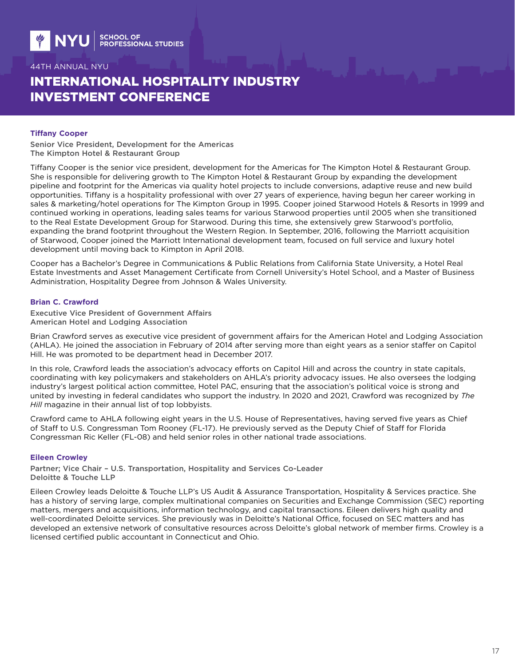# INTERNATIONAL HOSPITALITY INDUSTRY INVESTMENT CONFERENCE

#### **Tiffany Cooper**

Senior Vice President, Development for the Americas The Kimpton Hotel & Restaurant Group

Tiffany Cooper is the senior vice president, development for the Americas for The Kimpton Hotel & Restaurant Group. She is responsible for delivering growth to The Kimpton Hotel & Restaurant Group by expanding the development pipeline and footprint for the Americas via quality hotel projects to include conversions, adaptive reuse and new build opportunities. Tiffany is a hospitality professional with over 27 years of experience, having begun her career working in sales & marketing/hotel operations for The Kimpton Group in 1995. Cooper joined Starwood Hotels & Resorts in 1999 and continued working in operations, leading sales teams for various Starwood properties until 2005 when she transitioned to the Real Estate Development Group for Starwood. During this time, she extensively grew Starwood's portfolio, expanding the brand footprint throughout the Western Region. In September, 2016, following the Marriott acquisition of Starwood, Cooper joined the Marriott International development team, focused on full service and luxury hotel development until moving back to Kimpton in April 2018.

Cooper has a Bachelor's Degree in Communications & Public Relations from California State University, a Hotel Real Estate Investments and Asset Management Certificate from Cornell University's Hotel School, and a Master of Business Administration, Hospitality Degree from Johnson & Wales University.

#### **Brian C. Crawford**

Executive Vice President of Government Affairs American Hotel and Lodging Association

Brian Crawford serves as executive vice president of government affairs for the American Hotel and Lodging Association (AHLA). He joined the association in February of 2014 after serving more than eight years as a senior staffer on Capitol Hill. He was promoted to be department head in December 2017.

In this role, Crawford leads the association's advocacy efforts on Capitol Hill and across the country in state capitals, coordinating with key policymakers and stakeholders on AHLA's priority advocacy issues. He also oversees the lodging industry's largest political action committee, Hotel PAC, ensuring that the association's political voice is strong and united by investing in federal candidates who support the industry. In 2020 and 2021, Crawford was recognized by *The Hill* magazine in their annual list of top lobbyists.

Crawford came to AHLA following eight years in the U.S. House of Representatives, having served five years as Chief of Staff to U.S. Congressman Tom Rooney (FL-17). He previously served as the Deputy Chief of Staff for Florida Congressman Ric Keller (FL-08) and held senior roles in other national trade associations.

### **Eileen Crowley**

Partner; Vice Chair – U.S. Transportation, Hospitality and Services Co-Leader Deloitte & Touche LLP

Eileen Crowley leads Deloitte & Touche LLP's US Audit & Assurance Transportation, Hospitality & Services practice. She has a history of serving large, complex multinational companies on Securities and Exchange Commission (SEC) reporting matters, mergers and acquisitions, information technology, and capital transactions. Eileen delivers high quality and well-coordinated Deloitte services. She previously was in Deloitte's National Office, focused on SEC matters and has developed an extensive network of consultative resources across Deloitte's global network of member firms. Crowley is a licensed certified public accountant in Connecticut and Ohio.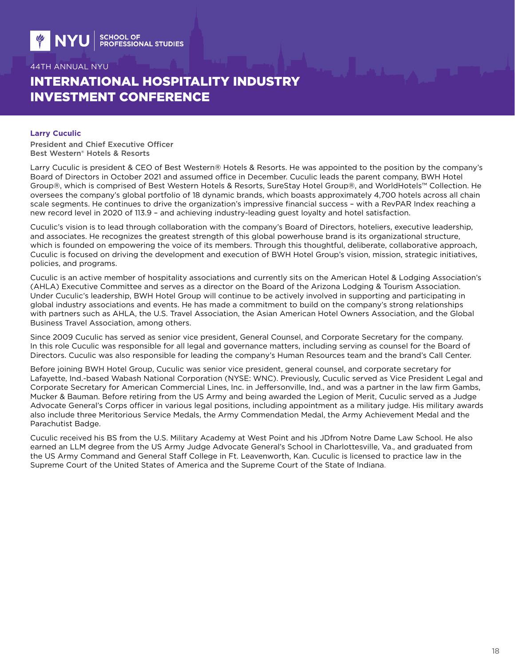# INTERNATIONAL HOSPITALITY INDUSTRY INVESTMENT CONFERENCE

#### **Larry Cuculic**

President and Chief Executive Officer Best Western® Hotels & Resorts

Larry Cuculic is president & CEO of Best Western® Hotels & Resorts. He was appointed to the position by the company's Board of Directors in October 2021 and assumed office in December. Cuculic leads the parent company, BWH Hotel Group®, which is comprised of Best Western Hotels & Resorts, SureStay Hotel Group®, and WorldHotels™ Collection. He oversees the company's global portfolio of 18 dynamic brands, which boasts approximately 4,700 hotels across all chain scale segments. He continues to drive the organization's impressive financial success – with a RevPAR Index reaching a new record level in 2020 of 113.9 – and achieving industry-leading guest loyalty and hotel satisfaction.

Cuculic's vision is to lead through collaboration with the company's Board of Directors, hoteliers, executive leadership, and associates. He recognizes the greatest strength of this global powerhouse brand is its organizational structure, which is founded on empowering the voice of its members. Through this thoughtful, deliberate, collaborative approach, Cuculic is focused on driving the development and execution of BWH Hotel Group's vision, mission, strategic initiatives, policies, and programs.

Cuculic is an active member of hospitality associations and currently sits on the American Hotel & Lodging Association's (AHLA) Executive Committee and serves as a director on the Board of the Arizona Lodging & Tourism Association. Under Cuculic's leadership, BWH Hotel Group will continue to be actively involved in supporting and participating in global industry associations and events. He has made a commitment to build on the company's strong relationships with partners such as AHLA, the U.S. Travel Association, the Asian American Hotel Owners Association, and the Global Business Travel Association, among others.

Since 2009 Cuculic has served as senior vice president, General Counsel, and Corporate Secretary for the company. In this role Cuculic was responsible for all legal and governance matters, including serving as counsel for the Board of Directors. Cuculic was also responsible for leading the company's Human Resources team and the brand's Call Center.

Before joining BWH Hotel Group, Cuculic was senior vice president, general counsel, and corporate secretary for Lafayette, Ind.-based Wabash National Corporation (NYSE: WNC). Previously, Cuculic served as Vice President Legal and Corporate Secretary for American Commercial Lines, Inc. in Jeffersonville, Ind., and was a partner in the law firm Gambs, Mucker & Bauman. Before retiring from the US Army and being awarded the Legion of Merit, Cuculic served as a Judge Advocate General's Corps officer in various legal positions, including appointment as a military judge. His military awards also include three Meritorious Service Medals, the Army Commendation Medal, the Army Achievement Medal and the Parachutist Badge.

Cuculic received his BS from the U.S. Military Academy at West Point and his JDfrom Notre Dame Law School. He also earned an LLM degree from the US Army Judge Advocate General's School in Charlottesville, Va., and graduated from the US Army Command and General Staff College in Ft. Leavenworth, Kan. Cuculic is licensed to practice law in the Supreme Court of the United States of America and the Supreme Court of the State of Indiana.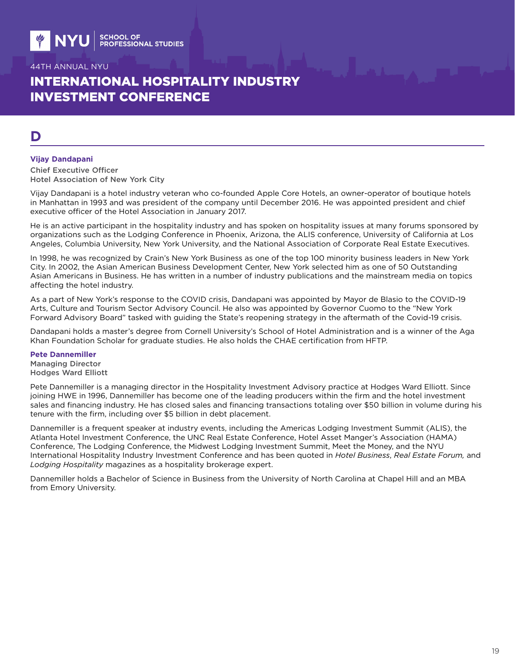# INTERNATIONAL HOSPITALITY INDUSTRY INVESTMENT CONFERENCE

# **D**

#### **Vijay Dandapani**

Chief Executive Officer Hotel Association of New York City

Vijay Dandapani is a hotel industry veteran who co-founded Apple Core Hotels, an owner-operator of boutique hotels in Manhattan in 1993 and was president of the company until December 2016. He was appointed president and chief executive officer of the Hotel Association in January 2017.

He is an active participant in the hospitality industry and has spoken on hospitality issues at many forums sponsored by organizations such as the Lodging Conference in Phoenix, Arizona, the ALIS conference, University of California at Los Angeles, Columbia University, New York University, and the National Association of Corporate Real Estate Executives.

In 1998, he was recognized by Crain's New York Business as one of the top 100 minority business leaders in New York City. In 2002, the Asian American Business Development Center, New York selected him as one of 50 Outstanding Asian Americans in Business. He has written in a number of industry publications and the mainstream media on topics affecting the hotel industry.

As a part of New York's response to the COVID crisis, Dandapani was appointed by Mayor de Blasio to the COVID-19 Arts, Culture and Tourism Sector Advisory Council. He also was appointed by Governor Cuomo to the "New York Forward Advisory Board" tasked with guiding the State's reopening strategy in the aftermath of the Covid-19 crisis.

Dandapani holds a master's degree from Cornell University's School of Hotel Administration and is a winner of the Aga Khan Foundation Scholar for graduate studies. He also holds the CHAE certification from HFTP.

#### **Pete Dannemiller**

Managing Director Hodges Ward Elliott

Pete Dannemiller is a managing director in the Hospitality Investment Advisory practice at Hodges Ward Elliott. Since joining HWE in 1996, Dannemiller has become one of the leading producers within the firm and the hotel investment sales and financing industry. He has closed sales and financing transactions totaling over \$50 billion in volume during his tenure with the firm, including over \$5 billion in debt placement.

Dannemiller is a frequent speaker at industry events, including the Americas Lodging Investment Summit (ALIS), the Atlanta Hotel Investment Conference, the UNC Real Estate Conference, Hotel Asset Manger's Association (HAMA) Conference, The Lodging Conference, the Midwest Lodging Investment Summit, Meet the Money, and the NYU International Hospitality Industry Investment Conference and has been quoted in *Hotel Business*, *Real Estate Forum,* and *Lodging Hospitality* magazines as a hospitality brokerage expert.

Dannemiller holds a Bachelor of Science in Business from the University of North Carolina at Chapel Hill and an MBA from Emory University.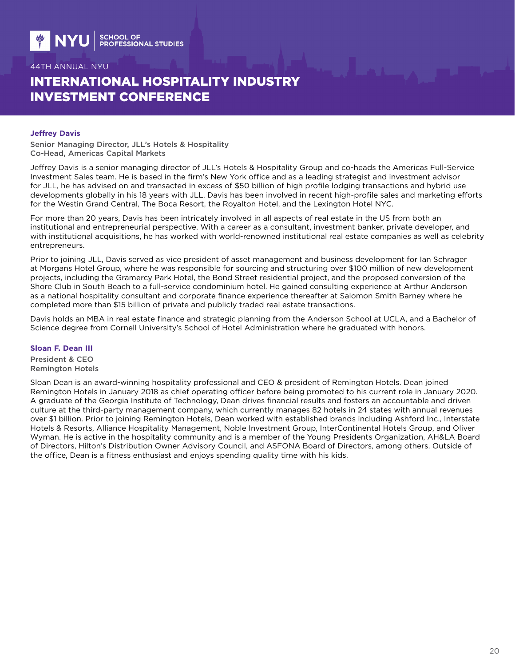# INTERNATIONAL HOSPITALITY INDUSTRY INVESTMENT CONFERENCE

#### **Jeffrey Davis**

Senior Managing Director, JLL's Hotels & Hospitality Co-Head, Americas Capital Markets

Jeffrey Davis is a senior managing director of JLL's Hotels & Hospitality Group and co-heads the Americas Full-Service Investment Sales team. He is based in the firm's New York office and as a leading strategist and investment advisor for JLL, he has advised on and transacted in excess of \$50 billion of high profile lodging transactions and hybrid use developments globally in his 18 years with JLL. Davis has been involved in recent high-profile sales and marketing efforts for the Westin Grand Central, The Boca Resort, the Royalton Hotel, and the Lexington Hotel NYC.

For more than 20 years, Davis has been intricately involved in all aspects of real estate in the US from both an institutional and entrepreneurial perspective. With a career as a consultant, investment banker, private developer, and with institutional acquisitions, he has worked with world-renowned institutional real estate companies as well as celebrity entrepreneurs.

Prior to joining JLL, Davis served as vice president of asset management and business development for Ian Schrager at Morgans Hotel Group, where he was responsible for sourcing and structuring over \$100 million of new development projects, including the Gramercy Park Hotel, the Bond Street residential project, and the proposed conversion of the Shore Club in South Beach to a full-service condominium hotel. He gained consulting experience at Arthur Anderson as a national hospitality consultant and corporate finance experience thereafter at Salomon Smith Barney where he completed more than \$15 billion of private and publicly traded real estate transactions.

Davis holds an MBA in real estate finance and strategic planning from the Anderson School at UCLA, and a Bachelor of Science degree from Cornell University's School of Hotel Administration where he graduated with honors.

#### **Sloan F. Dean III**

President & CEO Remington Hotels

Sloan Dean is an award-winning hospitality professional and CEO & president of Remington Hotels. Dean joined Remington Hotels in January 2018 as chief operating officer before being promoted to his current role in January 2020. A graduate of the Georgia Institute of Technology, Dean drives financial results and fosters an accountable and driven culture at the third-party management company, which currently manages 82 hotels in 24 states with annual revenues over \$1 billion. Prior to joining Remington Hotels, Dean worked with established brands including Ashford Inc., Interstate Hotels & Resorts, Alliance Hospitality Management, Noble Investment Group, InterContinental Hotels Group, and Oliver Wyman. He is active in the hospitality community and is a member of the Young Presidents Organization, AH&LA Board of Directors, Hilton's Distribution Owner Advisory Council, and ASFONA Board of Directors, among others. Outside of the office, Dean is a fitness enthusiast and enjoys spending quality time with his kids.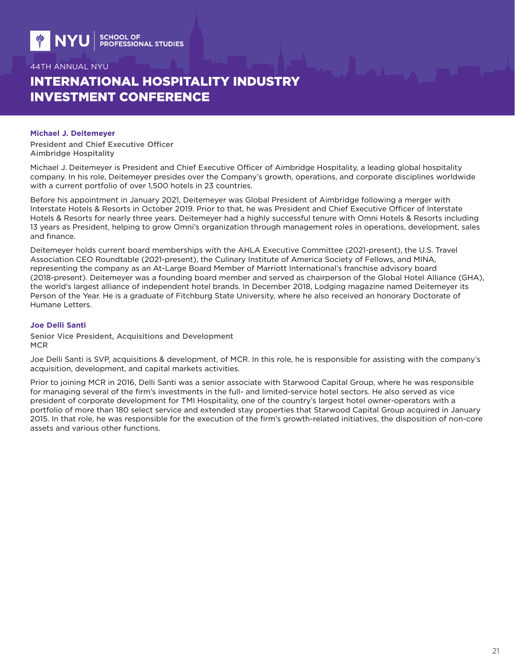# INTERNATIONAL HOSPITALITY INDUSTRY INVESTMENT CONFERENCE

#### **Michael J. Deitemeyer**

President and Chief Executive Officer Aimbridge Hospitality

Michael J. Deitemeyer is President and Chief Executive Officer of Aimbridge Hospitality, a leading global hospitality company. In his role, Deitemeyer presides over the Company's growth, operations, and corporate disciplines worldwide with a current portfolio of over 1,500 hotels in 23 countries.

Before his appointment in January 2021, Deitemeyer was Global President of Aimbridge following a merger with Interstate Hotels & Resorts in October 2019. Prior to that, he was President and Chief Executive Officer of Interstate Hotels & Resorts for nearly three years. Deitemeyer had a highly successful tenure with Omni Hotels & Resorts including 13 years as President, helping to grow Omni's organization through management roles in operations, development, sales and finance.

Deitemeyer holds current board memberships with the AHLA Executive Committee (2021-present), the U.S. Travel Association CEO Roundtable (2021-present), the Culinary Institute of America Society of Fellows, and MINA, representing the company as an At-Large Board Member of Marriott International's franchise advisory board (2018-present). Deitemeyer was a founding board member and served as chairperson of the Global Hotel Alliance (GHA), the world's largest alliance of independent hotel brands. In December 2018, Lodging magazine named Deitemeyer its Person of the Year. He is a graduate of Fitchburg State University, where he also received an honorary Doctorate of Humane Letters.

#### **Joe Delli Santi**

Senior Vice President, Acquisitions and Development **MCR** 

Joe Delli Santi is SVP, acquisitions & development, of MCR. In this role, he is responsible for assisting with the company's acquisition, development, and capital markets activities.

Prior to joining MCR in 2016, Delli Santi was a senior associate with Starwood Capital Group, where he was responsible for managing several of the firm's investments in the full- and limited-service hotel sectors. He also served as vice president of corporate development for TMI Hospitality, one of the country's largest hotel owner-operators with a portfolio of more than 180 select service and extended stay properties that Starwood Capital Group acquired in January 2015. In that role, he was responsible for the execution of the firm's growth-related initiatives, the disposition of non-core assets and various other functions.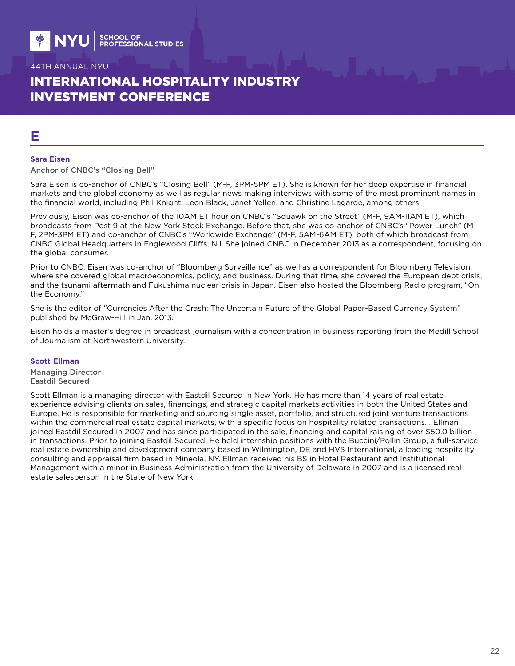# INTERNATIONAL HOSPITALITY INDUSTRY INVESTMENT CONFERENCE

# **E**

#### **Sara Eisen**

Anchor of CNBC's "Closing Bell"

Sara Eisen is co-anchor of CNBC's "Closing Bell" (M-F, 3PM-5PM ET). She is known for her deep expertise in financial markets and the global economy as well as regular news making interviews with some of the most prominent names in the financial world, including Phil Knight, Leon Black, Janet Yellen, and Christine Lagarde, among others.

Previously, Eisen was co-anchor of the 10AM ET hour on CNBC's "Squawk on the Street" (M-F, 9AM-11AM ET), which broadcasts from Post 9 at the New York Stock Exchange. Before that, she was co-anchor of CNBC's "Power Lunch" (M-F, 2PM-3PM ET) and co-anchor of CNBC's "Worldwide Exchange" (M-F, 5AM-6AM ET), both of which broadcast from CNBC Global Headquarters in Englewood Cliffs, NJ. She joined CNBC in December 2013 as a correspondent, focusing on the global consumer.

Prior to CNBC, Eisen was co-anchor of "Bloomberg Surveillance" as well as a correspondent for Bloomberg Television, where she covered global macroeconomics, policy, and business. During that time, she covered the European debt crisis, and the tsunami aftermath and Fukushima nuclear crisis in Japan. Eisen also hosted the Bloomberg Radio program, "On the Economy."

She is the editor of "Currencies After the Crash: The Uncertain Future of the Global Paper-Based Currency System" published by McGraw-Hill in Jan. 2013.

Eisen holds a master's degree in broadcast journalism with a concentration in business reporting from the Medill School of Journalism at Northwestern University.

#### **Scott Ellman**

Managing Director Eastdil Secured

Scott Ellman is a managing director with Eastdil Secured in New York. He has more than 14 years of real estate experience advising clients on sales, financings, and strategic capital markets activities in both the United States and Europe. He is responsible for marketing and sourcing single asset, portfolio, and structured joint venture transactions within the commercial real estate capital markets, with a specific focus on hospitality related transactions. . Ellman joined Eastdil Secured in 2007 and has since participated in the sale, financing and capital raising of over \$50.0 billion in transactions. Prior to joining Eastdil Secured, He held internship positions with the Buccini/Pollin Group, a full-service real estate ownership and development company based in Wilmington, DE and HVS International, a leading hospitality consulting and appraisal firm based in Mineola, NY. Ellman received his BS in Hotel Restaurant and Institutional Management with a minor in Business Administration from the University of Delaware in 2007 and is a licensed real estate salesperson in the State of New York.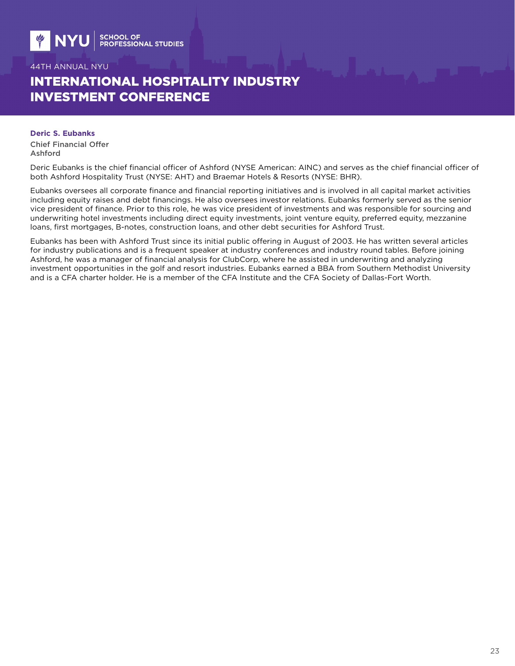# INTERNATIONAL HOSPITALITY INDUSTRY INVESTMENT CONFERENCE

**Deric S. Eubanks** Chief Financial Offer Ashford

Deric Eubanks is the chief financial officer of Ashford (NYSE American: AINC) and serves as the chief financial officer of both Ashford Hospitality Trust (NYSE: AHT) and Braemar Hotels & Resorts (NYSE: BHR).

Eubanks oversees all corporate finance and financial reporting initiatives and is involved in all capital market activities including equity raises and debt financings. He also oversees investor relations. Eubanks formerly served as the senior vice president of finance. Prior to this role, he was vice president of investments and was responsible for sourcing and underwriting hotel investments including direct equity investments, joint venture equity, preferred equity, mezzanine loans, first mortgages, B-notes, construction loans, and other debt securities for Ashford Trust.

Eubanks has been with Ashford Trust since its initial public offering in August of 2003. He has written several articles for industry publications and is a frequent speaker at industry conferences and industry round tables. Before joining Ashford, he was a manager of financial analysis for ClubCorp, where he assisted in underwriting and analyzing investment opportunities in the golf and resort industries. Eubanks earned a BBA from Southern Methodist University and is a CFA charter holder. He is a member of the CFA Institute and the CFA Society of Dallas-Fort Worth.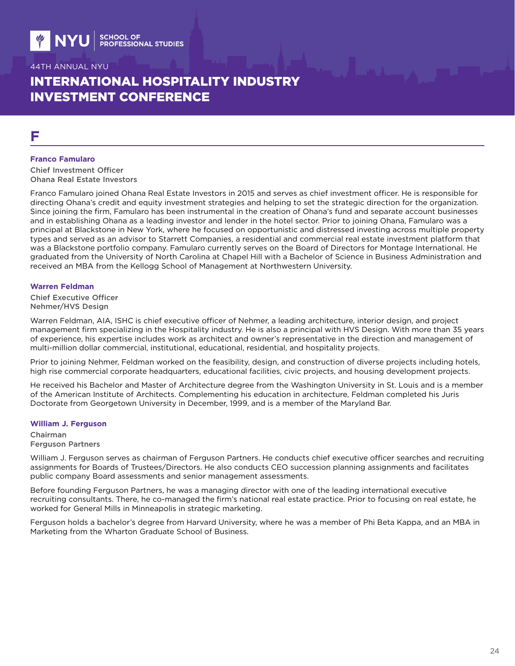# INTERNATIONAL HOSPITALITY INDUSTRY INVESTMENT CONFERENCE

# **F**

#### **Franco Famularo**

Chief Investment Officer Ohana Real Estate Investors

Franco Famularo joined Ohana Real Estate Investors in 2015 and serves as chief investment officer. He is responsible for directing Ohana's credit and equity investment strategies and helping to set the strategic direction for the organization. Since joining the firm, Famularo has been instrumental in the creation of Ohana's fund and separate account businesses and in establishing Ohana as a leading investor and lender in the hotel sector. Prior to joining Ohana, Famularo was a principal at Blackstone in New York, where he focused on opportunistic and distressed investing across multiple property types and served as an advisor to Starrett Companies, a residential and commercial real estate investment platform that was a Blackstone portfolio company. Famularo currently serves on the Board of Directors for Montage International. He graduated from the University of North Carolina at Chapel Hill with a Bachelor of Science in Business Administration and received an MBA from the Kellogg School of Management at Northwestern University.

#### **Warren Feldman**

Chief Executive Officer Nehmer/HVS Design

Warren Feldman, AIA, ISHC is chief executive officer of Nehmer, a leading architecture, interior design, and project management firm specializing in the Hospitality industry. He is also a principal with HVS Design. With more than 35 years of experience, his expertise includes work as architect and owner's representative in the direction and management of multi-million dollar commercial, institutional, educational, residential, and hospitality projects.

Prior to joining Nehmer, Feldman worked on the feasibility, design, and construction of diverse projects including hotels, high rise commercial corporate headquarters, educational facilities, civic projects, and housing development projects.

He received his Bachelor and Master of Architecture degree from the Washington University in St. Louis and is a member of the American Institute of Architects. Complementing his education in architecture, Feldman completed his Juris Doctorate from Georgetown University in December, 1999, and is a member of the Maryland Bar.

#### **William J. Ferguson**

Chairman Ferguson Partners

William J. Ferguson serves as chairman of Ferguson Partners. He conducts chief executive officer searches and recruiting assignments for Boards of Trustees/Directors. He also conducts CEO succession planning assignments and facilitates public company Board assessments and senior management assessments.

Before founding Ferguson Partners, he was a managing director with one of the leading international executive recruiting consultants. There, he co-managed the firm's national real estate practice. Prior to focusing on real estate, he worked for General Mills in Minneapolis in strategic marketing.

Ferguson holds a bachelor's degree from Harvard University, where he was a member of Phi Beta Kappa, and an MBA in Marketing from the Wharton Graduate School of Business.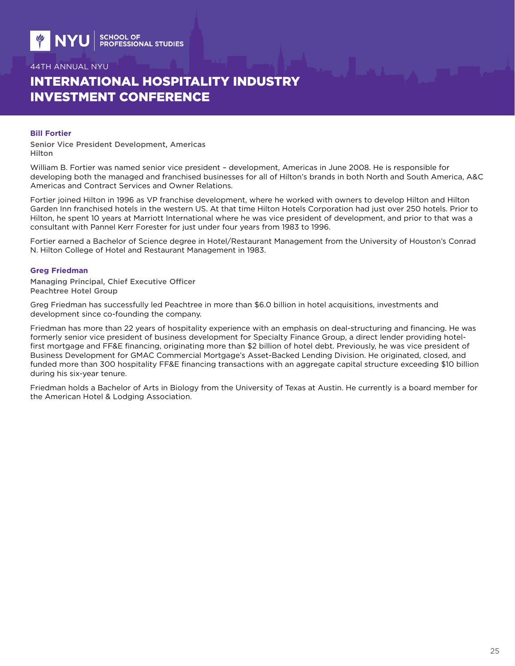# INTERNATIONAL HOSPITALITY INDUSTRY INVESTMENT CONFERENCE

#### **Bill Fortier**

Senior Vice President Development, Americas Hilton

William B. Fortier was named senior vice president – development, Americas in June 2008. He is responsible for developing both the managed and franchised businesses for all of Hilton's brands in both North and South America, A&C Americas and Contract Services and Owner Relations.

Fortier joined Hilton in 1996 as VP franchise development, where he worked with owners to develop Hilton and Hilton Garden Inn franchised hotels in the western US. At that time Hilton Hotels Corporation had just over 250 hotels. Prior to Hilton, he spent 10 years at Marriott International where he was vice president of development, and prior to that was a consultant with Pannel Kerr Forester for just under four years from 1983 to 1996.

Fortier earned a Bachelor of Science degree in Hotel/Restaurant Management from the University of Houston's Conrad N. Hilton College of Hotel and Restaurant Management in 1983.

#### **Greg Friedman**

Managing Principal, Chief Executive Officer Peachtree Hotel Group

Greg Friedman has successfully led Peachtree in more than \$6.0 billion in hotel acquisitions, investments and development since co-founding the company.

Friedman has more than 22 years of hospitality experience with an emphasis on deal-structuring and financing. He was formerly senior vice president of business development for Specialty Finance Group, a direct lender providing hotelfirst mortgage and FF&E financing, originating more than \$2 billion of hotel debt. Previously, he was vice president of Business Development for GMAC Commercial Mortgage's Asset-Backed Lending Division. He originated, closed, and funded more than 300 hospitality FF&E financing transactions with an aggregate capital structure exceeding \$10 billion during his six-year tenure.

Friedman holds a Bachelor of Arts in Biology from the University of Texas at Austin. He currently is a board member for the American Hotel & Lodging Association.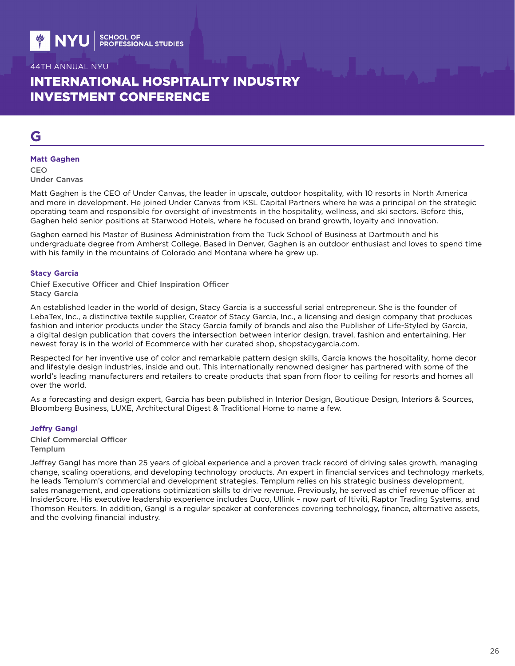# INTERNATIONAL HOSPITALITY INDUSTRY INVESTMENT CONFERENCE

# **G**

#### **Matt Gaghen**

CEO Under Canvas

Matt Gaghen is the CEO of Under Canvas, the leader in upscale, outdoor hospitality, with 10 resorts in North America and more in development. He joined Under Canvas from KSL Capital Partners where he was a principal on the strategic operating team and responsible for oversight of investments in the hospitality, wellness, and ski sectors. Before this, Gaghen held senior positions at Starwood Hotels, where he focused on brand growth, loyalty and innovation.

Gaghen earned his Master of Business Administration from the Tuck School of Business at Dartmouth and his undergraduate degree from Amherst College. Based in Denver, Gaghen is an outdoor enthusiast and loves to spend time with his family in the mountains of Colorado and Montana where he grew up.

#### **Stacy Garcia**

Chief Executive Officer and Chief Inspiration Officer Stacy Garcia

An established leader in the world of design, Stacy Garcia is a successful serial entrepreneur. She is the founder of LebaTex, Inc., a distinctive textile supplier, Creator of Stacy Garcia, Inc., a licensing and design company that produces fashion and interior products under the Stacy Garcia family of brands and also the Publisher of Life-Styled by Garcia, a digital design publication that covers the intersection between interior design, travel, fashion and entertaining. Her newest foray is in the world of Ecommerce with her curated shop, shopstacygarcia.com.

Respected for her inventive use of color and remarkable pattern design skills, Garcia knows the hospitality, home decor and lifestyle design industries, inside and out. This internationally renowned designer has partnered with some of the world's leading manufacturers and retailers to create products that span from floor to ceiling for resorts and homes all over the world.

As a forecasting and design expert, Garcia has been published in Interior Design, Boutique Design, Interiors & Sources, Bloomberg Business, LUXE, Architectural Digest & Traditional Home to name a few.

#### **Jeffry Gangl**

Chief Commercial Officer **Templum** 

Jeffrey Gangl has more than 25 years of global experience and a proven track record of driving sales growth, managing change, scaling operations, and developing technology products. An expert in financial services and technology markets, he leads Templum's commercial and development strategies. Templum relies on his strategic business development, sales management, and operations optimization skills to drive revenue. Previously, he served as chief revenue officer at InsiderScore. His executive leadership experience includes Duco, Ullink – now part of Itiviti, Raptor Trading Systems, and Thomson Reuters. In addition, Gangl is a regular speaker at conferences covering technology, finance, alternative assets, and the evolving financial industry.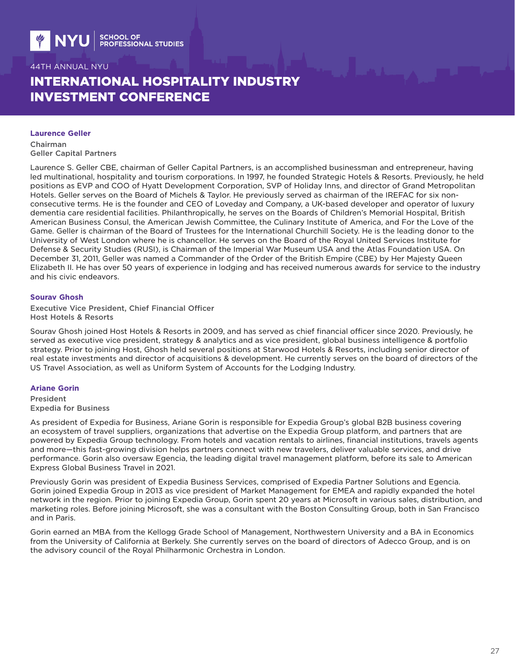# INTERNATIONAL HOSPITALITY INDUSTRY INVESTMENT CONFERENCE

#### **Laurence Geller**

Chairman Geller Capital Partners

Laurence S. Geller CBE, chairman of Geller Capital Partners, is an accomplished businessman and entrepreneur, having led multinational, hospitality and tourism corporations. In 1997, he founded Strategic Hotels & Resorts. Previously, he held positions as EVP and COO of Hyatt Development Corporation, SVP of Holiday Inns, and director of Grand Metropolitan Hotels. Geller serves on the Board of Michels & Taylor. He previously served as chairman of the IREFAC for six nonconsecutive terms. He is the founder and CEO of Loveday and Company, a UK-based developer and operator of luxury dementia care residential facilities. Philanthropically, he serves on the Boards of Children's Memorial Hospital, British American Business Consul, the American Jewish Committee, the Culinary Institute of America, and For the Love of the Game. Geller is chairman of the Board of Trustees for the International Churchill Society. He is the leading donor to the University of West London where he is chancellor. He serves on the Board of the Royal United Services Institute for Defense & Security Studies (RUSI), is Chairman of the Imperial War Museum USA and the Atlas Foundation USA. On December 31, 2011, Geller was named a Commander of the Order of the British Empire (CBE) by Her Majesty Queen Elizabeth II. He has over 50 years of experience in lodging and has received numerous awards for service to the industry and his civic endeavors.

### **Sourav Ghosh**

Executive Vice President, Chief Financial Officer Host Hotels & Resorts

Sourav Ghosh joined Host Hotels & Resorts in 2009, and has served as chief financial officer since 2020. Previously, he served as executive vice president, strategy & analytics and as vice president, global business intelligence & portfolio strategy. Prior to joining Host, Ghosh held several positions at Starwood Hotels & Resorts, including senior director of real estate investments and director of acquisitions & development. He currently serves on the board of directors of the US Travel Association, as well as Uniform System of Accounts for the Lodging Industry.

#### **Ariane Gorin**

President Expedia for Business

As president of Expedia for Business, Ariane Gorin is responsible for Expedia Group's global B2B business covering an ecosystem of travel suppliers, organizations that advertise on the Expedia Group platform, and partners that are powered by Expedia Group technology. From hotels and vacation rentals to airlines, financial institutions, travels agents and more—this fast-growing division helps partners connect with new travelers, deliver valuable services, and drive performance. Gorin also oversaw Egencia, the leading digital travel management platform, before its sale to American Express Global Business Travel in 2021.

Previously Gorin was president of Expedia Business Services, comprised of Expedia Partner Solutions and Egencia. Gorin joined Expedia Group in 2013 as vice president of Market Management for EMEA and rapidly expanded the hotel network in the region. Prior to joining Expedia Group, Gorin spent 20 years at Microsoft in various sales, distribution, and marketing roles. Before joining Microsoft, she was a consultant with the Boston Consulting Group, both in San Francisco and in Paris.

Gorin earned an MBA from the Kellogg Grade School of Management, Northwestern University and a BA in Economics from the University of California at Berkely. She currently serves on the board of directors of Adecco Group, and is on the advisory council of the Royal Philharmonic Orchestra in London.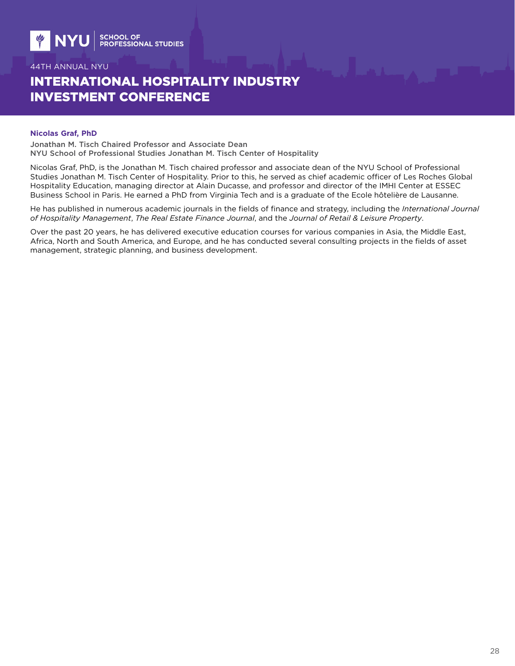# INTERNATIONAL HOSPITALITY INDUSTRY INVESTMENT CONFERENCE

#### **Nicolas Graf, PhD**

Jonathan M. Tisch Chaired Professor and Associate Dean NYU School of Professional Studies Jonathan M. Tisch Center of Hospitality

Nicolas Graf, PhD, is the Jonathan M. Tisch chaired professor and associate dean of the NYU School of Professional Studies Jonathan M. Tisch Center of Hospitality. Prior to this, he served as chief academic officer of Les Roches Global Hospitality Education, managing director at Alain Ducasse, and professor and director of the IMHI Center at ESSEC Business School in Paris. He earned a PhD from Virginia Tech and is a graduate of the Ecole hôtelière de Lausanne.

He has published in numerous academic journals in the fields of finance and strategy, including the *International Journal of Hospitality Management*, *The Real Estate Finance Journal*, and the *Journal of Retail & Leisure Property*.

Over the past 20 years, he has delivered executive education courses for various companies in Asia, the Middle East, Africa, North and South America, and Europe, and he has conducted several consulting projects in the fields of asset management, strategic planning, and business development.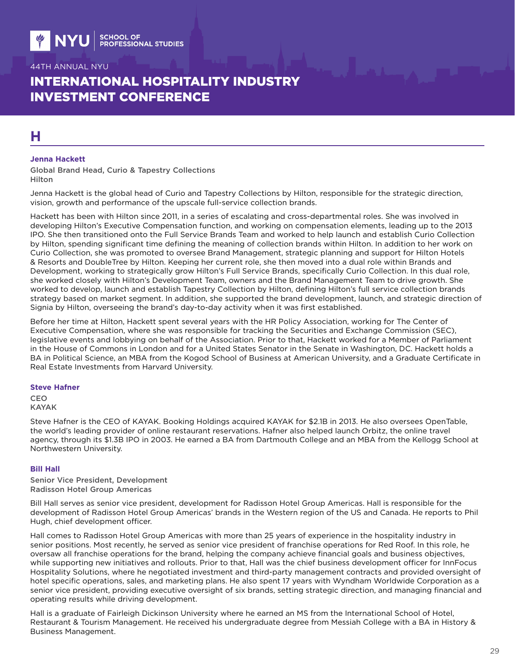# INTERNATIONAL HOSPITALITY INDUSTRY INVESTMENT CONFERENCE

# **H**

#### **Jenna Hackett**

Global Brand Head, Curio & Tapestry Collections Hilton

Jenna Hackett is the global head of Curio and Tapestry Collections by Hilton, responsible for the strategic direction, vision, growth and performance of the upscale full-service collection brands.

Hackett has been with Hilton since 2011, in a series of escalating and cross-departmental roles. She was involved in developing Hilton's Executive Compensation function, and working on compensation elements, leading up to the 2013 IPO. She then transitioned onto the Full Service Brands Team and worked to help launch and establish Curio Collection by Hilton, spending significant time defining the meaning of collection brands within Hilton. In addition to her work on Curio Collection, she was promoted to oversee Brand Management, strategic planning and support for Hilton Hotels & Resorts and DoubleTree by Hilton. Keeping her current role, she then moved into a dual role within Brands and Development, working to strategically grow Hilton's Full Service Brands, specifically Curio Collection. In this dual role, she worked closely with Hilton's Development Team, owners and the Brand Management Team to drive growth. She worked to develop, launch and establish Tapestry Collection by Hilton, defining Hilton's full service collection brands strategy based on market segment. In addition, she supported the brand development, launch, and strategic direction of Signia by Hilton, overseeing the brand's day-to-day activity when it was first established.

Before her time at Hilton, Hackett spent several years with the HR Policy Association, working for The Center of Executive Compensation, where she was responsible for tracking the Securities and Exchange Commission (SEC), legislative events and lobbying on behalf of the Association. Prior to that, Hackett worked for a Member of Parliament in the House of Commons in London and for a United States Senator in the Senate in Washington, DC. Hackett holds a BA in Political Science, an MBA from the Kogod School of Business at American University, and a Graduate Certificate in Real Estate Investments from Harvard University.

#### **Steve Hafner**

**CEO** KAYAK

Steve Hafner is the CEO of KAYAK. Booking Holdings acquired KAYAK for \$2.1B in 2013. He also oversees OpenTable, the world's leading provider of online restaurant reservations. Hafner also helped launch Orbitz, the online travel agency, through its \$1.3B IPO in 2003. He earned a BA from Dartmouth College and an MBA from the Kellogg School at Northwestern University.

#### **Bill Hall**

Senior Vice President, Development Radisson Hotel Group Americas

Bill Hall serves as senior vice president, development for Radisson Hotel Group Americas. Hall is responsible for the development of Radisson Hotel Group Americas' brands in the Western region of the US and Canada. He reports to Phil Hugh, chief development officer.

Hall comes to Radisson Hotel Group Americas with more than 25 years of experience in the hospitality industry in senior positions. Most recently, he served as senior vice president of franchise operations for Red Roof. In this role, he oversaw all franchise operations for the brand, helping the company achieve financial goals and business objectives, while supporting new initiatives and rollouts. Prior to that, Hall was the chief business development officer for InnFocus Hospitality Solutions, where he negotiated investment and third-party management contracts and provided oversight of hotel specific operations, sales, and marketing plans. He also spent 17 years with Wyndham Worldwide Corporation as a senior vice president, providing executive oversight of six brands, setting strategic direction, and managing financial and operating results while driving development.

Hall is a graduate of Fairleigh Dickinson University where he earned an MS from the International School of Hotel, Restaurant & Tourism Management. He received his undergraduate degree from Messiah College with a BA in History & Business Management.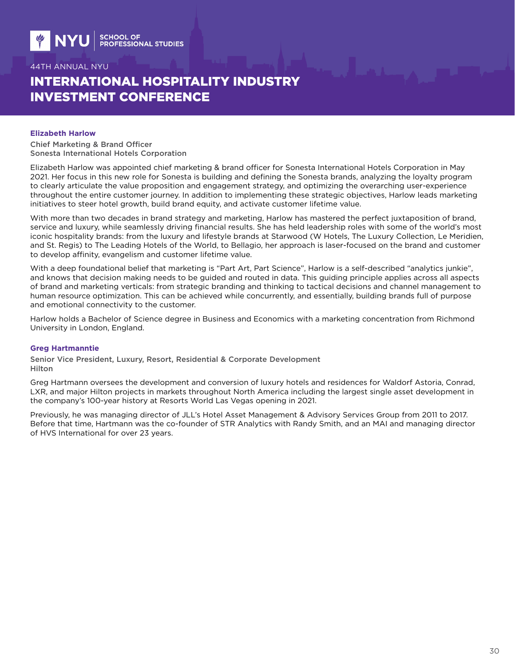# INTERNATIONAL HOSPITALITY INDUSTRY INVESTMENT CONFERENCE

#### **Elizabeth Harlow**

Chief Marketing & Brand Officer Sonesta International Hotels Corporation

Elizabeth Harlow was appointed chief marketing & brand officer for Sonesta International Hotels Corporation in May 2021. Her focus in this new role for Sonesta is building and defining the Sonesta brands, analyzing the loyalty program to clearly articulate the value proposition and engagement strategy, and optimizing the overarching user-experience throughout the entire customer journey. In addition to implementing these strategic objectives, Harlow leads marketing initiatives to steer hotel growth, build brand equity, and activate customer lifetime value.

With more than two decades in brand strategy and marketing, Harlow has mastered the perfect juxtaposition of brand, service and luxury, while seamlessly driving financial results. She has held leadership roles with some of the world's most iconic hospitality brands: from the luxury and lifestyle brands at Starwood (W Hotels, The Luxury Collection, Le Meridien, and St. Regis) to The Leading Hotels of the World, to Bellagio, her approach is laser-focused on the brand and customer to develop affinity, evangelism and customer lifetime value.

With a deep foundational belief that marketing is "Part Art, Part Science", Harlow is a self-described "analytics junkie", and knows that decision making needs to be guided and routed in data. This guiding principle applies across all aspects of brand and marketing verticals: from strategic branding and thinking to tactical decisions and channel management to human resource optimization. This can be achieved while concurrently, and essentially, building brands full of purpose and emotional connectivity to the customer.

Harlow holds a Bachelor of Science degree in Business and Economics with a marketing concentration from Richmond University in London, England.

#### **Greg Hartmanntie**

Senior Vice President, Luxury, Resort, Residential & Corporate Development Hilton

Greg Hartmann oversees the development and conversion of luxury hotels and residences for Waldorf Astoria, Conrad, LXR, and major Hilton projects in markets throughout North America including the largest single asset development in the company's 100-year history at Resorts World Las Vegas opening in 2021.

Previously, he was managing director of JLL's Hotel Asset Management & Advisory Services Group from 2011 to 2017. Before that time, Hartmann was the co-founder of STR Analytics with Randy Smith, and an MAI and managing director of HVS International for over 23 years.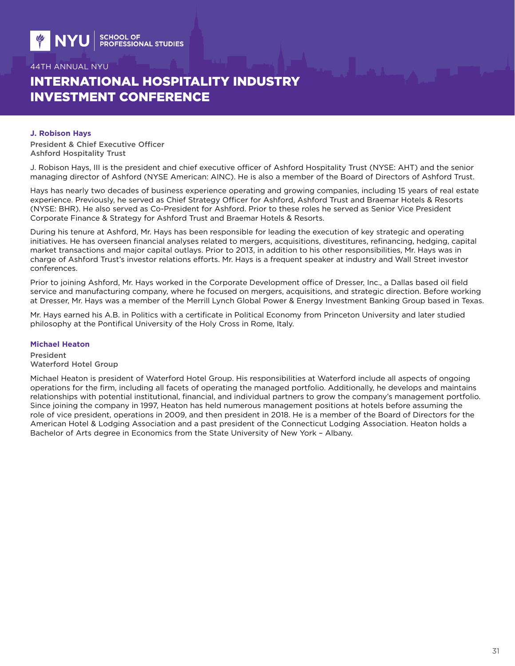# INTERNATIONAL HOSPITALITY INDUSTRY INVESTMENT CONFERENCE

#### **J. Robison Hays**

President & Chief Executive Officer Ashford Hospitality Trust

J. Robison Hays, III is the president and chief executive officer of Ashford Hospitality Trust (NYSE: AHT) and the senior managing director of Ashford (NYSE American: AINC). He is also a member of the Board of Directors of Ashford Trust.

Hays has nearly two decades of business experience operating and growing companies, including 15 years of real estate experience. Previously, he served as Chief Strategy Officer for Ashford, Ashford Trust and Braemar Hotels & Resorts (NYSE: BHR). He also served as Co-President for Ashford. Prior to these roles he served as Senior Vice President Corporate Finance & Strategy for Ashford Trust and Braemar Hotels & Resorts.

During his tenure at Ashford, Mr. Hays has been responsible for leading the execution of key strategic and operating initiatives. He has overseen financial analyses related to mergers, acquisitions, divestitures, refinancing, hedging, capital market transactions and major capital outlays. Prior to 2013, in addition to his other responsibilities, Mr. Hays was in charge of Ashford Trust's investor relations efforts. Mr. Hays is a frequent speaker at industry and Wall Street investor conferences.

Prior to joining Ashford, Mr. Hays worked in the Corporate Development office of Dresser, Inc., a Dallas based oil field service and manufacturing company, where he focused on mergers, acquisitions, and strategic direction. Before working at Dresser, Mr. Hays was a member of the Merrill Lynch Global Power & Energy Investment Banking Group based in Texas.

Mr. Hays earned his A.B. in Politics with a certificate in Political Economy from Princeton University and later studied philosophy at the Pontifical University of the Holy Cross in Rome, Italy.

#### **Michael Heaton**

President Waterford Hotel Group

Michael Heaton is president of Waterford Hotel Group. His responsibilities at Waterford include all aspects of ongoing operations for the firm, including all facets of operating the managed portfolio. Additionally, he develops and maintains relationships with potential institutional, financial, and individual partners to grow the company's management portfolio. Since joining the company in 1997, Heaton has held numerous management positions at hotels before assuming the role of vice president, operations in 2009, and then president in 2018. He is a member of the Board of Directors for the American Hotel & Lodging Association and a past president of the Connecticut Lodging Association. Heaton holds a Bachelor of Arts degree in Economics from the State University of New York – Albany.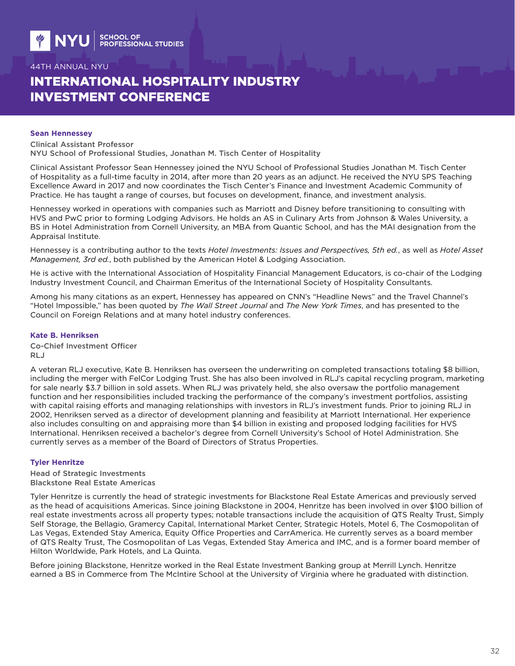# INTERNATIONAL HOSPITALITY INDUSTRY INVESTMENT CONFERENCE

#### **Sean Hennessey**

Clinical Assistant Professor NYU School of Professional Studies, Jonathan M. Tisch Center of Hospitality

Clinical Assistant Professor Sean Hennessey joined the NYU School of Professional Studies Jonathan M. Tisch Center of Hospitality as a full-time faculty in 2014, after more than 20 years as an adjunct. He received the NYU SPS Teaching Excellence Award in 2017 and now coordinates the Tisch Center's Finance and Investment Academic Community of Practice. He has taught a range of courses, but focuses on development, finance, and investment analysis.

Hennessey worked in operations with companies such as Marriott and Disney before transitioning to consulting with HVS and PwC prior to forming Lodging Advisors. He holds an AS in Culinary Arts from Johnson & Wales University, a BS in Hotel Administration from Cornell University, an MBA from Quantic School, and has the MAI designation from the Appraisal Institute.

Hennessey is a contributing author to the texts *Hotel Investments: Issues and Perspectives, 5th ed.*, as well as *Hotel Asset Management, 3rd ed.*, both published by the American Hotel & Lodging Association.

He is active with the International Association of Hospitality Financial Management Educators, is co-chair of the Lodging Industry Investment Council, and Chairman Emeritus of the International Society of Hospitality Consultants.

Among his many citations as an expert, Hennessey has appeared on CNN's "Headline News" and the Travel Channel's "Hotel Impossible," has been quoted by *The Wall Street Journal* and *The New York Times*, and has presented to the Council on Foreign Relations and at many hotel industry conferences.

### **Kate B. Henriksen**

Co-Chief Investment Officer RLJ

A veteran RLJ executive, Kate B. Henriksen has overseen the underwriting on completed transactions totaling \$8 billion, including the merger with FelCor Lodging Trust. She has also been involved in RLJ's capital recycling program, marketing for sale nearly \$3.7 billion in sold assets. When RLJ was privately held, she also oversaw the portfolio management function and her responsibilities included tracking the performance of the company's investment portfolios, assisting with capital raising efforts and managing relationships with investors in RLJ's investment funds. Prior to joining RLJ in 2002, Henriksen served as a director of development planning and feasibility at Marriott International. Her experience also includes consulting on and appraising more than \$4 billion in existing and proposed lodging facilities for HVS International. Henriksen received a bachelor's degree from Cornell University's School of Hotel Administration. She currently serves as a member of the Board of Directors of Stratus Properties.

### **Tyler Henritze**

Head of Strategic Investments Blackstone Real Estate Americas

Tyler Henritze is currently the head of strategic investments for Blackstone Real Estate Americas and previously served as the head of acquisitions Americas. Since joining Blackstone in 2004, Henritze has been involved in over \$100 billion of real estate investments across all property types; notable transactions include the acquisition of QTS Realty Trust, Simply Self Storage, the Bellagio, Gramercy Capital, International Market Center, Strategic Hotels, Motel 6, The Cosmopolitan of Las Vegas, Extended Stay America, Equity Office Properties and CarrAmerica. He currently serves as a board member of QTS Realty Trust, The Cosmopolitan of Las Vegas, Extended Stay America and IMC, and is a former board member of Hilton Worldwide, Park Hotels, and La Quinta.

Before joining Blackstone, Henritze worked in the Real Estate Investment Banking group at Merrill Lynch. Henritze earned a BS in Commerce from The McIntire School at the University of Virginia where he graduated with distinction.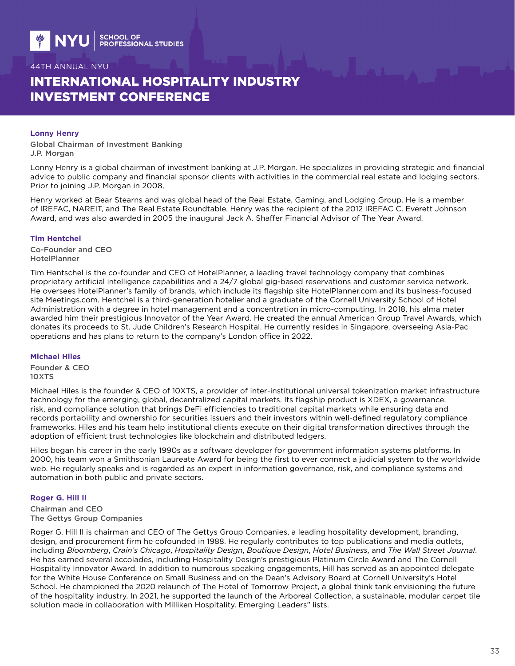# INTERNATIONAL HOSPITALITY INDUSTRY INVESTMENT CONFERENCE

#### **Lonny Henry**

Global Chairman of Investment Banking J.P. Morgan

Lonny Henry is a global chairman of investment banking at J.P. Morgan. He specializes in providing strategic and financial advice to public company and financial sponsor clients with activities in the commercial real estate and lodging sectors. Prior to joining J.P. Morgan in 2008,

Henry worked at Bear Stearns and was global head of the Real Estate, Gaming, and Lodging Group. He is a member of IREFAC, NAREIT, and The Real Estate Roundtable. Henry was the recipient of the 2012 IREFAC C. Everett Johnson Award, and was also awarded in 2005 the inaugural Jack A. Shaffer Financial Advisor of The Year Award.

#### **Tim Hentchel**

Co-Founder and CEO HotelPlanner

Tim Hentschel is the co-founder and CEO of HotelPlanner, a leading travel technology company that combines proprietary artificial intelligence capabilities and a 24/7 global gig-based reservations and customer service network. He oversees HotelPlanner's family of brands, which include its flagship site HotelPlanner.com and its business-focused site Meetings.com. Hentchel is a third-generation hotelier and a graduate of the Cornell University School of Hotel Administration with a degree in hotel management and a concentration in micro-computing. In 2018, his alma mater awarded him their prestigious Innovator of the Year Award. He created the annual American Group Travel Awards, which donates its proceeds to St. Jude Children's Research Hospital. He currently resides in Singapore, overseeing Asia-Pac operations and has plans to return to the company's London office in 2022.

#### **Michael Hiles**

Founder & CEO 10XTS

Michael Hiles is the founder & CEO of 10XTS, a provider of inter-institutional universal tokenization market infrastructure technology for the emerging, global, decentralized capital markets. Its flagship product is XDEX, a governance, risk, and compliance solution that brings DeFi efficiencies to traditional capital markets while ensuring data and records portability and ownership for securities issuers and their investors within well-defined regulatory compliance frameworks. Hiles and his team help institutional clients execute on their digital transformation directives through the adoption of efficient trust technologies like blockchain and distributed ledgers.

Hiles began his career in the early 1990s as a software developer for government information systems platforms. In 2000, his team won a Smithsonian Laureate Award for being the first to ever connect a judicial system to the worldwide web. He regularly speaks and is regarded as an expert in information governance, risk, and compliance systems and automation in both public and private sectors.

### **Roger G. Hill II**

Chairman and CEO The Gettys Group Companies

Roger G. Hill II is chairman and CEO of The Gettys Group Companies, a leading hospitality development, branding, design, and procurement firm he cofounded in 1988. He regularly contributes to top publications and media outlets, including *Bloomberg*, *Crain's Chicago*, *Hospitality Design*, *Boutique Design*, *Hotel Business*, and *The Wall Street Journal*. He has earned several accolades, including Hospitality Design's prestigious Platinum Circle Award and The Cornell Hospitality Innovator Award. In addition to numerous speaking engagements, Hill has served as an appointed delegate for the White House Conference on Small Business and on the Dean's Advisory Board at Cornell University's Hotel School. He championed the 2020 relaunch of The Hotel of Tomorrow Project, a global think tank envisioning the future of the hospitality industry. In 2021, he supported the launch of the Arboreal Collection, a sustainable, modular carpet tile solution made in collaboration with Milliken Hospitality. Emerging Leaders" lists.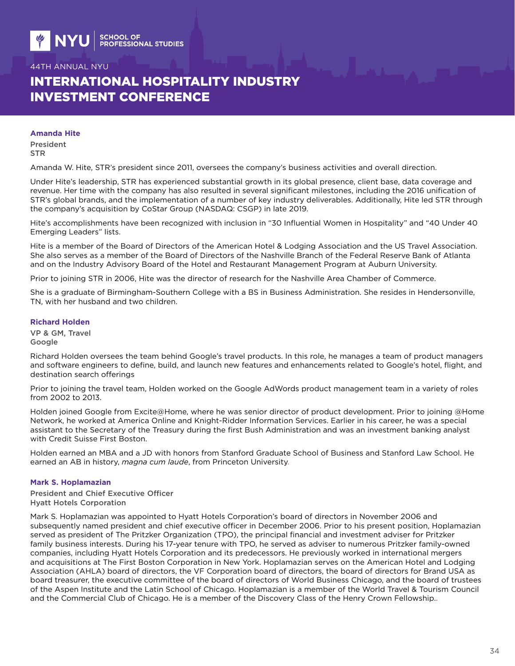# INTERNATIONAL HOSPITALITY INDUSTRY INVESTMENT CONFERENCE

#### **Amanda Hite**

President **STR** 

Amanda W. Hite, STR's president since 2011, oversees the company's business activities and overall direction.

Under Hite's leadership, STR has experienced substantial growth in its global presence, client base, data coverage and revenue. Her time with the company has also resulted in several significant milestones, including the 2016 unification of STR's global brands, and the implementation of a number of key industry deliverables. Additionally, Hite led STR through the company's acquisition by CoStar Group (NASDAQ: CSGP) in late 2019.

Hite's accomplishments have been recognized with inclusion in "30 Influential Women in Hospitality" and "40 Under 40 Emerging Leaders" lists.

Hite is a member of the Board of Directors of the American Hotel & Lodging Association and the US Travel Association. She also serves as a member of the Board of Directors of the Nashville Branch of the Federal Reserve Bank of Atlanta and on the Industry Advisory Board of the Hotel and Restaurant Management Program at Auburn University.

Prior to joining STR in 2006, Hite was the director of research for the Nashville Area Chamber of Commerce.

She is a graduate of Birmingham-Southern College with a BS in Business Administration. She resides in Hendersonville, TN, with her husband and two children.

#### **Richard Holden**

VP & GM, Travel Google

Richard Holden oversees the team behind Google's travel products. In this role, he manages a team of product managers and software engineers to define, build, and launch new features and enhancements related to Google's hotel, flight, and destination search offerings

Prior to joining the travel team, Holden worked on the Google AdWords product management team in a variety of roles from 2002 to 2013.

Holden joined Google from Excite@Home, where he was senior director of product development. Prior to joining @Home Network, he worked at America Online and Knight-Ridder Information Services. Earlier in his career, he was a special assistant to the Secretary of the Treasury during the first Bush Administration and was an investment banking analyst with Credit Suisse First Boston.

Holden earned an MBA and a JD with honors from Stanford Graduate School of Business and Stanford Law School. He earned an AB in history, *magna cum laude*, from Princeton University.

### **Mark S. Hoplamazian**

President and Chief Executive Officer Hyatt Hotels Corporation

Mark S. Hoplamazian was appointed to Hyatt Hotels Corporation's board of directors in November 2006 and subsequently named president and chief executive officer in December 2006. Prior to his present position, Hoplamazian served as president of The Pritzker Organization (TPO), the principal financial and investment adviser for Pritzker family business interests. During his 17-year tenure with TPO, he served as adviser to numerous Pritzker family-owned companies, including Hyatt Hotels Corporation and its predecessors. He previously worked in international mergers and acquisitions at The First Boston Corporation in New York. Hoplamazian serves on the American Hotel and Lodging Association (AHLA) board of directors, the VF Corporation board of directors, the board of directors for Brand USA as board treasurer, the executive committee of the board of directors of World Business Chicago, and the board of trustees of the Aspen Institute and the Latin School of Chicago. Hoplamazian is a member of the World Travel & Tourism Council and the Commercial Club of Chicago. He is a member of the Discovery Class of the Henry Crown Fellowship..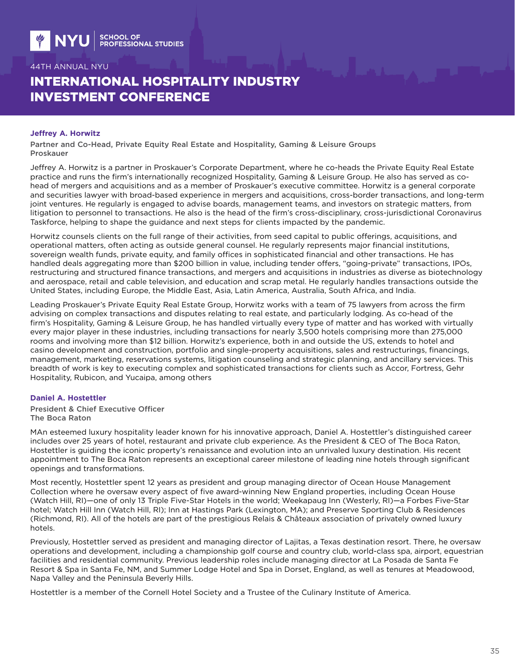# INTERNATIONAL HOSPITALITY INDUSTRY INVESTMENT CONFERENCE

#### **Jeffrey A. Horwitz**

Partner and Co-Head, Private Equity Real Estate and Hospitality, Gaming & Leisure Groups Proskauer

Jeffrey A. Horwitz is a partner in Proskauer's Corporate Department, where he co-heads the Private Equity Real Estate practice and runs the firm's internationally recognized Hospitality, Gaming & Leisure Group. He also has served as cohead of mergers and acquisitions and as a member of Proskauer's executive committee. Horwitz is a general corporate and securities lawyer with broad-based experience in mergers and acquisitions, cross-border transactions, and long-term joint ventures. He regularly is engaged to advise boards, management teams, and investors on strategic matters, from litigation to personnel to transactions. He also is the head of the firm's cross-disciplinary, cross-jurisdictional Coronavirus Taskforce, helping to shape the guidance and next steps for clients impacted by the pandemic.

Horwitz counsels clients on the full range of their activities, from seed capital to public offerings, acquisitions, and operational matters, often acting as outside general counsel. He regularly represents major financial institutions, sovereign wealth funds, private equity, and family offices in sophisticated financial and other transactions. He has handled deals aggregating more than \$200 billion in value, including tender offers, "going-private" transactions, IPOs, restructuring and structured finance transactions, and mergers and acquisitions in industries as diverse as biotechnology and aerospace, retail and cable television, and education and scrap metal. He regularly handles transactions outside the United States, including Europe, the Middle East, Asia, Latin America, Australia, South Africa, and India.

Leading Proskauer's Private Equity Real Estate Group, Horwitz works with a team of 75 lawyers from across the firm advising on complex transactions and disputes relating to real estate, and particularly lodging. As co-head of the firm's Hospitality, Gaming & Leisure Group, he has handled virtually every type of matter and has worked with virtually every major player in these industries, including transactions for nearly 3,500 hotels comprising more than 275,000 rooms and involving more than \$12 billion. Horwitz's experience, both in and outside the US, extends to hotel and casino development and construction, portfolio and single-property acquisitions, sales and restructurings, financings, management, marketing, reservations systems, litigation counseling and strategic planning, and ancillary services. This breadth of work is key to executing complex and sophisticated transactions for clients such as Accor, Fortress, Gehr Hospitality, Rubicon, and Yucaipa, among others

### **Daniel A. Hostettler**

President & Chief Executive Officer The Boca Raton

MAn esteemed luxury hospitality leader known for his innovative approach, Daniel A. Hostettler's distinguished career includes over 25 years of hotel, restaurant and private club experience. As the President & CEO of The Boca Raton, Hostettler is guiding the iconic property's renaissance and evolution into an unrivaled luxury destination. His recent appointment to The Boca Raton represents an exceptional career milestone of leading nine hotels through significant openings and transformations.

Most recently, Hostettler spent 12 years as president and group managing director of Ocean House Management Collection where he oversaw every aspect of five award-winning New England properties, including Ocean House (Watch Hill, RI)—one of only 13 Triple Five-Star Hotels in the world; Weekapaug Inn (Westerly, RI)—a Forbes Five-Star hotel; Watch Hill Inn (Watch Hill, RI); Inn at Hastings Park (Lexington, MA); and Preserve Sporting Club & Residences (Richmond, RI). All of the hotels are part of the prestigious Relais & Châteaux association of privately owned luxury hotels.

Previously, Hostettler served as president and managing director of Lajitas, a Texas destination resort. There, he oversaw operations and development, including a championship golf course and country club, world-class spa, airport, equestrian facilities and residential community. Previous leadership roles include managing director at La Posada de Santa Fe Resort & Spa in Santa Fe, NM, and Summer Lodge Hotel and Spa in Dorset, England, as well as tenures at Meadowood, Napa Valley and the Peninsula Beverly Hills.

Hostettler is a member of the Cornell Hotel Society and a Trustee of the Culinary Institute of America.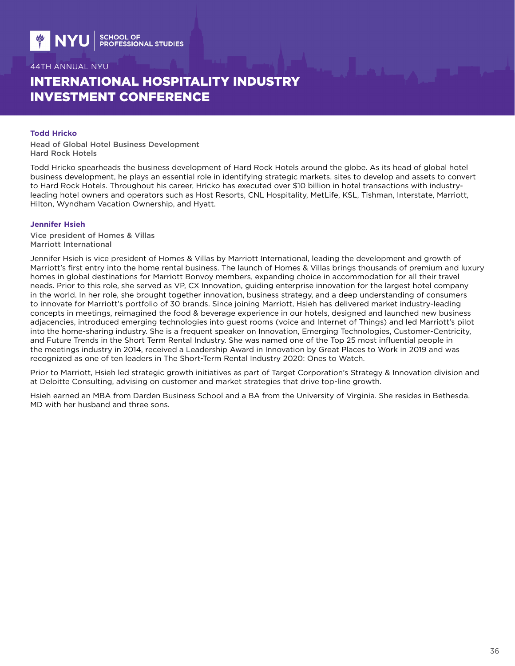# INTERNATIONAL HOSPITALITY INDUSTRY INVESTMENT CONFERENCE

### **Todd Hricko**

Head of Global Hotel Business Development Hard Rock Hotels

Todd Hricko spearheads the business development of Hard Rock Hotels around the globe. As its head of global hotel business development, he plays an essential role in identifying strategic markets, sites to develop and assets to convert to Hard Rock Hotels. Throughout his career, Hricko has executed over \$10 billion in hotel transactions with industryleading hotel owners and operators such as Host Resorts, CNL Hospitality, MetLife, KSL, Tishman, Interstate, Marriott, Hilton, Wyndham Vacation Ownership, and Hyatt.

#### **Jennifer Hsieh**

Vice president of Homes & Villas Marriott International

Jennifer Hsieh is vice president of Homes & Villas by Marriott International, leading the development and growth of Marriott's first entry into the home rental business. The launch of Homes & Villas brings thousands of premium and luxury homes in global destinations for Marriott Bonvoy members, expanding choice in accommodation for all their travel needs. Prior to this role, she served as VP, CX Innovation, guiding enterprise innovation for the largest hotel company in the world. In her role, she brought together innovation, business strategy, and a deep understanding of consumers to innovate for Marriott's portfolio of 30 brands. Since joining Marriott, Hsieh has delivered market industry-leading concepts in meetings, reimagined the food & beverage experience in our hotels, designed and launched new business adjacencies, introduced emerging technologies into guest rooms (voice and Internet of Things) and led Marriott's pilot into the home-sharing industry. She is a frequent speaker on Innovation, Emerging Technologies, Customer-Centricity, and Future Trends in the Short Term Rental Industry. She was named one of the Top 25 most influential people in the meetings industry in 2014, received a Leadership Award in Innovation by Great Places to Work in 2019 and was recognized as one of ten leaders in The Short-Term Rental Industry 2020: Ones to Watch.

Prior to Marriott, Hsieh led strategic growth initiatives as part of Target Corporation's Strategy & Innovation division and at Deloitte Consulting, advising on customer and market strategies that drive top-line growth.

Hsieh earned an MBA from Darden Business School and a BA from the University of Virginia. She resides in Bethesda, MD with her husband and three sons.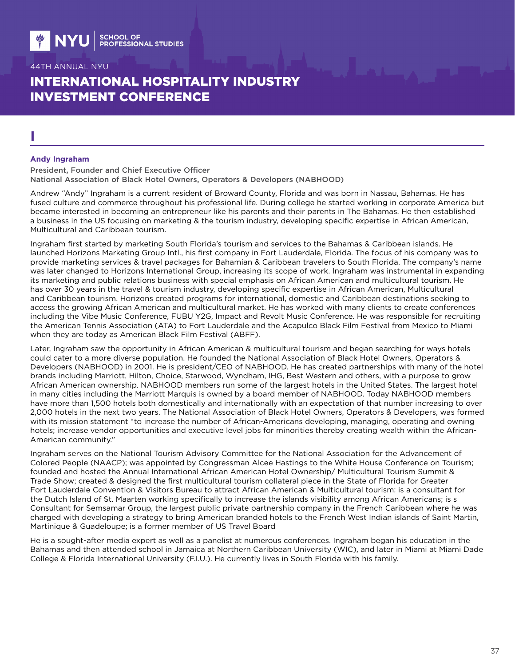# INTERNATIONAL HOSPITALITY INDUSTRY INVESTMENT CONFERENCE

# **I**

#### **Andy Ingraham**

President, Founder and Chief Executive Officer National Association of Black Hotel Owners, Operators & Developers (NABHOOD)

Andrew "Andy" Ingraham is a current resident of Broward County, Florida and was born in Nassau, Bahamas. He has fused culture and commerce throughout his professional life. During college he started working in corporate America but became interested in becoming an entrepreneur like his parents and their parents in The Bahamas. He then established a business in the US focusing on marketing & the tourism industry, developing specific expertise in African American, Multicultural and Caribbean tourism.

Ingraham first started by marketing South Florida's tourism and services to the Bahamas & Caribbean islands. He launched Horizons Marketing Group Intl., his first company in Fort Lauderdale, Florida. The focus of his company was to provide marketing services & travel packages for Bahamian & Caribbean travelers to South Florida. The company's name was later changed to Horizons International Group, increasing its scope of work. Ingraham was instrumental in expanding its marketing and public relations business with special emphasis on African American and multicultural tourism. He has over 30 years in the travel & tourism industry, developing specific expertise in African American, Multicultural and Caribbean tourism. Horizons created programs for international, domestic and Caribbean destinations seeking to access the growing African American and multicultural market. He has worked with many clients to create conferences including the Vibe Music Conference, FUBU Y2G, Impact and Revolt Music Conference. He was responsible for recruiting the American Tennis Association (ATA) to Fort Lauderdale and the Acapulco Black Film Festival from Mexico to Miami when they are today as American Black Film Festival (ABFF).

Later, Ingraham saw the opportunity in African American & multicultural tourism and began searching for ways hotels could cater to a more diverse population. He founded the National Association of Black Hotel Owners, Operators & Developers (NABHOOD) in 2001. He is president/CEO of NABHOOD. He has created partnerships with many of the hotel brands including Marriott, Hilton, Choice, Starwood, Wyndham, IHG, Best Western and others, with a purpose to grow African American ownership. NABHOOD members run some of the largest hotels in the United States. The largest hotel in many cities including the Marriott Marquis is owned by a board member of NABHOOD. Today NABHOOD members have more than 1,500 hotels both domestically and internationally with an expectation of that number increasing to over 2,000 hotels in the next two years. The National Association of Black Hotel Owners, Operators & Developers, was formed with its mission statement "to increase the number of African-Americans developing, managing, operating and owning hotels; increase vendor opportunities and executive level jobs for minorities thereby creating wealth within the African-American community."

Ingraham serves on the National Tourism Advisory Committee for the National Association for the Advancement of Colored People (NAACP); was appointed by Congressman Alcee Hastings to the White House Conference on Tourism; founded and hosted the Annual International African American Hotel Ownership/ Multicultural Tourism Summit & Trade Show; created & designed the first multicultural tourism collateral piece in the State of Florida for Greater Fort Lauderdale Convention & Visitors Bureau to attract African American & Multicultural tourism; is a consultant for the Dutch Island of St. Maarten working specifically to increase the islands visibility among African Americans; is s Consultant for Semsamar Group, the largest public private partnership company in the French Caribbean where he was charged with developing a strategy to bring American branded hotels to the French West Indian islands of Saint Martin, Martinique & Guadeloupe; is a former member of US Travel Board

He is a sought-after media expert as well as a panelist at numerous conferences. Ingraham began his education in the Bahamas and then attended school in Jamaica at Northern Caribbean University (WIC), and later in Miami at Miami Dade College & Florida International University (F.I.U.). He currently lives in South Florida with his family.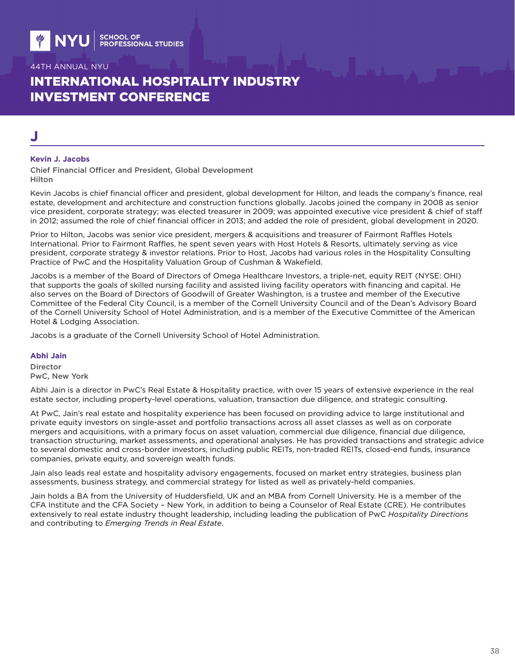# INTERNATIONAL HOSPITALITY INDUSTRY INVESTMENT CONFERENCE

# **J**

#### **Kevin J. Jacobs**

Chief Financial Officer and President, Global Development Hilton

Kevin Jacobs is chief financial officer and president, global development for Hilton, and leads the company's finance, real estate, development and architecture and construction functions globally. Jacobs joined the company in 2008 as senior vice president, corporate strategy; was elected treasurer in 2009; was appointed executive vice president & chief of staff in 2012; assumed the role of chief financial officer in 2013; and added the role of president, global development in 2020.

Prior to Hilton, Jacobs was senior vice president, mergers & acquisitions and treasurer of Fairmont Raffles Hotels International. Prior to Fairmont Raffles, he spent seven years with Host Hotels & Resorts, ultimately serving as vice president, corporate strategy & investor relations. Prior to Host, Jacobs had various roles in the Hospitality Consulting Practice of PwC and the Hospitality Valuation Group of Cushman & Wakefield.

Jacobs is a member of the Board of Directors of Omega Healthcare Investors, a triple-net, equity REIT (NYSE: OHI) that supports the goals of skilled nursing facility and assisted living facility operators with financing and capital. He also serves on the Board of Directors of Goodwill of Greater Washington, is a trustee and member of the Executive Committee of the Federal City Council, is a member of the Cornell University Council and of the Dean's Advisory Board of the Cornell University School of Hotel Administration, and is a member of the Executive Committee of the American Hotel & Lodging Association.

Jacobs is a graduate of the Cornell University School of Hotel Administration.

#### **Abhi Jain**

Director PwC, New York

Abhi Jain is a director in PwC's Real Estate & Hospitality practice, with over 15 years of extensive experience in the real estate sector, including property-level operations, valuation, transaction due diligence, and strategic consulting.

At PwC, Jain's real estate and hospitality experience has been focused on providing advice to large institutional and private equity investors on single-asset and portfolio transactions across all asset classes as well as on corporate mergers and acquisitions, with a primary focus on asset valuation, commercial due diligence, financial due diligence, transaction structuring, market assessments, and operational analyses. He has provided transactions and strategic advice to several domestic and cross-border investors, including public REITs, non-traded REITs, closed-end funds, insurance companies, private equity, and sovereign wealth funds.

Jain also leads real estate and hospitality advisory engagements, focused on market entry strategies, business plan assessments, business strategy, and commercial strategy for listed as well as privately-held companies.

Jain holds a BA from the University of Huddersfield, UK and an MBA from Cornell University. He is a member of the CFA Institute and the CFA Society – New York, in addition to being a Counselor of Real Estate (CRE). He contributes extensively to real estate industry thought leadership, including leading the publication of PwC *Hospitality Directions* and contributing to *Emerging Trends in Real Estate*.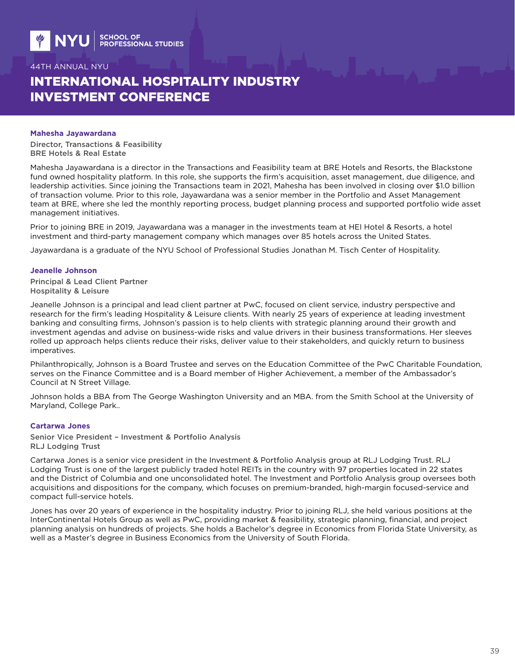# INTERNATIONAL HOSPITALITY INDUSTRY INVESTMENT CONFERENCE

#### **Mahesha Jayawardana**

Director, Transactions & Feasibility BRE Hotels & Real Estate

Mahesha Jayawardana is a director in the Transactions and Feasibility team at BRE Hotels and Resorts, the Blackstone fund owned hospitality platform. In this role, she supports the firm's acquisition, asset management, due diligence, and leadership activities. Since joining the Transactions team in 2021, Mahesha has been involved in closing over \$1.0 billion of transaction volume. Prior to this role, Jayawardana was a senior member in the Portfolio and Asset Management team at BRE, where she led the monthly reporting process, budget planning process and supported portfolio wide asset management initiatives.

Prior to joining BRE in 2019, Jayawardana was a manager in the investments team at HEI Hotel & Resorts, a hotel investment and third-party management company which manages over 85 hotels across the United States.

Jayawardana is a graduate of the NYU School of Professional Studies Jonathan M. Tisch Center of Hospitality.

#### **Jeanelle Johnson**

Principal & Lead Client Partner Hospitality & Leisure

Jeanelle Johnson is a principal and lead client partner at PwC, focused on client service, industry perspective and research for the firm's leading Hospitality & Leisure clients. With nearly 25 years of experience at leading investment banking and consulting firms, Johnson's passion is to help clients with strategic planning around their growth and investment agendas and advise on business-wide risks and value drivers in their business transformations. Her sleeves rolled up approach helps clients reduce their risks, deliver value to their stakeholders, and quickly return to business imperatives.

Philanthropically, Johnson is a Board Trustee and serves on the Education Committee of the PwC Charitable Foundation, serves on the Finance Committee and is a Board member of Higher Achievement, a member of the Ambassador's Council at N Street Village.

Johnson holds a BBA from The George Washington University and an MBA. from the Smith School at the University of Maryland, College Park..

#### **Cartarwa Jones**

Senior Vice President – Investment & Portfolio Analysis RLJ Lodging Trust

Cartarwa Jones is a senior vice president in the Investment & Portfolio Analysis group at RLJ Lodging Trust. RLJ Lodging Trust is one of the largest publicly traded hotel REITs in the country with 97 properties located in 22 states and the District of Columbia and one unconsolidated hotel. The Investment and Portfolio Analysis group oversees both acquisitions and dispositions for the company, which focuses on premium-branded, high-margin focused-service and compact full-service hotels.

Jones has over 20 years of experience in the hospitality industry. Prior to joining RLJ, she held various positions at the InterContinental Hotels Group as well as PwC, providing market & feasibility, strategic planning, financial, and project planning analysis on hundreds of projects. She holds a Bachelor's degree in Economics from Florida State University, as well as a Master's degree in Business Economics from the University of South Florida.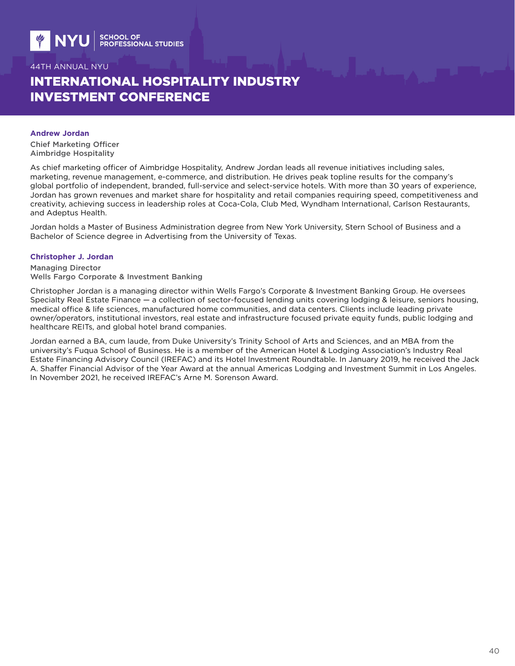# INTERNATIONAL HOSPITALITY INDUSTRY INVESTMENT CONFERENCE

#### **Andrew Jordan**

Chief Marketing Officer Aimbridge Hospitality

As chief marketing officer of Aimbridge Hospitality, Andrew Jordan leads all revenue initiatives including sales, marketing, revenue management, e-commerce, and distribution. He drives peak topline results for the company's global portfolio of independent, branded, full-service and select-service hotels. With more than 30 years of experience, Jordan has grown revenues and market share for hospitality and retail companies requiring speed, competitiveness and creativity, achieving success in leadership roles at Coca-Cola, Club Med, Wyndham International, Carlson Restaurants, and Adeptus Health.

Jordan holds a Master of Business Administration degree from New York University, Stern School of Business and a Bachelor of Science degree in Advertising from the University of Texas.

### **Christopher J. Jordan**

Managing Director Wells Fargo Corporate & Investment Banking

Christopher Jordan is a managing director within Wells Fargo's Corporate & Investment Banking Group. He oversees Specialty Real Estate Finance — a collection of sector-focused lending units covering lodging & leisure, seniors housing, medical office & life sciences, manufactured home communities, and data centers. Clients include leading private owner/operators, institutional investors, real estate and infrastructure focused private equity funds, public lodging and healthcare REITs, and global hotel brand companies.

Jordan earned a BA, cum laude, from Duke University's Trinity School of Arts and Sciences, and an MBA from the university's Fuqua School of Business. He is a member of the American Hotel & Lodging Association's Industry Real Estate Financing Advisory Council (IREFAC) and its Hotel Investment Roundtable. In January 2019, he received the Jack A. Shaffer Financial Advisor of the Year Award at the annual Americas Lodging and Investment Summit in Los Angeles. In November 2021, he received IREFAC's Arne M. Sorenson Award.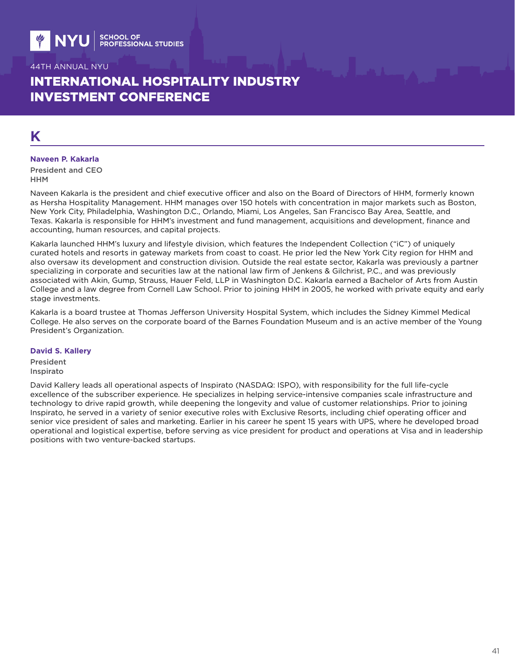# INTERNATIONAL HOSPITALITY INDUSTRY INVESTMENT CONFERENCE

# **K**

#### **Naveen P. Kakarla**

President and CEO HHM

Naveen Kakarla is the president and chief executive officer and also on the Board of Directors of HHM, formerly known as Hersha Hospitality Management. HHM manages over 150 hotels with concentration in major markets such as Boston, New York City, Philadelphia, Washington D.C., Orlando, Miami, Los Angeles, San Francisco Bay Area, Seattle, and Texas. Kakarla is responsible for HHM's investment and fund management, acquisitions and development, finance and accounting, human resources, and capital projects.

Kakarla launched HHM's luxury and lifestyle division, which features the Independent Collection ("iC") of uniquely curated hotels and resorts in gateway markets from coast to coast. He prior led the New York City region for HHM and also oversaw its development and construction division. Outside the real estate sector, Kakarla was previously a partner specializing in corporate and securities law at the national law firm of Jenkens & Gilchrist, P.C., and was previously associated with Akin, Gump, Strauss, Hauer Feld, LLP in Washington D.C. Kakarla earned a Bachelor of Arts from Austin College and a law degree from Cornell Law School. Prior to joining HHM in 2005, he worked with private equity and early stage investments.

Kakarla is a board trustee at Thomas Jefferson University Hospital System, which includes the Sidney Kimmel Medical College. He also serves on the corporate board of the Barnes Foundation Museum and is an active member of the Young President's Organization.

#### **David S. Kallery**

President Inspirato

David Kallery leads all operational aspects of Inspirato (NASDAQ: ISPO), with responsibility for the full life-cycle excellence of the subscriber experience. He specializes in helping service-intensive companies scale infrastructure and technology to drive rapid growth, while deepening the longevity and value of customer relationships. Prior to joining Inspirato, he served in a variety of senior executive roles with Exclusive Resorts, including chief operating officer and senior vice president of sales and marketing. Earlier in his career he spent 15 years with UPS, where he developed broad operational and logistical expertise, before serving as vice president for product and operations at Visa and in leadership positions with two venture-backed startups.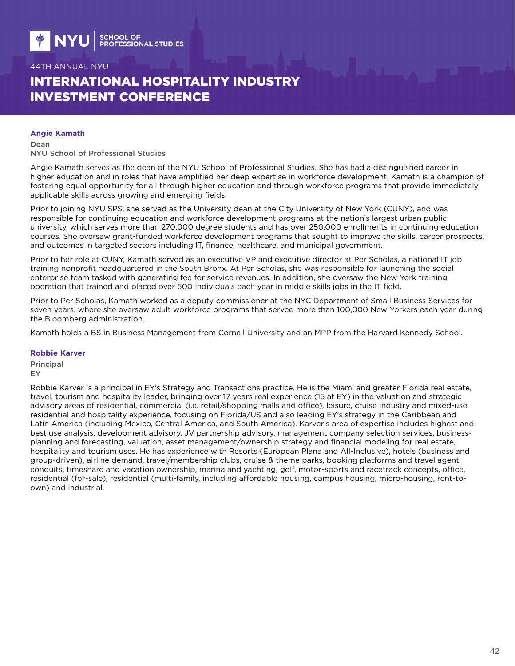# INTERNATIONAL HOSPITALITY INDUSTRY INVESTMENT CONFERENCE

#### **Angie Kamath**

Dean NYU School of Professional Studies

Angie Kamath serves as the dean of the NYU School of Professional Studies. She has had a distinguished career in higher education and in roles that have amplified her deep expertise in workforce development. Kamath is a champion of fostering equal opportunity for all through higher education and through workforce programs that provide immediately applicable skills across growing and emerging fields.

Prior to joining NYU SPS, she served as the University dean at the City University of New York (CUNY), and was responsible for continuing education and workforce development programs at the nation's largest urban public university, which serves more than 270,000 degree students and has over 250,000 enrollments in continuing education courses. She oversaw grant-funded workforce development programs that sought to improve the skills, career prospects, and outcomes in targeted sectors including IT, finance, healthcare, and municipal government.

Prior to her role at CUNY, Kamath served as an executive VP and executive director at Per Scholas, a national IT job training nonprofit headquartered in the South Bronx. At Per Scholas, she was responsible for launching the social enterprise team tasked with generating fee for service revenues. In addition, she oversaw the New York training operation that trained and placed over 500 individuals each year in middle skills jobs in the IT field.

Prior to Per Scholas, Kamath worked as a deputy commissioner at the NYC Department of Small Business Services for seven years, where she oversaw adult workforce programs that served more than 100,000 New Yorkers each year during the Bloomberg administration.

Kamath holds a BS in Business Management from Cornell University and an MPP from the Harvard Kennedy School.

#### **Robbie Karver**

Principal EY

Robbie Karver is a principal in EY's Strategy and Transactions practice. He is the Miami and greater Florida real estate, travel, tourism and hospitality leader, bringing over 17 years real experience (15 at EY) in the valuation and strategic advisory areas of residential, commercial (i.e. retail/shopping malls and office), leisure, cruise industry and mixed-use residential and hospitality experience, focusing on Florida/US and also leading EY's strategy in the Caribbean and Latin America (including Mexico, Central America, and South America). Karver's area of expertise includes highest and best use analysis, development advisory, JV partnership advisory, management company selection services, businessplanning and forecasting, valuation, asset management/ownership strategy and financial modeling for real estate, hospitality and tourism uses. He has experience with Resorts (European Plana and All-Inclusive), hotels (business and group-driven), airline demand, travel/membership clubs, cruise & theme parks, booking platforms and travel agent conduits, timeshare and vacation ownership, marina and yachting, golf, motor-sports and racetrack concepts, office, residential (for-sale), residential (multi-family, including affordable housing, campus housing, micro-housing, rent-toown) and industrial.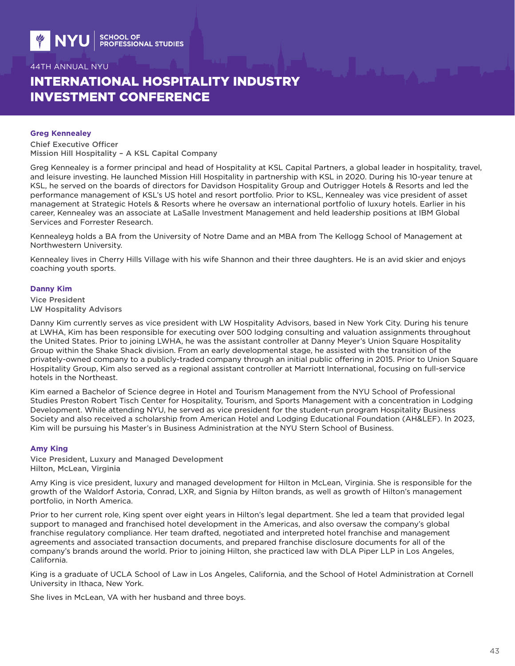# INTERNATIONAL HOSPITALITY INDUSTRY INVESTMENT CONFERENCE

#### **Greg Kennealey**

Chief Executive Officer Mission Hill Hospitality – A KSL Capital Company

Greg Kennealey is a former principal and head of Hospitality at KSL Capital Partners, a global leader in hospitality, travel, and leisure investing. He launched Mission Hill Hospitality in partnership with KSL in 2020. During his 10-year tenure at KSL, he served on the boards of directors for Davidson Hospitality Group and Outrigger Hotels & Resorts and led the performance management of KSL's US hotel and resort portfolio. Prior to KSL, Kennealey was vice president of asset management at Strategic Hotels & Resorts where he oversaw an international portfolio of luxury hotels. Earlier in his career, Kennealey was an associate at LaSalle Investment Management and held leadership positions at IBM Global Services and Forrester Research.

Kennealeyg holds a BA from the University of Notre Dame and an MBA from The Kellogg School of Management at Northwestern University.

Kennealey lives in Cherry Hills Village with his wife Shannon and their three daughters. He is an avid skier and enjoys coaching youth sports.

#### **Danny Kim**

Vice President LW Hospitality Advisors

Danny Kim currently serves as vice president with LW Hospitality Advisors, based in New York City. During his tenure at LWHA, Kim has been responsible for executing over 500 lodging consulting and valuation assignments throughout the United States. Prior to joining LWHA, he was the assistant controller at Danny Meyer's Union Square Hospitality Group within the Shake Shack division. From an early developmental stage, he assisted with the transition of the privately-owned company to a publicly-traded company through an initial public offering in 2015. Prior to Union Square Hospitality Group, Kim also served as a regional assistant controller at Marriott International, focusing on full-service hotels in the Northeast.

Kim earned a Bachelor of Science degree in Hotel and Tourism Management from the NYU School of Professional Studies Preston Robert Tisch Center for Hospitality, Tourism, and Sports Management with a concentration in Lodging Development. While attending NYU, he served as vice president for the student-run program Hospitality Business Society and also received a scholarship from American Hotel and Lodging Educational Foundation (AH&LEF). In 2023, Kim will be pursuing his Master's in Business Administration at the NYU Stern School of Business.

### **Amy King**

Vice President, Luxury and Managed Development Hilton, McLean, Virginia

Amy King is vice president, luxury and managed development for Hilton in McLean, Virginia. She is responsible for the growth of the Waldorf Astoria, Conrad, LXR, and Signia by Hilton brands, as well as growth of Hilton's management portfolio, in North America.

Prior to her current role, King spent over eight years in Hilton's legal department. She led a team that provided legal support to managed and franchised hotel development in the Americas, and also oversaw the company's global franchise regulatory compliance. Her team drafted, negotiated and interpreted hotel franchise and management agreements and associated transaction documents, and prepared franchise disclosure documents for all of the company's brands around the world. Prior to joining Hilton, she practiced law with DLA Piper LLP in Los Angeles, California.

King is a graduate of UCLA School of Law in Los Angeles, California, and the School of Hotel Administration at Cornell University in Ithaca, New York.

She lives in McLean, VA with her husband and three boys.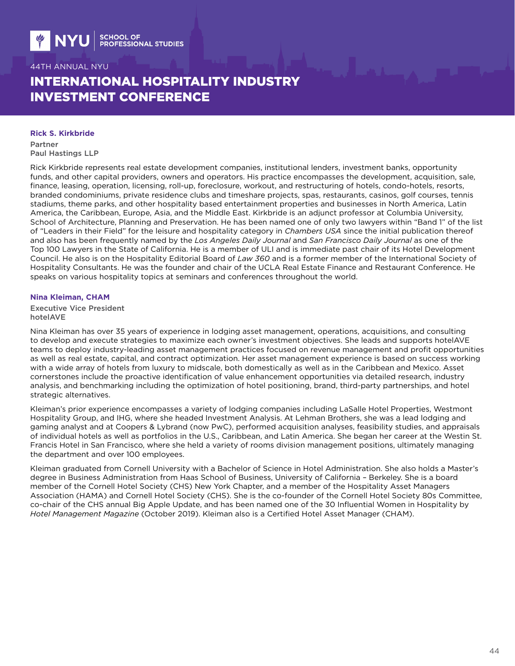# INTERNATIONAL HOSPITALITY INDUSTRY INVESTMENT CONFERENCE

#### **Rick S. Kirkbride**

Partner Paul Hastings LLP

Rick Kirkbride represents real estate development companies, institutional lenders, investment banks, opportunity funds, and other capital providers, owners and operators. His practice encompasses the development, acquisition, sale, finance, leasing, operation, licensing, roll-up, foreclosure, workout, and restructuring of hotels, condo-hotels, resorts, branded condominiums, private residence clubs and timeshare projects, spas, restaurants, casinos, golf courses, tennis stadiums, theme parks, and other hospitality based entertainment properties and businesses in North America, Latin America, the Caribbean, Europe, Asia, and the Middle East. Kirkbride is an adjunct professor at Columbia University, School of Architecture, Planning and Preservation. He has been named one of only two lawyers within "Band 1" of the list of "Leaders in their Field" for the leisure and hospitality category in *Chambers USA* since the initial publication thereof and also has been frequently named by the *Los Angeles Daily Journal* and *San Francisco Daily Journal* as one of the Top 100 Lawyers in the State of California. He is a member of ULI and is immediate past chair of its Hotel Development Council. He also is on the Hospitality Editorial Board of *Law 360* and is a former member of the International Society of Hospitality Consultants. He was the founder and chair of the UCLA Real Estate Finance and Restaurant Conference. He speaks on various hospitality topics at seminars and conferences throughout the world.

#### **Nina Kleiman, CHAM**

Executive Vice President hotelAVE

Nina Kleiman has over 35 years of experience in lodging asset management, operations, acquisitions, and consulting to develop and execute strategies to maximize each owner's investment objectives. She leads and supports hotelAVE teams to deploy industry-leading asset management practices focused on revenue management and profit opportunities as well as real estate, capital, and contract optimization. Her asset management experience is based on success working with a wide array of hotels from luxury to midscale, both domestically as well as in the Caribbean and Mexico. Asset cornerstones include the proactive identification of value enhancement opportunities via detailed research, industry analysis, and benchmarking including the optimization of hotel positioning, brand, third-party partnerships, and hotel strategic alternatives.

Kleiman's prior experience encompasses a variety of lodging companies including LaSalle Hotel Properties, Westmont Hospitality Group, and IHG, where she headed Investment Analysis. At Lehman Brothers, she was a lead lodging and gaming analyst and at Coopers & Lybrand (now PwC), performed acquisition analyses, feasibility studies, and appraisals of individual hotels as well as portfolios in the U.S., Caribbean, and Latin America. She began her career at the Westin St. Francis Hotel in San Francisco, where she held a variety of rooms division management positions, ultimately managing the department and over 100 employees.

Kleiman graduated from Cornell University with a Bachelor of Science in Hotel Administration. She also holds a Master's degree in Business Administration from Haas School of Business, University of California – Berkeley. She is a board member of the Cornell Hotel Society (CHS) New York Chapter, and a member of the Hospitality Asset Managers Association (HAMA) and Cornell Hotel Society (CHS). She is the co-founder of the Cornell Hotel Society 80s Committee, co-chair of the CHS annual Big Apple Update, and has been named one of the 30 Influential Women in Hospitality by *Hotel Management Magazine* (October 2019). Kleiman also is a Certified Hotel Asset Manager (CHAM).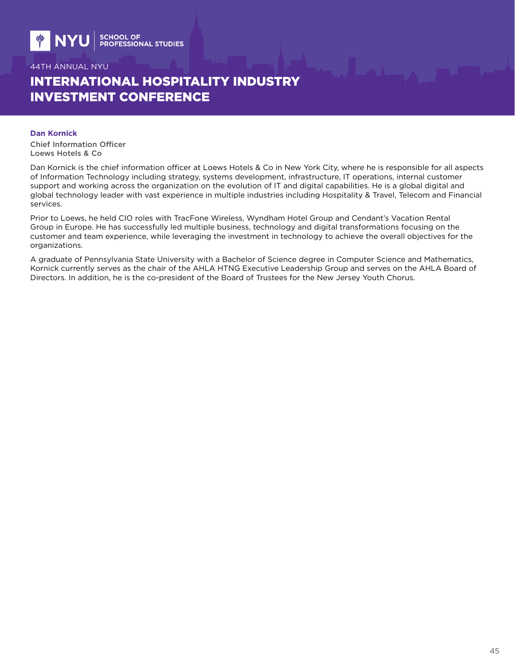# INTERNATIONAL HOSPITALITY INDUSTRY INVESTMENT CONFERENCE

#### **Dan Kornick**

Chief Information Officer Loews Hotels & Co

Dan Kornick is the chief information officer at Loews Hotels & Co in New York City, where he is responsible for all aspects of Information Technology including strategy, systems development, infrastructure, IT operations, internal customer support and working across the organization on the evolution of IT and digital capabilities. He is a global digital and global technology leader with vast experience in multiple industries including Hospitality & Travel, Telecom and Financial services.

Prior to Loews, he held CIO roles with TracFone Wireless, Wyndham Hotel Group and Cendant's Vacation Rental Group in Europe. He has successfully led multiple business, technology and digital transformations focusing on the customer and team experience, while leveraging the investment in technology to achieve the overall objectives for the organizations.

A graduate of Pennsylvania State University with a Bachelor of Science degree in Computer Science and Mathematics, Kornick currently serves as the chair of the AHLA HTNG Executive Leadership Group and serves on the AHLA Board of Directors. In addition, he is the co-president of the Board of Trustees for the New Jersey Youth Chorus.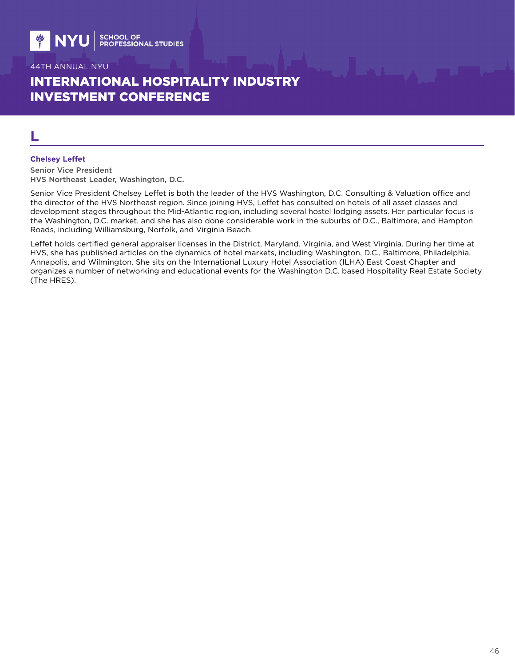# INTERNATIONAL HOSPITALITY INDUSTRY INVESTMENT CONFERENCE

## **L**

#### **Chelsey Leffet**

Senior Vice President HVS Northeast Leader, Washington, D.C.

Senior Vice President Chelsey Leffet is both the leader of the HVS Washington, D.C. Consulting & Valuation office and the director of the HVS Northeast region. Since joining HVS, Leffet has consulted on hotels of all asset classes and development stages throughout the Mid-Atlantic region, including several hostel lodging assets. Her particular focus is the Washington, D.C. market, and she has also done considerable work in the suburbs of D.C., Baltimore, and Hampton Roads, including Williamsburg, Norfolk, and Virginia Beach.

Leffet holds certified general appraiser licenses in the District, Maryland, Virginia, and West Virginia. During her time at HVS, she has published articles on the dynamics of hotel markets, including Washington, D.C., Baltimore, Philadelphia, Annapolis, and Wilmington. She sits on the International Luxury Hotel Association (ILHA) East Coast Chapter and organizes a number of networking and educational events for the Washington D.C. based Hospitality Real Estate Society (The HRES).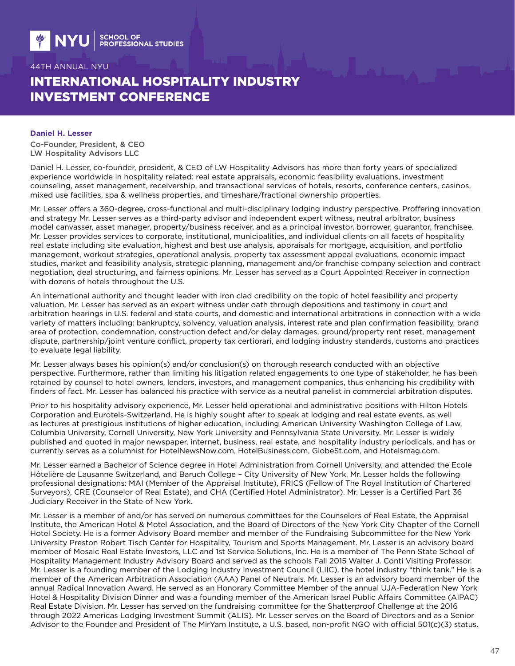# INTERNATIONAL HOSPITALITY INDUSTRY INVESTMENT CONFERENCE

#### **Daniel H. Lesser**

Co-Founder, President, & CEO LW Hospitality Advisors LLC

Daniel H. Lesser, co-founder, president, & CEO of LW Hospitality Advisors has more than forty years of specialized experience worldwide in hospitality related: real estate appraisals, economic feasibility evaluations, investment counseling, asset management, receivership, and transactional services of hotels, resorts, conference centers, casinos, mixed use facilities, spa & wellness properties, and timeshare/fractional ownership properties.

Mr. Lesser offers a 360-degree, cross-functional and multi-disciplinary lodging industry perspective. Proffering innovation and strategy Mr. Lesser serves as a third-party advisor and independent expert witness, neutral arbitrator, business model canvasser, asset manager, property/business receiver, and as a principal investor, borrower, guarantor, franchisee. Mr. Lesser provides services to corporate, institutional, municipalities, and individual clients on all facets of hospitality real estate including site evaluation, highest and best use analysis, appraisals for mortgage, acquisition, and portfolio management, workout strategies, operational analysis, property tax assessment appeal evaluations, economic impact studies, market and feasibility analysis, strategic planning, management and/or franchise company selection and contract negotiation, deal structuring, and fairness opinions. Mr. Lesser has served as a Court Appointed Receiver in connection with dozens of hotels throughout the U.S.

An international authority and thought leader with iron clad credibility on the topic of hotel feasibility and property valuation, Mr. Lesser has served as an expert witness under oath through depositions and testimony in court and arbitration hearings in U.S. federal and state courts, and domestic and international arbitrations in connection with a wide variety of matters including: bankruptcy, solvency, valuation analysis, interest rate and plan confirmation feasibility, brand area of protection, condemnation, construction defect and/or delay damages, ground/property rent reset, management dispute, partnership/joint venture conflict, property tax certiorari, and lodging industry standards, customs and practices to evaluate legal liability.

Mr. Lesser always bases his opinion(s) and/or conclusion(s) on thorough research conducted with an objective perspective. Furthermore, rather than limiting his litigation related engagements to one type of stakeholder, he has been retained by counsel to hotel owners, lenders, investors, and management companies, thus enhancing his credibility with finders of fact. Mr. Lesser has balanced his practice with service as a neutral panelist in commercial arbitration disputes.

Prior to his hospitality advisory experience, Mr. Lesser held operational and administrative positions with Hilton Hotels Corporation and Eurotels-Switzerland. He is highly sought after to speak at lodging and real estate events, as well as lectures at prestigious institutions of higher education, including American University Washington College of Law, Columbia University, Cornell University, New York University and Pennsylvania State University. Mr. Lesser is widely published and quoted in major newspaper, internet, business, real estate, and hospitality industry periodicals, and has or currently serves as a columnist for HotelNewsNow.com, HotelBusiness.com, GlobeSt.com, and Hotelsmag.com.

Mr. Lesser earned a Bachelor of Science degree in Hotel Administration from Cornell University, and attended the Ecole Hôtelière de Lausanne Switzerland, and Baruch College – City University of New York. Mr. Lesser holds the following professional designations: MAI (Member of the Appraisal Institute), FRICS (Fellow of The Royal Institution of Chartered Surveyors), CRE (Counselor of Real Estate), and CHA (Certified Hotel Administrator). Mr. Lesser is a Certified Part 36 Judiciary Receiver in the State of New York.

Mr. Lesser is a member of and/or has served on numerous committees for the Counselors of Real Estate, the Appraisal Institute, the American Hotel & Motel Association, and the Board of Directors of the New York City Chapter of the Cornell Hotel Society. He is a former Advisory Board member and member of the Fundraising Subcommittee for the New York University Preston Robert Tisch Center for Hospitality, Tourism and Sports Management. Mr. Lesser is an advisory board member of Mosaic Real Estate Investors, LLC and 1st Service Solutions, Inc. He is a member of The Penn State School of Hospitality Management Industry Advisory Board and served as the schools Fall 2015 Walter J. Conti Visiting Professor. Mr. Lesser is a founding member of the Lodging Industry Investment Council (LIIC), the hotel industry "think tank." He is a member of the American Arbitration Association (AAA) Panel of Neutrals. Mr. Lesser is an advisory board member of the annual Radical Innovation Award. He served as an Honorary Committee Member of the annual UJA-Federation New York Hotel & Hospitality Division Dinner and was a founding member of the American Israel Public Affairs Committee (AIPAC) Real Estate Division. Mr. Lesser has served on the fundraising committee for the Shatterproof Challenge at the 2016 through 2022 Americas Lodging Investment Summit (ALIS). Mr. Lesser serves on the Board of Directors and as a Senior Advisor to the Founder and President of The MirYam Institute, a U.S. based, non-profit NGO with official 501(c)(3) status.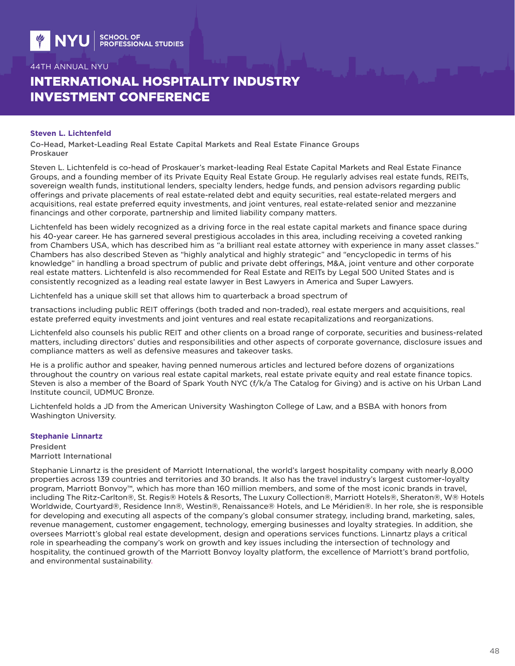# INTERNATIONAL HOSPITALITY INDUSTRY INVESTMENT CONFERENCE

#### **Steven L. Lichtenfeld**

Co-Head, Market-Leading Real Estate Capital Markets and Real Estate Finance Groups Proskauer

Steven L. Lichtenfeld is co-head of Proskauer's market-leading Real Estate Capital Markets and Real Estate Finance Groups, and a founding member of its Private Equity Real Estate Group. He regularly advises real estate funds, REITs, sovereign wealth funds, institutional lenders, specialty lenders, hedge funds, and pension advisors regarding public offerings and private placements of real estate-related debt and equity securities, real estate-related mergers and acquisitions, real estate preferred equity investments, and joint ventures, real estate-related senior and mezzanine financings and other corporate, partnership and limited liability company matters.

Lichtenfeld has been widely recognized as a driving force in the real estate capital markets and finance space during his 40-year career. He has garnered several prestigious accolades in this area, including receiving a coveted ranking from Chambers USA, which has described him as "a brilliant real estate attorney with experience in many asset classes." Chambers has also described Steven as "highly analytical and highly strategic" and "encyclopedic in terms of his knowledge" in handling a broad spectrum of public and private debt offerings, M&A, joint venture and other corporate real estate matters. Lichtenfeld is also recommended for Real Estate and REITs by Legal 500 United States and is consistently recognized as a leading real estate lawyer in Best Lawyers in America and Super Lawyers.

Lichtenfeld has a unique skill set that allows him to quarterback a broad spectrum of

transactions including public REIT offerings (both traded and non-traded), real estate mergers and acquisitions, real estate preferred equity investments and joint ventures and real estate recapitalizations and reorganizations.

Lichtenfeld also counsels his public REIT and other clients on a broad range of corporate, securities and business-related matters, including directors' duties and responsibilities and other aspects of corporate governance, disclosure issues and compliance matters as well as defensive measures and takeover tasks.

He is a prolific author and speaker, having penned numerous articles and lectured before dozens of organizations throughout the country on various real estate capital markets, real estate private equity and real estate finance topics. Steven is also a member of the Board of Spark Youth NYC (f/k/a The Catalog for Giving) and is active on his Urban Land Institute council, UDMUC Bronze.

Lichtenfeld holds a JD from the American University Washington College of Law, and a BSBA with honors from Washington University.

#### **Stephanie Linnartz**

President Marriott International

Stephanie Linnartz is the president of Marriott International, the world's largest hospitality company with nearly 8,000 properties across 139 countries and territories and 30 brands. It also has the travel industry's largest customer-loyalty program, Marriott Bonvoy™, which has more than 160 million members, and some of the most iconic brands in travel, including The Ritz-Carlton®, St. Regis® Hotels & Resorts, The Luxury Collection®, Marriott Hotels®, Sheraton®, W® Hotels Worldwide, Courtyard®, Residence Inn®, Westin®, Renaissance® Hotels, and Le Méridien®. In her role, she is responsible for developing and executing all aspects of the company's global consumer strategy, including brand, marketing, sales, revenue management, customer engagement, technology, emerging businesses and loyalty strategies. In addition, she oversees Marriott's global real estate development, design and operations services functions. Linnartz plays a critical role in spearheading the company's work on growth and key issues including the intersection of technology and hospitality, the continued growth of the Marriott Bonvoy loyalty platform, the excellence of Marriott's brand portfolio, and environmental sustainability.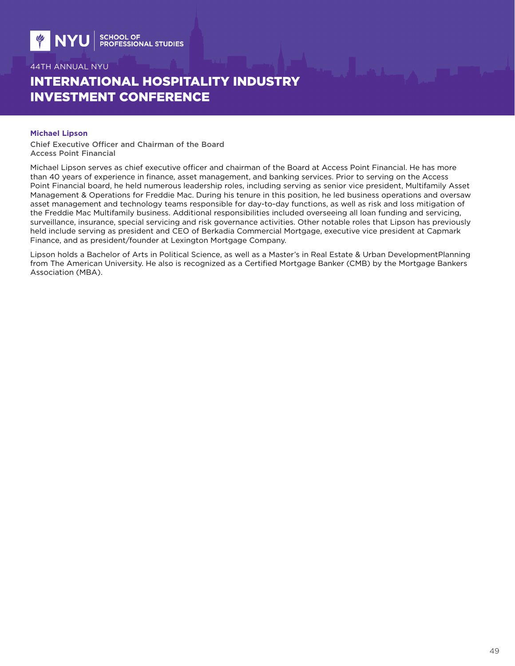# INTERNATIONAL HOSPITALITY INDUSTRY INVESTMENT CONFERENCE

### **Michael Lipson**

Chief Executive Officer and Chairman of the Board Access Point Financial

Michael Lipson serves as chief executive officer and chairman of the Board at Access Point Financial. He has more than 40 years of experience in finance, asset management, and banking services. Prior to serving on the Access Point Financial board, he held numerous leadership roles, including serving as senior vice president, Multifamily Asset Management & Operations for Freddie Mac. During his tenure in this position, he led business operations and oversaw asset management and technology teams responsible for day-to-day functions, as well as risk and loss mitigation of the Freddie Mac Multifamily business. Additional responsibilities included overseeing all loan funding and servicing, surveillance, insurance, special servicing and risk governance activities. Other notable roles that Lipson has previously held include serving as president and CEO of Berkadia Commercial Mortgage, executive vice president at Capmark Finance, and as president/founder at Lexington Mortgage Company.

Lipson holds a Bachelor of Arts in Political Science, as well as a Master's in Real Estate & Urban DevelopmentPlanning from The American University. He also is recognized as a Certified Mortgage Banker (CMB) by the Mortgage Bankers Association (MBA).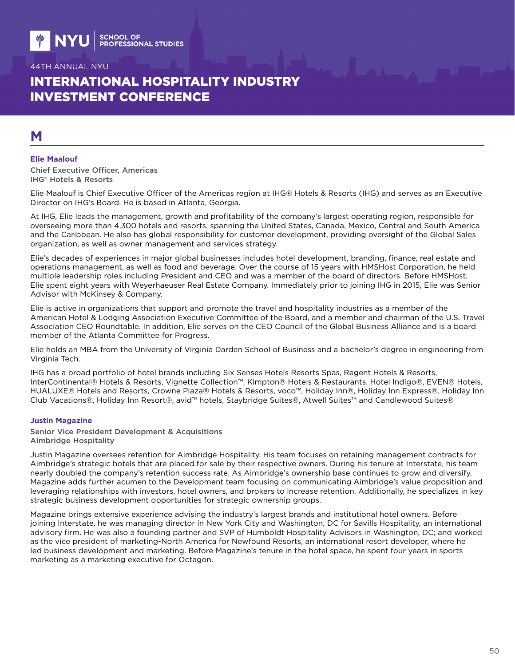# INTERNATIONAL HOSPITALITY INDUSTRY INVESTMENT CONFERENCE

## **M**

#### **Elie Maalouf**

Chief Executive Officer, Americas IHG® Hotels & Resorts

Elie Maalouf is Chief Executive Officer of the Americas region at IHG® Hotels & Resorts (IHG) and serves as an Executive Director on IHG's Board. He is based in Atlanta, Georgia.

At IHG, Elie leads the management, growth and profitability of the company's largest operating region, responsible for overseeing more than 4,300 hotels and resorts, spanning the United States, Canada, Mexico, Central and South America and the Caribbean. He also has global responsibility for customer development, providing oversight of the Global Sales organization, as well as owner management and services strategy.

Elie's decades of experiences in major global businesses includes hotel development, branding, finance, real estate and operations management, as well as food and beverage. Over the course of 15 years with HMSHost Corporation, he held multiple leadership roles including President and CEO and was a member of the board of directors. Before HMSHost, Elie spent eight years with Weyerhaeuser Real Estate Company. Immediately prior to joining IHG in 2015, Elie was Senior Advisor with McKinsey & Company.

Elie is active in organizations that support and promote the travel and hospitality industries as a member of the American Hotel & Lodging Association Executive Committee of the Board, and a member and chairman of the U.S. Travel Association CEO Roundtable. In addition, Elie serves on the CEO Council of the Global Business Alliance and is a board member of the Atlanta Committee for Progress.

Elie holds an MBA from the University of Virginia Darden School of Business and a bachelor's degree in engineering from Virginia Tech.

IHG has a broad portfolio of hotel brands including Six Senses Hotels Resorts Spas, Regent Hotels & Resorts, InterContinental® Hotels & Resorts, Vignette Collection™, Kimpton® Hotels & Restaurants, Hotel Indigo®, EVEN® Hotels, HUALUXE® Hotels and Resorts, Crowne Plaza® Hotels & Resorts, voco™, Holiday Inn®, Holiday Inn Express®, Holiday Inn Club Vacations®, Holiday Inn Resort®, avid™ hotels, Staybridge Suites®, Atwell Suites™ and Candlewood Suites®

#### **Justin Magazine**

Senior Vice President Development & Acquisitions Aimbridge Hospitality

Justin Magazine oversees retention for Aimbridge Hospitality. His team focuses on retaining management contracts for Aimbridge's strategic hotels that are placed for sale by their respective owners. During his tenure at Interstate, his team nearly doubled the company's retention success rate. As Aimbridge's ownership base continues to grow and diversify, Magazine adds further acumen to the Development team focusing on communicating Aimbridge's value proposition and leveraging relationships with investors, hotel owners, and brokers to increase retention. Additionally, he specializes in key strategic business development opportunities for strategic ownership groups.

Magazine brings extensive experience advising the industry's largest brands and institutional hotel owners. Before joining Interstate, he was managing director in New York City and Washington, DC for Savills Hospitality, an international advisory firm. He was also a founding partner and SVP of Humboldt Hospitality Advisors in Washington, DC; and worked as the vice president of marketing-North America for Newfound Resorts, an international resort developer, where he led business development and marketing. Before Magazine's tenure in the hotel space, he spent four years in sports marketing as a marketing executive for Octagon.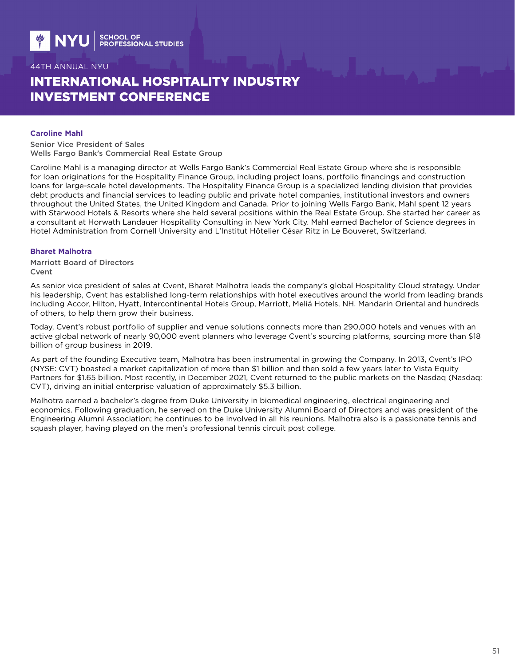# INTERNATIONAL HOSPITALITY INDUSTRY INVESTMENT CONFERENCE

#### **Caroline Mahl**

Senior Vice President of Sales Wells Fargo Bank's Commercial Real Estate Group

Caroline Mahl is a managing director at Wells Fargo Bank's Commercial Real Estate Group where she is responsible for loan originations for the Hospitality Finance Group, including project loans, portfolio financings and construction loans for large-scale hotel developments. The Hospitality Finance Group is a specialized lending division that provides debt products and financial services to leading public and private hotel companies, institutional investors and owners throughout the United States, the United Kingdom and Canada. Prior to joining Wells Fargo Bank, Mahl spent 12 years with Starwood Hotels & Resorts where she held several positions within the Real Estate Group. She started her career as a consultant at Horwath Landauer Hospitality Consulting in New York City. Mahl earned Bachelor of Science degrees in Hotel Administration from Cornell University and L'Institut Hôtelier César Ritz in Le Bouveret, Switzerland.

### **Bharet Malhotra**

Marriott Board of Directors Cvent

As senior vice president of sales at Cvent, Bharet Malhotra leads the company's global Hospitality Cloud strategy. Under his leadership, Cvent has established long-term relationships with hotel executives around the world from leading brands including Accor, Hilton, Hyatt, Intercontinental Hotels Group, Marriott, Meliá Hotels, NH, Mandarin Oriental and hundreds of others, to help them grow their business.

Today, Cvent's robust portfolio of supplier and venue solutions connects more than 290,000 hotels and venues with an active global network of nearly 90,000 event planners who leverage Cvent's sourcing platforms, sourcing more than \$18 billion of group business in 2019.

As part of the founding Executive team, Malhotra has been instrumental in growing the Company. In 2013, Cvent's IPO (NYSE: CVT) boasted a market capitalization of more than \$1 billion and then sold a few years later to Vista Equity Partners for \$1.65 billion. Most recently, in December 2021, Cvent returned to the public markets on the Nasdaq (Nasdaq: CVT), driving an initial enterprise valuation of approximately \$5.3 billion.

Malhotra earned a bachelor's degree from Duke University in biomedical engineering, electrical engineering and economics. Following graduation, he served on the Duke University Alumni Board of Directors and was president of the Engineering Alumni Association; he continues to be involved in all his reunions. Malhotra also is a passionate tennis and squash player, having played on the men's professional tennis circuit post college.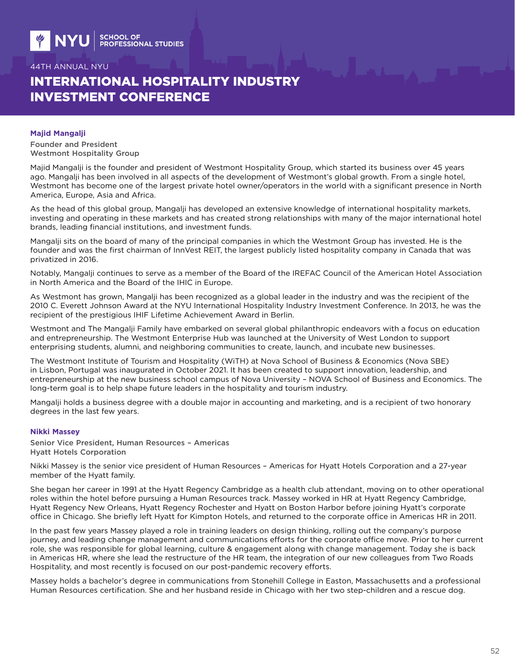# INTERNATIONAL HOSPITALITY INDUSTRY INVESTMENT CONFERENCE

### **Majid Mangalji**

Founder and President Westmont Hospitality Group

Majid Mangalji is the founder and president of Westmont Hospitality Group, which started its business over 45 years ago. Mangalji has been involved in all aspects of the development of Westmont's global growth. From a single hotel, Westmont has become one of the largest private hotel owner/operators in the world with a significant presence in North America, Europe, Asia and Africa.

As the head of this global group, Mangalji has developed an extensive knowledge of international hospitality markets, investing and operating in these markets and has created strong relationships with many of the major international hotel brands, leading financial institutions, and investment funds.

Mangalji sits on the board of many of the principal companies in which the Westmont Group has invested. He is the founder and was the first chairman of InnVest REIT, the largest publicly listed hospitality company in Canada that was privatized in 2016.

Notably, Mangalji continues to serve as a member of the Board of the IREFAC Council of the American Hotel Association in North America and the Board of the IHIC in Europe.

As Westmont has grown, Mangalji has been recognized as a global leader in the industry and was the recipient of the 2010 C. Everett Johnson Award at the NYU International Hospitality Industry Investment Conference. In 2013, he was the recipient of the prestigious IHIF Lifetime Achievement Award in Berlin.

Westmont and The Mangalji Family have embarked on several global philanthropic endeavors with a focus on education and entrepreneurship. The Westmont Enterprise Hub was launched at the University of West London to support enterprising students, alumni, and neighboring communities to create, launch, and incubate new businesses.

The Westmont Institute of Tourism and Hospitality (WiTH) at Nova School of Business & Economics (Nova SBE) in Lisbon, Portugal was inaugurated in October 2021. It has been created to support innovation, leadership, and entrepreneurship at the new business school campus of Nova University – NOVA School of Business and Economics. The long-term goal is to help shape future leaders in the hospitality and tourism industry.

Mangalji holds a business degree with a double major in accounting and marketing, and is a recipient of two honorary degrees in the last few years.

#### **Nikki Massey**

Senior Vice President, Human Resources – Americas Hyatt Hotels Corporation

Nikki Massey is the senior vice president of Human Resources – Americas for Hyatt Hotels Corporation and a 27-year member of the Hyatt family.

She began her career in 1991 at the Hyatt Regency Cambridge as a health club attendant, moving on to other operational roles within the hotel before pursuing a Human Resources track. Massey worked in HR at Hyatt Regency Cambridge, Hyatt Regency New Orleans, Hyatt Regency Rochester and Hyatt on Boston Harbor before joining Hyatt's corporate office in Chicago. She briefly left Hyatt for Kimpton Hotels, and returned to the corporate office in Americas HR in 2011.

In the past few years Massey played a role in training leaders on design thinking, rolling out the company's purpose journey, and leading change management and communications efforts for the corporate office move. Prior to her current role, she was responsible for global learning, culture & engagement along with change management. Today she is back in Americas HR, where she lead the restructure of the HR team, the integration of our new colleagues from Two Roads Hospitality, and most recently is focused on our post-pandemic recovery efforts.

Massey holds a bachelor's degree in communications from Stonehill College in Easton, Massachusetts and a professional Human Resources certification. She and her husband reside in Chicago with her two step-children and a rescue dog.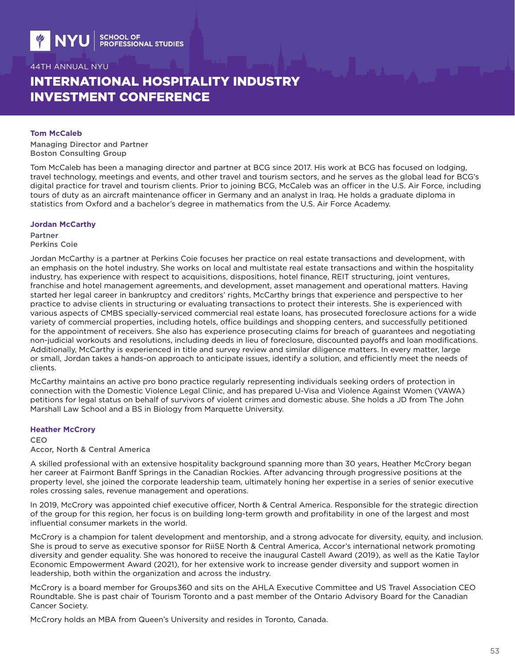# INTERNATIONAL HOSPITALITY INDUSTRY INVESTMENT CONFERENCE

#### **Tom McCaleb**

Managing Director and Partner Boston Consulting Group

Tom McCaleb has been a managing director and partner at BCG since 2017. His work at BCG has focused on lodging, travel technology, meetings and events, and other travel and tourism sectors, and he serves as the global lead for BCG's digital practice for travel and tourism clients. Prior to joining BCG, McCaleb was an officer in the U.S. Air Force, including tours of duty as an aircraft maintenance officer in Germany and an analyst in Iraq. He holds a graduate diploma in statistics from Oxford and a bachelor's degree in mathematics from the U.S. Air Force Academy.

#### **Jordan McCarthy**

Partner Perkins Coie

Jordan McCarthy is a partner at Perkins Coie focuses her practice on real estate transactions and development, with an emphasis on the hotel industry. She works on local and multistate real estate transactions and within the hospitality industry, has experience with respect to acquisitions, dispositions, hotel finance, REIT structuring, joint ventures, franchise and hotel management agreements, and development, asset management and operational matters. Having started her legal career in bankruptcy and creditors' rights, McCarthy brings that experience and perspective to her practice to advise clients in structuring or evaluating transactions to protect their interests. She is experienced with various aspects of CMBS specially-serviced commercial real estate loans, has prosecuted foreclosure actions for a wide variety of commercial properties, including hotels, office buildings and shopping centers, and successfully petitioned for the appointment of receivers. She also has experience prosecuting claims for breach of guarantees and negotiating non-judicial workouts and resolutions, including deeds in lieu of foreclosure, discounted payoffs and loan modifications. Additionally, McCarthy is experienced in title and survey review and similar diligence matters. In every matter, large or small, Jordan takes a hands-on approach to anticipate issues, identify a solution, and efficiently meet the needs of clients.

McCarthy maintains an active pro bono practice regularly representing individuals seeking orders of protection in connection with the Domestic Violence Legal Clinic, and has prepared U-Visa and Violence Against Women (VAWA) petitions for legal status on behalf of survivors of violent crimes and domestic abuse. She holds a JD from The John Marshall Law School and a BS in Biology from Marquette University.

#### **Heather McCrory**

CEO

#### Accor, North & Central America

A skilled professional with an extensive hospitality background spanning more than 30 years, Heather McCrory began her career at Fairmont Banff Springs in the Canadian Rockies. After advancing through progressive positions at the property level, she joined the corporate leadership team, ultimately honing her expertise in a series of senior executive roles crossing sales, revenue management and operations.

In 2019, McCrory was appointed chief executive officer, North & Central America. Responsible for the strategic direction of the group for this region, her focus is on building long-term growth and profitability in one of the largest and most influential consumer markets in the world.

McCrory is a champion for talent development and mentorship, and a strong advocate for diversity, equity, and inclusion. She is proud to serve as executive sponsor for RiiSE North & Central America, Accor's international network promoting diversity and gender equality. She was honored to receive the inaugural Castell Award (2019), as well as the Katie Taylor Economic Empowerment Award (2021), for her extensive work to increase gender diversity and support women in leadership, both within the organization and across the industry.

McCrory is a board member for Groups360 and sits on the AHLA Executive Committee and US Travel Association CEO Roundtable. She is past chair of Tourism Toronto and a past member of the Ontario Advisory Board for the Canadian Cancer Society.

McCrory holds an MBA from Queen's University and resides in Toronto, Canada.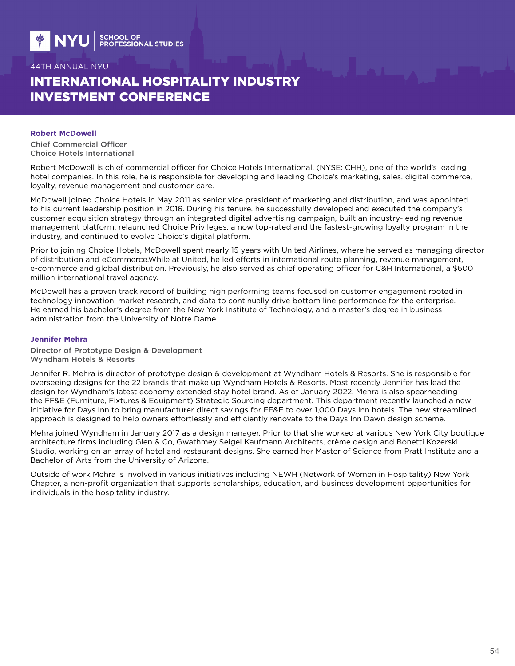# INTERNATIONAL HOSPITALITY INDUSTRY INVESTMENT CONFERENCE

#### **Robert McDowell**

Chief Commercial Officer Choice Hotels International

Robert McDowell is chief commercial officer for Choice Hotels International, (NYSE: CHH), one of the world's leading hotel companies. In this role, he is responsible for developing and leading Choice's marketing, sales, digital commerce, loyalty, revenue management and customer care.

McDowell joined Choice Hotels in May 2011 as senior vice president of marketing and distribution, and was appointed to his current leadership position in 2016. During his tenure, he successfully developed and executed the company's customer acquisition strategy through an integrated digital advertising campaign, built an industry-leading revenue management platform, relaunched Choice Privileges, a now top-rated and the fastest-growing loyalty program in the industry, and continued to evolve Choice's digital platform.

Prior to joining Choice Hotels, McDowell spent nearly 15 years with United Airlines, where he served as managing director of distribution and eCommerce.While at United, he led efforts in international route planning, revenue management, e-commerce and global distribution. Previously, he also served as chief operating officer for C&H International, a \$600 million international travel agency.

McDowell has a proven track record of building high performing teams focused on customer engagement rooted in technology innovation, market research, and data to continually drive bottom line performance for the enterprise. He earned his bachelor's degree from the New York Institute of Technology, and a master's degree in business administration from the University of Notre Dame.

#### **Jennifer Mehra**

Director of Prototype Design & Development Wyndham Hotels & Resorts

Jennifer R. Mehra is director of prototype design & development at Wyndham Hotels & Resorts. She is responsible for overseeing designs for the 22 brands that make up Wyndham Hotels & Resorts. Most recently Jennifer has lead the design for Wyndham's latest economy extended stay hotel brand. As of January 2022, Mehra is also spearheading the FF&E (Furniture, Fixtures & Equipment) Strategic Sourcing department. This department recently launched a new initiative for Days Inn to bring manufacturer direct savings for FF&E to over 1,000 Days Inn hotels. The new streamlined approach is designed to help owners effortlessly and efficiently renovate to the Days Inn Dawn design scheme.

Mehra joined Wyndham in January 2017 as a design manager. Prior to that she worked at various New York City boutique architecture firms including Glen & Co, Gwathmey Seigel Kaufmann Architects, crème design and Bonetti Kozerski Studio, working on an array of hotel and restaurant designs. She earned her Master of Science from Pratt Institute and a Bachelor of Arts from the University of Arizona.

Outside of work Mehra is involved in various initiatives including NEWH (Network of Women in Hospitality) New York Chapter, a non-profit organization that supports scholarships, education, and business development opportunities for individuals in the hospitality industry.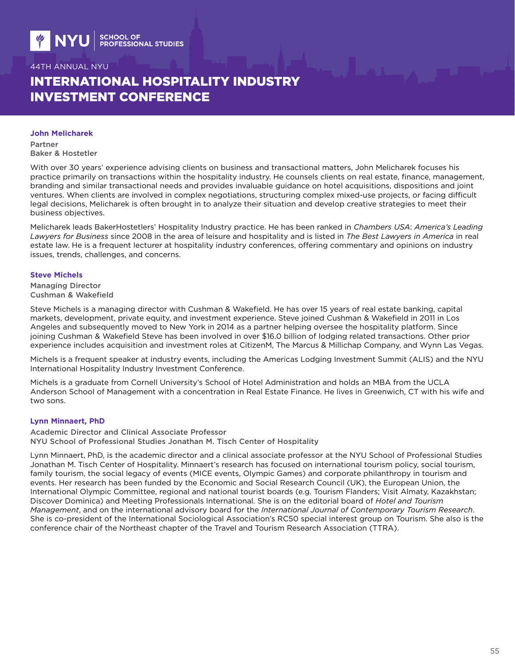# INTERNATIONAL HOSPITALITY INDUSTRY INVESTMENT CONFERENCE

#### **John Melicharek**

Partner Baker & Hostetler

With over 30 years' experience advising clients on business and transactional matters, John Melicharek focuses his practice primarily on transactions within the hospitality industry. He counsels clients on real estate, finance, management, branding and similar transactional needs and provides invaluable guidance on hotel acquisitions, dispositions and joint ventures. When clients are involved in complex negotiations, structuring complex mixed-use projects, or facing difficult legal decisions, Melicharek is often brought in to analyze their situation and develop creative strategies to meet their business objectives.

Melicharek leads BakerHostetlers' Hospitality Industry practice. He has been ranked in *Chambers USA*: *America's Leading Lawyers for Business* since 2008 in the area of leisure and hospitality and is listed in *The Best Lawyers in America* in real estate law. He is a frequent lecturer at hospitality industry conferences, offering commentary and opinions on industry issues, trends, challenges, and concerns.

#### **Steve Michels**

Managing Director Cushman & Wakefield

Steve Michels is a managing director with Cushman & Wakefield. He has over 15 years of real estate banking, capital markets, development, private equity, and investment experience. Steve joined Cushman & Wakefield in 2011 in Los Angeles and subsequently moved to New York in 2014 as a partner helping oversee the hospitality platform. Since joining Cushman & Wakefield Steve has been involved in over \$16.0 billion of lodging related transactions. Other prior experience includes acquisition and investment roles at CitizenM, The Marcus & Millichap Company, and Wynn Las Vegas.

Michels is a frequent speaker at industry events, including the Americas Lodging Investment Summit (ALIS) and the NYU International Hospitality Industry Investment Conference.

Michels is a graduate from Cornell University's School of Hotel Administration and holds an MBA from the UCLA Anderson School of Management with a concentration in Real Estate Finance. He lives in Greenwich, CT with his wife and two sons.

### **Lynn Minnaert, PhD**

Academic Director and Clinical Associate Professor NYU School of Professional Studies Jonathan M. Tisch Center of Hospitality

Lynn Minnaert, PhD, is the academic director and a clinical associate professor at the NYU School of Professional Studies Jonathan M. Tisch Center of Hospitality. Minnaert's research has focused on international tourism policy, social tourism, family tourism, the social legacy of events (MICE events, Olympic Games) and corporate philanthropy in tourism and events. Her research has been funded by the Economic and Social Research Council (UK), the European Union, the International Olympic Committee, regional and national tourist boards (e.g. Tourism Flanders; Visit Almaty, Kazakhstan; Discover Dominica) and Meeting Professionals International. She is on the editorial board of *Hotel and Tourism Management*, and on the international advisory board for the *International Journal of Contemporary Tourism Research*. She is co-president of the International Sociological Association's RC50 special interest group on Tourism. She also is the conference chair of the Northeast chapter of the Travel and Tourism Research Association (TTRA).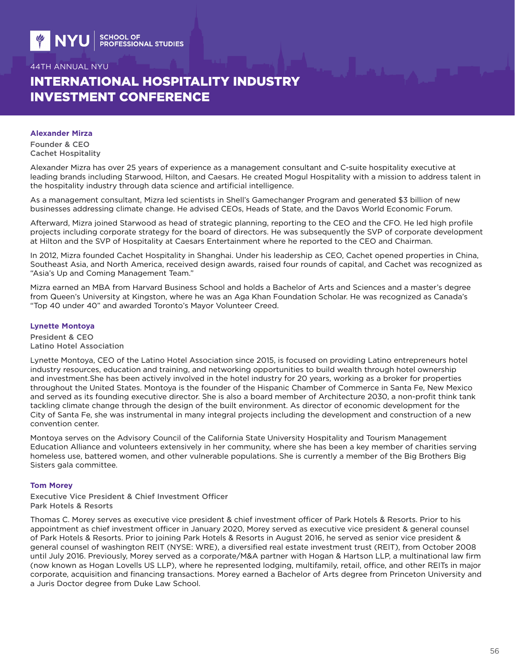# INTERNATIONAL HOSPITALITY INDUSTRY INVESTMENT CONFERENCE

#### **Alexander Mirza**

Founder & CEO Cachet Hospitality

Alexander Mizra has over 25 years of experience as a management consultant and C-suite hospitality executive at leading brands including Starwood, Hilton, and Caesars. He created Mogul Hospitality with a mission to address talent in the hospitality industry through data science and artificial intelligence.

As a management consultant, Mizra led scientists in Shell's Gamechanger Program and generated \$3 billion of new businesses addressing climate change. He advised CEOs, Heads of State, and the Davos World Economic Forum.

Afterward, Mizra joined Starwood as head of strategic planning, reporting to the CEO and the CFO. He led high profile projects including corporate strategy for the board of directors. He was subsequently the SVP of corporate development at Hilton and the SVP of Hospitality at Caesars Entertainment where he reported to the CEO and Chairman.

In 2012, Mizra founded Cachet Hospitality in Shanghai. Under his leadership as CEO, Cachet opened properties in China, Southeast Asia, and North America, received design awards, raised four rounds of capital, and Cachet was recognized as "Asia's Up and Coming Management Team."

Mizra earned an MBA from Harvard Business School and holds a Bachelor of Arts and Sciences and a master's degree from Queen's University at Kingston, where he was an Aga Khan Foundation Scholar. He was recognized as Canada's "Top 40 under 40" and awarded Toronto's Mayor Volunteer Creed.

### **Lynette Montoya**

President & CEO Latino Hotel Association

Lynette Montoya, CEO of the Latino Hotel Association since 2015, is focused on providing Latino entrepreneurs hotel industry resources, education and training, and networking opportunities to build wealth through hotel ownership and investment.She has been actively involved in the hotel industry for 20 years, working as a broker for properties throughout the United States. Montoya is the founder of the Hispanic Chamber of Commerce in Santa Fe, New Mexico and served as its founding executive director. She is also a board member of Architecture 2030, a non-profit think tank tackling climate change through the design of the built environment. As director of economic development for the City of Santa Fe, she was instrumental in many integral projects including the development and construction of a new convention center.

Montoya serves on the Advisory Council of the California State University Hospitality and Tourism Management Education Alliance and volunteers extensively in her community, where she has been a key member of charities serving homeless use, battered women, and other vulnerable populations. She is currently a member of the Big Brothers Big Sisters gala committee.

### **Tom Morey**

Executive Vice President & Chief Investment Officer Park Hotels & Resorts

Thomas C. Morey serves as executive vice president & chief investment officer of Park Hotels & Resorts. Prior to his appointment as chief investment officer in January 2020, Morey served as executive vice president & general counsel of Park Hotels & Resorts. Prior to joining Park Hotels & Resorts in August 2016, he served as senior vice president & general counsel of washington REIT (NYSE: WRE), a diversified real estate investment trust (REIT), from October 2008 until July 2016. Previously, Morey served as a corporate/M&A partner with Hogan & Hartson LLP, a multinational law firm (now known as Hogan Lovells US LLP), where he represented lodging, multifamily, retail, office, and other REITs in major corporate, acquisition and financing transactions. Morey earned a Bachelor of Arts degree from Princeton University and a Juris Doctor degree from Duke Law School.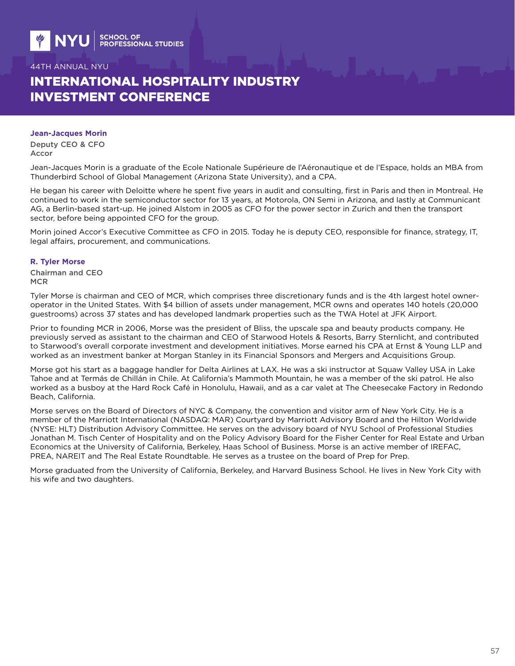# INTERNATIONAL HOSPITALITY INDUSTRY INVESTMENT CONFERENCE

#### **Jean-Jacques Morin**

Deputy CEO & CFO Accor

Jean-Jacques Morin is a graduate of the Ecole Nationale Supérieure de l'Aéronautique et de l'Espace, holds an MBA from Thunderbird School of Global Management (Arizona State University), and a CPA.

He began his career with Deloitte where he spent five years in audit and consulting, first in Paris and then in Montreal. He continued to work in the semiconductor sector for 13 years, at Motorola, ON Semi in Arizona, and lastly at Communicant AG, a Berlin-based start-up. He joined Alstom in 2005 as CFO for the power sector in Zurich and then the transport sector, before being appointed CFO for the group.

Morin joined Accor's Executive Committee as CFO in 2015. Today he is deputy CEO, responsible for finance, strategy, IT, legal affairs, procurement, and communications.

#### **R. Tyler Morse**

Chairman and CEO **MCR** 

Tyler Morse is chairman and CEO of MCR, which comprises three discretionary funds and is the 4th largest hotel owneroperator in the United States. With \$4 billion of assets under management, MCR owns and operates 140 hotels (20,000 guestrooms) across 37 states and has developed landmark properties such as the TWA Hotel at JFK Airport.

Prior to founding MCR in 2006, Morse was the president of Bliss, the upscale spa and beauty products company. He previously served as assistant to the chairman and CEO of Starwood Hotels & Resorts, Barry Sternlicht, and contributed to Starwood's overall corporate investment and development initiatives. Morse earned his CPA at Ernst & Young LLP and worked as an investment banker at Morgan Stanley in its Financial Sponsors and Mergers and Acquisitions Group.

Morse got his start as a baggage handler for Delta Airlines at LAX. He was a ski instructor at Squaw Valley USA in Lake Tahoe and at Termás de Chillán in Chile. At California's Mammoth Mountain, he was a member of the ski patrol. He also worked as a busboy at the Hard Rock Café in Honolulu, Hawaii, and as a car valet at The Cheesecake Factory in Redondo Beach, California.

Morse serves on the Board of Directors of NYC & Company, the convention and visitor arm of New York City. He is a member of the Marriott International (NASDAQ: MAR) Courtyard by Marriott Advisory Board and the Hilton Worldwide (NYSE: HLT) Distribution Advisory Committee. He serves on the advisory board of NYU School of Professional Studies Jonathan M. Tisch Center of Hospitality and on the Policy Advisory Board for the Fisher Center for Real Estate and Urban Economics at the University of California, Berkeley, Haas School of Business. Morse is an active member of IREFAC, PREA, NAREIT and The Real Estate Roundtable. He serves as a trustee on the board of Prep for Prep.

Morse graduated from the University of California, Berkeley, and Harvard Business School. He lives in New York City with his wife and two daughters.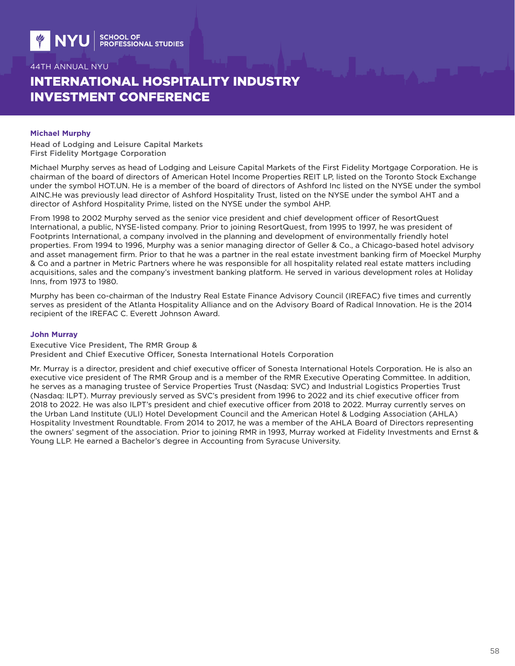# INTERNATIONAL HOSPITALITY INDUSTRY INVESTMENT CONFERENCE

#### **Michael Murphy**

Head of Lodging and Leisure Capital Markets First Fidelity Mortgage Corporation

Michael Murphy serves as head of Lodging and Leisure Capital Markets of the First Fidelity Mortgage Corporation. He is chairman of the board of directors of American Hotel Income Properties REIT LP, listed on the Toronto Stock Exchange under the symbol HOT.UN. He is a member of the board of directors of Ashford Inc listed on the NYSE under the symbol AINC.He was previously lead director of Ashford Hospitality Trust, listed on the NYSE under the symbol AHT and a director of Ashford Hospitality Prime, listed on the NYSE under the symbol AHP.

From 1998 to 2002 Murphy served as the senior vice president and chief development officer of ResortQuest International, a public, NYSE-listed company. Prior to joining ResortQuest, from 1995 to 1997, he was president of Footprints International, a company involved in the planning and development of environmentally friendly hotel properties. From 1994 to 1996, Murphy was a senior managing director of Geller & Co., a Chicago-based hotel advisory and asset management firm. Prior to that he was a partner in the real estate investment banking firm of Moeckel Murphy & Co and a partner in Metric Partners where he was responsible for all hospitality related real estate matters including acquisitions, sales and the company's investment banking platform. He served in various development roles at Holiday Inns, from 1973 to 1980.

Murphy has been co-chairman of the Industry Real Estate Finance Advisory Council (IREFAC) five times and currently serves as president of the Atlanta Hospitality Alliance and on the Advisory Board of Radical Innovation. He is the 2014 recipient of the IREFAC C. Everett Johnson Award.

#### **John Murray**

Executive Vice President, The RMR Group & President and Chief Executive Officer, Sonesta International Hotels Corporation

Mr. Murray is a director, president and chief executive officer of Sonesta International Hotels Corporation. He is also an executive vice president of The RMR Group and is a member of the RMR Executive Operating Committee. In addition, he serves as a managing trustee of Service Properties Trust (Nasdaq: SVC) and Industrial Logistics Properties Trust (Nasdaq: ILPT). Murray previously served as SVC's president from 1996 to 2022 and its chief executive officer from 2018 to 2022. He was also ILPT's president and chief executive officer from 2018 to 2022. Murray currently serves on the Urban Land Institute (ULI) Hotel Development Council and the American Hotel & Lodging Association (AHLA) Hospitality Investment Roundtable. From 2014 to 2017, he was a member of the AHLA Board of Directors representing the owners' segment of the association. Prior to joining RMR in 1993, Murray worked at Fidelity Investments and Ernst & Young LLP. He earned a Bachelor's degree in Accounting from Syracuse University.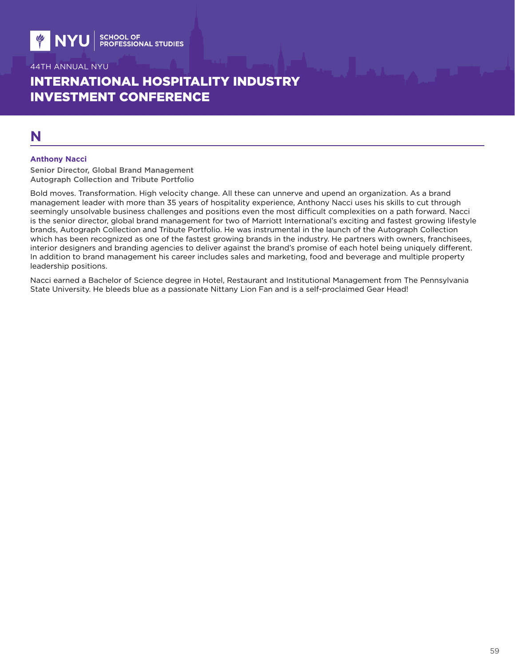# INTERNATIONAL HOSPITALITY INDUSTRY INVESTMENT CONFERENCE

## **N**

#### **Anthony Nacci**

Senior Director, Global Brand Management Autograph Collection and Tribute Portfolio

Bold moves. Transformation. High velocity change. All these can unnerve and upend an organization. As a brand management leader with more than 35 years of hospitality experience, Anthony Nacci uses his skills to cut through seemingly unsolvable business challenges and positions even the most difficult complexities on a path forward. Nacci is the senior director, global brand management for two of Marriott International's exciting and fastest growing lifestyle brands, Autograph Collection and Tribute Portfolio. He was instrumental in the launch of the Autograph Collection which has been recognized as one of the fastest growing brands in the industry. He partners with owners, franchisees, interior designers and branding agencies to deliver against the brand's promise of each hotel being uniquely different. In addition to brand management his career includes sales and marketing, food and beverage and multiple property leadership positions.

Nacci earned a Bachelor of Science degree in Hotel, Restaurant and Institutional Management from The Pennsylvania State University. He bleeds blue as a passionate Nittany Lion Fan and is a self-proclaimed Gear Head!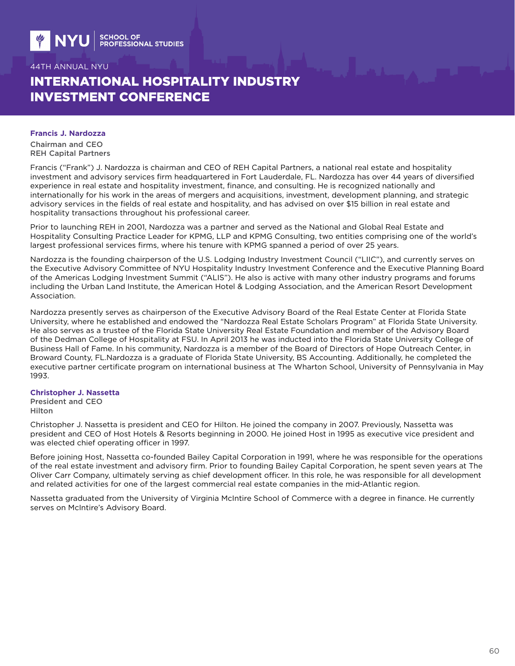# INTERNATIONAL HOSPITALITY INDUSTRY INVESTMENT CONFERENCE

#### **Francis J. Nardozza**

Chairman and CEO REH Capital Partners

Francis ("Frank") J. Nardozza is chairman and CEO of REH Capital Partners, a national real estate and hospitality investment and advisory services firm headquartered in Fort Lauderdale, FL. Nardozza has over 44 years of diversified experience in real estate and hospitality investment, finance, and consulting. He is recognized nationally and internationally for his work in the areas of mergers and acquisitions, investment, development planning, and strategic advisory services in the fields of real estate and hospitality, and has advised on over \$15 billion in real estate and hospitality transactions throughout his professional career.

Prior to launching REH in 2001, Nardozza was a partner and served as the National and Global Real Estate and Hospitality Consulting Practice Leader for KPMG, LLP and KPMG Consulting, two entities comprising one of the world's largest professional services firms, where his tenure with KPMG spanned a period of over 25 years.

Nardozza is the founding chairperson of the U.S. Lodging Industry Investment Council ("LIIC"), and currently serves on the Executive Advisory Committee of NYU Hospitality Industry Investment Conference and the Executive Planning Board of the Americas Lodging Investment Summit ("ALIS"). He also is active with many other industry programs and forums including the Urban Land Institute, the American Hotel & Lodging Association, and the American Resort Development Association.

Nardozza presently serves as chairperson of the Executive Advisory Board of the Real Estate Center at Florida State University, where he established and endowed the "Nardozza Real Estate Scholars Program" at Florida State University. He also serves as a trustee of the Florida State University Real Estate Foundation and member of the Advisory Board of the Dedman College of Hospitality at FSU. In April 2013 he was inducted into the Florida State University College of Business Hall of Fame. In his community, Nardozza is a member of the Board of Directors of Hope Outreach Center, in Broward County, FL.Nardozza is a graduate of Florida State University, BS Accounting. Additionally, he completed the executive partner certificate program on international business at The Wharton School, University of Pennsylvania in May 1993.

### **Christopher J. Nassetta**

President and CEO Hilton

Christopher J. Nassetta is president and CEO for Hilton. He joined the company in 2007. Previously, Nassetta was president and CEO of Host Hotels & Resorts beginning in 2000. He joined Host in 1995 as executive vice president and was elected chief operating officer in 1997.

Before joining Host, Nassetta co-founded Bailey Capital Corporation in 1991, where he was responsible for the operations of the real estate investment and advisory firm. Prior to founding Bailey Capital Corporation, he spent seven years at The Oliver Carr Company, ultimately serving as chief development officer. In this role, he was responsible for all development and related activities for one of the largest commercial real estate companies in the mid-Atlantic region.

Nassetta graduated from the University of Virginia McIntire School of Commerce with a degree in finance. He currently serves on McIntire's Advisory Board.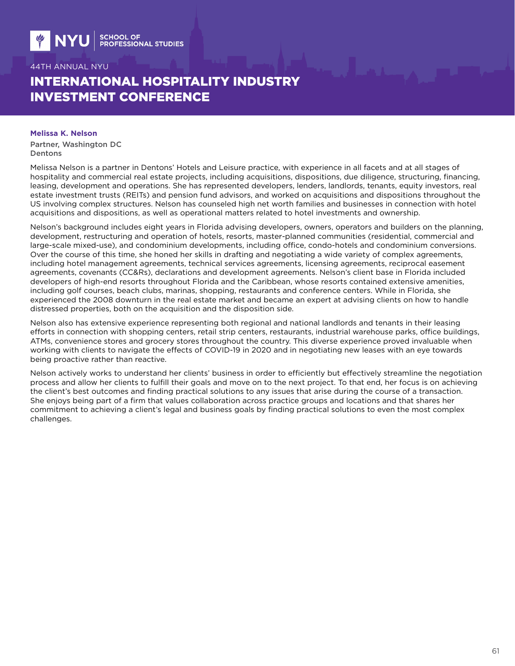# INTERNATIONAL HOSPITALITY INDUSTRY INVESTMENT CONFERENCE

#### **Melissa K. Nelson**

Partner, Washington DC Dentons

Melissa Nelson is a partner in Dentons' Hotels and Leisure practice, with experience in all facets and at all stages of hospitality and commercial real estate projects, including acquisitions, dispositions, due diligence, structuring, financing, leasing, development and operations. She has represented developers, lenders, landlords, tenants, equity investors, real estate investment trusts (REITs) and pension fund advisors, and worked on acquisitions and dispositions throughout the US involving complex structures. Nelson has counseled high net worth families and businesses in connection with hotel acquisitions and dispositions, as well as operational matters related to hotel investments and ownership.

Nelson's background includes eight years in Florida advising developers, owners, operators and builders on the planning, development, restructuring and operation of hotels, resorts, master-planned communities (residential, commercial and large-scale mixed-use), and condominium developments, including office, condo-hotels and condominium conversions. Over the course of this time, she honed her skills in drafting and negotiating a wide variety of complex agreements, including hotel management agreements, technical services agreements, licensing agreements, reciprocal easement agreements, covenants (CC&Rs), declarations and development agreements. Nelson's client base in Florida included developers of high-end resorts throughout Florida and the Caribbean, whose resorts contained extensive amenities, including golf courses, beach clubs, marinas, shopping, restaurants and conference centers. While in Florida, she experienced the 2008 downturn in the real estate market and became an expert at advising clients on how to handle distressed properties, both on the acquisition and the disposition side.

Nelson also has extensive experience representing both regional and national landlords and tenants in their leasing efforts in connection with shopping centers, retail strip centers, restaurants, industrial warehouse parks, office buildings, ATMs, convenience stores and grocery stores throughout the country. This diverse experience proved invaluable when working with clients to navigate the effects of COVID-19 in 2020 and in negotiating new leases with an eye towards being proactive rather than reactive.

Nelson actively works to understand her clients' business in order to efficiently but effectively streamline the negotiation process and allow her clients to fulfill their goals and move on to the next project. To that end, her focus is on achieving the client's best outcomes and finding practical solutions to any issues that arise during the course of a transaction. She enjoys being part of a firm that values collaboration across practice groups and locations and that shares her commitment to achieving a client's legal and business goals by finding practical solutions to even the most complex challenges.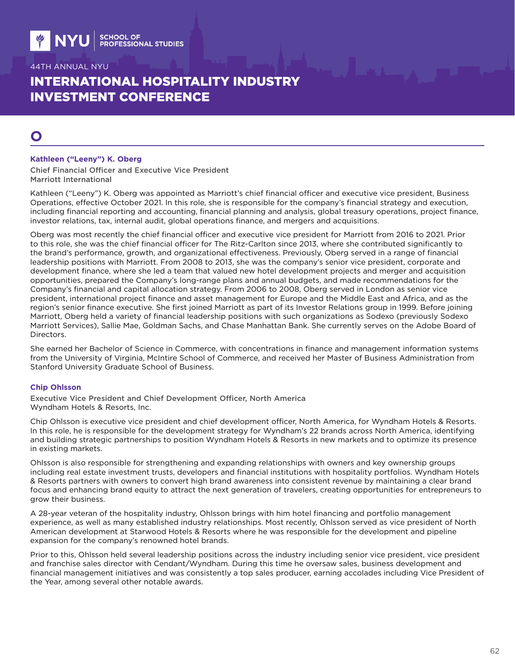# INTERNATIONAL HOSPITALITY INDUSTRY INVESTMENT CONFERENCE

# **O**

#### **Kathleen ("Leeny") K. Oberg**

Chief Financial Officer and Executive Vice President Marriott International

Kathleen ("Leeny") K. Oberg was appointed as Marriott's chief financial officer and executive vice president, Business Operations, effective October 2021. In this role, she is responsible for the company's financial strategy and execution, including financial reporting and accounting, financial planning and analysis, global treasury operations, project finance, investor relations, tax, internal audit, global operations finance, and mergers and acquisitions.

Oberg was most recently the chief financial officer and executive vice president for Marriott from 2016 to 2021. Prior to this role, she was the chief financial officer for The Ritz-Carlton since 2013, where she contributed significantly to the brand's performance, growth, and organizational effectiveness. Previously, Oberg served in a range of financial leadership positions with Marriott. From 2008 to 2013, she was the company's senior vice president, corporate and development finance, where she led a team that valued new hotel development projects and merger and acquisition opportunities, prepared the Company's long-range plans and annual budgets, and made recommendations for the Company's financial and capital allocation strategy. From 2006 to 2008, Oberg served in London as senior vice president, international project finance and asset management for Europe and the Middle East and Africa, and as the region's senior finance executive. She first joined Marriott as part of its Investor Relations group in 1999. Before joining Marriott, Oberg held a variety of financial leadership positions with such organizations as Sodexo (previously Sodexo Marriott Services), Sallie Mae, Goldman Sachs, and Chase Manhattan Bank. She currently serves on the Adobe Board of Directors.

She earned her Bachelor of Science in Commerce, with concentrations in finance and management information systems from the University of Virginia, McIntire School of Commerce, and received her Master of Business Administration from Stanford University Graduate School of Business.

#### **Chip Ohlsson**

Executive Vice President and Chief Development Officer, North America Wyndham Hotels & Resorts, Inc.

Chip Ohlsson is executive vice president and chief development officer, North America, for Wyndham Hotels & Resorts. In this role, he is responsible for the development strategy for Wyndham's 22 brands across North America, identifying and building strategic partnerships to position Wyndham Hotels & Resorts in new markets and to optimize its presence in existing markets.

Ohlsson is also responsible for strengthening and expanding relationships with owners and key ownership groups including real estate investment trusts, developers and financial institutions with hospitality portfolios. Wyndham Hotels & Resorts partners with owners to convert high brand awareness into consistent revenue by maintaining a clear brand focus and enhancing brand equity to attract the next generation of travelers, creating opportunities for entrepreneurs to grow their business.

A 28-year veteran of the hospitality industry, Ohlsson brings with him hotel financing and portfolio management experience, as well as many established industry relationships. Most recently, Ohlsson served as vice president of North American development at Starwood Hotels & Resorts where he was responsible for the development and pipeline expansion for the company's renowned hotel brands.

Prior to this, Ohlsson held several leadership positions across the industry including senior vice president, vice president and franchise sales director with Cendant/Wyndham. During this time he oversaw sales, business development and financial management initiatives and was consistently a top sales producer, earning accolades including Vice President of the Year, among several other notable awards.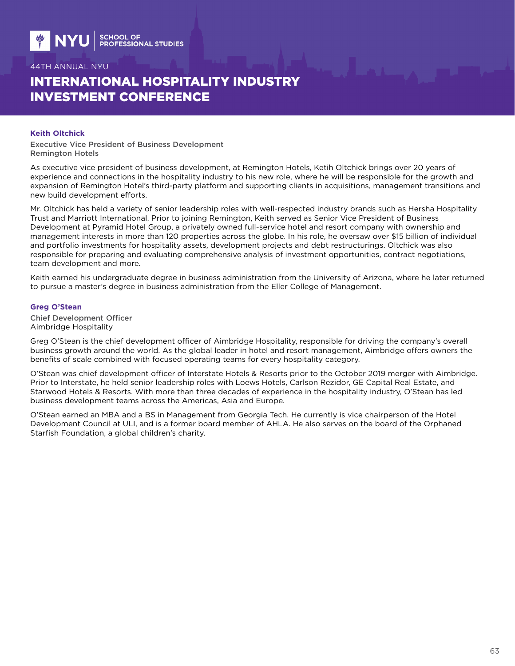# INTERNATIONAL HOSPITALITY INDUSTRY INVESTMENT CONFERENCE

#### **Keith Oltchick**

Executive Vice President of Business Development Remington Hotels

As executive vice president of business development, at Remington Hotels, Ketih Oltchick brings over 20 years of experience and connections in the hospitality industry to his new role, where he will be responsible for the growth and expansion of Remington Hotel's third-party platform and supporting clients in acquisitions, management transitions and new build development efforts.

Mr. Oltchick has held a variety of senior leadership roles with well-respected industry brands such as Hersha Hospitality Trust and Marriott International. Prior to joining Remington, Keith served as Senior Vice President of Business Development at Pyramid Hotel Group, a privately owned full-service hotel and resort company with ownership and management interests in more than 120 properties across the globe. In his role, he oversaw over \$15 billion of individual and portfolio investments for hospitality assets, development projects and debt restructurings. Oltchick was also responsible for preparing and evaluating comprehensive analysis of investment opportunities, contract negotiations, team development and more.

Keith earned his undergraduate degree in business administration from the University of Arizona, where he later returned to pursue a master's degree in business administration from the Eller College of Management.

#### **Greg O'Stean**

Chief Development Officer Aimbridge Hospitality

Greg O'Stean is the chief development officer of Aimbridge Hospitality, responsible for driving the company's overall business growth around the world. As the global leader in hotel and resort management, Aimbridge offers owners the benefits of scale combined with focused operating teams for every hospitality category.

O'Stean was chief development officer of Interstate Hotels & Resorts prior to the October 2019 merger with Aimbridge. Prior to Interstate, he held senior leadership roles with Loews Hotels, Carlson Rezidor, GE Capital Real Estate, and Starwood Hotels & Resorts. With more than three decades of experience in the hospitality industry, O'Stean has led business development teams across the Americas, Asia and Europe.

O'Stean earned an MBA and a BS in Management from Georgia Tech. He currently is vice chairperson of the Hotel Development Council at ULI, and is a former board member of AHLA. He also serves on the board of the Orphaned Starfish Foundation, a global children's charity.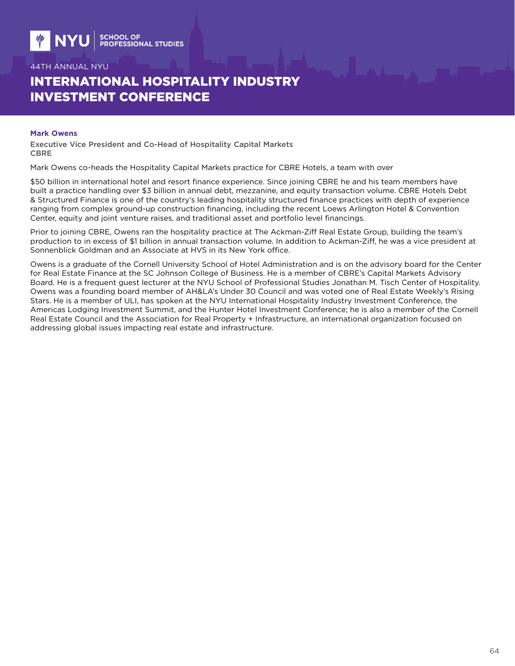# INTERNATIONAL HOSPITALITY INDUSTRY INVESTMENT CONFERENCE

#### **Mark Owens**

Executive Vice President and Co-Head of Hospitality Capital Markets CBRE

Mark Owens co-heads the Hospitality Capital Markets practice for CBRE Hotels, a team with over

\$50 billion in international hotel and resort finance experience. Since joining CBRE he and his team members have built a practice handling over \$3 billion in annual debt, mezzanine, and equity transaction volume. CBRE Hotels Debt & Structured Finance is one of the country's leading hospitality structured finance practices with depth of experience ranging from complex ground-up construction financing, including the recent Loews Arlington Hotel & Convention Center, equity and joint venture raises, and traditional asset and portfolio level financings.

Prior to joining CBRE, Owens ran the hospitality practice at The Ackman-Ziff Real Estate Group, building the team's production to in excess of \$1 billion in annual transaction volume. In addition to Ackman-Ziff, he was a vice president at Sonnenblick Goldman and an Associate at HVS in its New York office.

Owens is a graduate of the Cornell University School of Hotel Administration and is on the advisory board for the Center for Real Estate Finance at the SC Johnson College of Business. He is a member of CBRE's Capital Markets Advisory Board. He is a frequent guest lecturer at the NYU School of Professional Studies Jonathan M. Tisch Center of Hospitality. Owens was a founding board member of AH&LA's Under 30 Council and was voted one of Real Estate Weekly's Rising Stars. He is a member of ULI, has spoken at the NYU International Hospitality Industry Investment Conference, the Americas Lodging Investment Summit, and the Hunter Hotel Investment Conference; he is also a member of the Cornell Real Estate Council and the Association for Real Property + Infrastructure, an international organization focused on addressing global issues impacting real estate and infrastructure.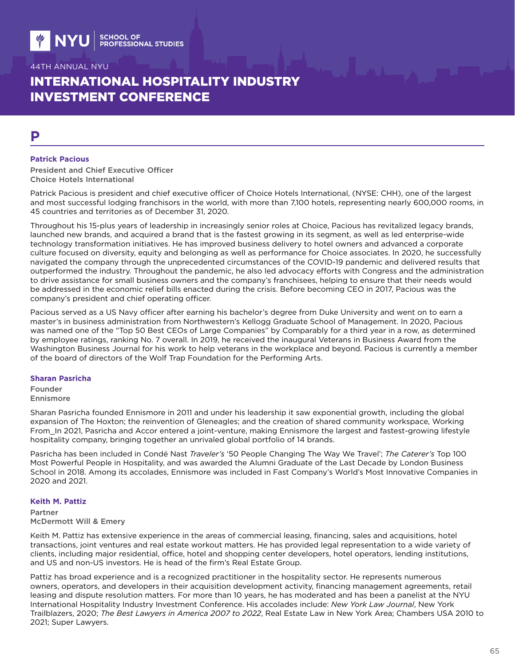# INTERNATIONAL HOSPITALITY INDUSTRY INVESTMENT CONFERENCE

### **P**

#### **Patrick Pacious**

President and Chief Executive Officer Choice Hotels International

Patrick Pacious is president and chief executive officer of Choice Hotels International, (NYSE: CHH), one of the largest and most successful lodging franchisors in the world, with more than 7,100 hotels, representing nearly 600,000 rooms, in 45 countries and territories as of December 31, 2020.

Throughout his 15-plus years of leadership in increasingly senior roles at Choice, Pacious has revitalized legacy brands, launched new brands, and acquired a brand that is the fastest growing in its segment, as well as led enterprise-wide technology transformation initiatives. He has improved business delivery to hotel owners and advanced a corporate culture focused on diversity, equity and belonging as well as performance for Choice associates. In 2020, he successfully navigated the company through the unprecedented circumstances of the COVID-19 pandemic and delivered results that outperformed the industry. Throughout the pandemic, he also led advocacy efforts with Congress and the administration to drive assistance for small business owners and the company's franchisees, helping to ensure that their needs would be addressed in the economic relief bills enacted during the crisis. Before becoming CEO in 2017, Pacious was the company's president and chief operating officer.

Pacious served as a US Navy officer after earning his bachelor's degree from Duke University and went on to earn a master's in business administration from Northwestern's Kellogg Graduate School of Management. In 2020, Pacious was named one of the "Top 50 Best CEOs of Large Companies" by Comparably for a third year in a row, as determined by employee ratings, ranking No. 7 overall. In 2019, he received the inaugural Veterans in Business Award from the Washington Business Journal for his work to help veterans in the workplace and beyond. Pacious is currently a member of the board of directors of the Wolf Trap Foundation for the Performing Arts.

#### **Sharan Pasricha**

Founder Ennismore

Sharan Pasricha founded Ennismore in 2011 and under his leadership it saw exponential growth, including the global expansion of The Hoxton; the reinvention of Gleneagles; and the creation of shared community workspace, Working From In 2021, Pasricha and Accor entered a joint-venture, making Ennismore the largest and fastest-growing lifestyle hospitality company, bringing together an unrivaled global portfolio of 14 brands.

Pasricha has been included in Condé Nast *Traveler's* '50 People Changing The Way We Travel'; *The Caterer's* Top 100 Most Powerful People in Hospitality, and was awarded the Alumni Graduate of the Last Decade by London Business School in 2018. Among its accolades, Ennismore was included in Fast Company's World's Most Innovative Companies in 2020 and 2021.

#### **Keith M. Pattiz**

Partner McDermott Will & Emery

Keith M. Pattiz has extensive experience in the areas of commercial leasing, financing, sales and acquisitions, hotel transactions, joint ventures and real estate workout matters. He has provided legal representation to a wide variety of clients, including major residential, office, hotel and shopping center developers, hotel operators, lending institutions, and US and non-US investors. He is head of the firm's Real Estate Group.

Pattiz has broad experience and is a recognized practitioner in the hospitality sector. He represents numerous owners, operators, and developers in their acquisition development activity, financing management agreements, retail leasing and dispute resolution matters. For more than 10 years, he has moderated and has been a panelist at the NYU International Hospitality Industry Investment Conference. His accolades include: *New York Law Journal*, New York Trailblazers, 2020; *The Best Lawyers in America 2007 to 2022*, Real Estate Law in New York Area; Chambers USA 2010 to 2021; Super Lawyers.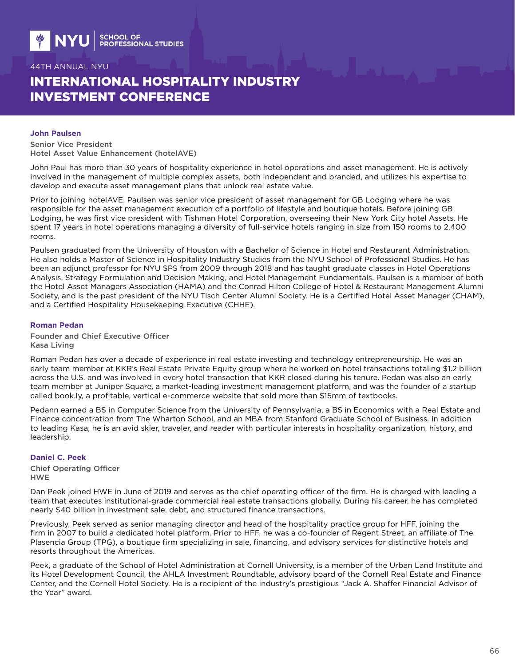# INTERNATIONAL HOSPITALITY INDUSTRY INVESTMENT CONFERENCE

#### **John Paulsen**

Senior Vice President Hotel Asset Value Enhancement (hotelAVE)

John Paul has more than 30 years of hospitality experience in hotel operations and asset management. He is actively involved in the management of multiple complex assets, both independent and branded, and utilizes his expertise to develop and execute asset management plans that unlock real estate value.

Prior to joining hotelAVE, Paulsen was senior vice president of asset management for GB Lodging where he was responsible for the asset management execution of a portfolio of lifestyle and boutique hotels. Before joining GB Lodging, he was first vice president with Tishman Hotel Corporation, overseeing their New York City hotel Assets. He spent 17 years in hotel operations managing a diversity of full-service hotels ranging in size from 150 rooms to 2,400 rooms.

Paulsen graduated from the University of Houston with a Bachelor of Science in Hotel and Restaurant Administration. He also holds a Master of Science in Hospitality Industry Studies from the NYU School of Professional Studies. He has been an adjunct professor for NYU SPS from 2009 through 2018 and has taught graduate classes in Hotel Operations Analysis, Strategy Formulation and Decision Making, and Hotel Management Fundamentals. Paulsen is a member of both the Hotel Asset Managers Association (HAMA) and the Conrad Hilton College of Hotel & Restaurant Management Alumni Society, and is the past president of the NYU Tisch Center Alumni Society. He is a Certified Hotel Asset Manager (CHAM), and a Certified Hospitality Housekeeping Executive (CHHE).

#### **Roman Pedan**

Founder and Chief Executive Officer Kasa Living

Roman Pedan has over a decade of experience in real estate investing and technology entrepreneurship. He was an early team member at KKR's Real Estate Private Equity group where he worked on hotel transactions totaling \$1.2 billion across the U.S. and was involved in every hotel transaction that KKR closed during his tenure. Pedan was also an early team member at Juniper Square, a market-leading investment management platform, and was the founder of a startup called book.Iy, a profitable, vertical e-commerce website that sold more than \$15mm of textbooks.

Pedann earned a BS in Computer Science from the University of Pennsylvania, a BS in Economics with a Real Estate and Finance concentration from The Wharton School, and an MBA from Stanford Graduate School of Business. In addition to leading Kasa, he is an avid skier, traveler, and reader with particular interests in hospitality organization, history, and leadership.

#### **Daniel C. Peek**

Chief Operating Officer HWE

Dan Peek joined HWE in June of 2019 and serves as the chief operating officer of the firm. He is charged with leading a team that executes institutional-grade commercial real estate transactions globally. During his career, he has completed nearly \$40 billion in investment sale, debt, and structured finance transactions.

Previously, Peek served as senior managing director and head of the hospitality practice group for HFF, joining the firm in 2007 to build a dedicated hotel platform. Prior to HFF, he was a co-founder of Regent Street, an affiliate of The Plasencia Group (TPG), a boutique firm specializing in sale, financing, and advisory services for distinctive hotels and resorts throughout the Americas.

Peek, a graduate of the School of Hotel Administration at Cornell University, is a member of the Urban Land Institute and its Hotel Development Council, the AHLA Investment Roundtable, advisory board of the Cornell Real Estate and Finance Center, and the Cornell Hotel Society. He is a recipient of the industry's prestigious "Jack A. Shaffer Financial Advisor of the Year" award.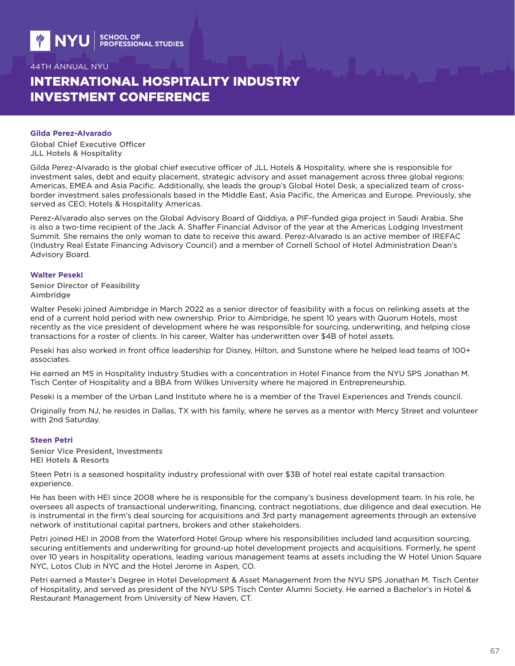# INTERNATIONAL HOSPITALITY INDUSTRY INVESTMENT CONFERENCE

#### **Gilda Perez-Alvarado**

Global Chief Executive Officer JLL Hotels & Hospitality

Gilda Perez-Alvarado is the global chief executive officer of JLL Hotels & Hospitality, where she is responsible for investment sales, debt and equity placement, strategic advisory and asset management across three global regions: Americas, EMEA and Asia Pacific. Additionally, she leads the group's Global Hotel Desk, a specialized team of crossborder investment sales professionals based in the Middle East, Asia Pacific, the Americas and Europe. Previously, she served as CEO, Hotels & Hospitality Americas.

Perez-Alvarado also serves on the Global Advisory Board of Qiddiya, a PIF-funded giga project in Saudi Arabia. She is also a two-time recipient of the Jack A. Shaffer Financial Advisor of the year at the Americas Lodging Investment Summit. She remains the only woman to date to receive this award. Perez-Alvarado is an active member of IREFAC (Industry Real Estate Financing Advisory Council) and a member of Cornell School of Hotel Administration Dean's Advisory Board.

#### **Walter Peseki**

Senior Director of Feasibility Aimbridge

Walter Peseki joined Aimbridge in March 2022 as a senior director of feasibility with a focus on relinking assets at the end of a current hold period with new ownership. Prior to Aimbridge, he spent 10 years with Quorum Hotels, most recently as the vice president of development where he was responsible for sourcing, underwriting, and helping close transactions for a roster of clients. In his career, Walter has underwritten over \$4B of hotel assets.

Peseki has also worked in front office leadership for Disney, Hilton, and Sunstone where he helped lead teams of 100+ associates.

He earned an MS in Hospitality Industry Studies with a concentration in Hotel Finance from the NYU SPS Jonathan M. Tisch Center of Hospitality and a BBA from Wilkes University where he majored in Entrepreneurship.

Peseki is a member of the Urban Land Institute where he is a member of the Travel Experiences and Trends council.

Originally from NJ, he resides in Dallas, TX with his family, where he serves as a mentor with Mercy Street and volunteer with 2nd Saturday.

#### **Steen Petri**

Senior Vice President, Investments HEI Hotels & Resorts

Steen Petri is a seasoned hospitality industry professional with over \$3B of hotel real estate capital transaction experience.

He has been with HEI since 2008 where he is responsible for the company's business development team. In his role, he oversees all aspects of transactional underwriting, financing, contract negotiations, due diligence and deal execution. He is instrumental in the firm's deal sourcing for acquisitions and 3rd party management agreements through an extensive network of institutional capital partners, brokers and other stakeholders.

Petri joined HEI in 2008 from the Waterford Hotel Group where his responsibilities included land acquisition sourcing, securing entitlements and underwriting for ground-up hotel development projects and acquisitions. Formerly, he spent over 10 years in hospitality operations, leading various management teams at assets including the W Hotel Union Square NYC, Lotos Club in NYC and the Hotel Jerome in Aspen, CO.

Petri earned a Master's Degree in Hotel Development & Asset Management from the NYU SPS Jonathan M. Tisch Center of Hospitality, and served as president of the NYU SPS Tisch Center Alumni Society. He earned a Bachelor's in Hotel & Restaurant Management from University of New Haven, CT.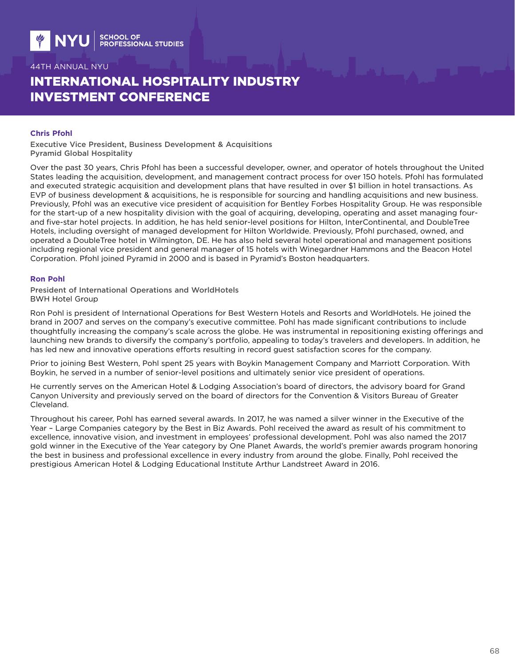# INTERNATIONAL HOSPITALITY INDUSTRY INVESTMENT CONFERENCE

#### **Chris Pfohl**

Executive Vice President, Business Development & Acquisitions Pyramid Global Hospitality

Over the past 30 years, Chris Pfohl has been a successful developer, owner, and operator of hotels throughout the United States leading the acquisition, development, and management contract process for over 150 hotels. Pfohl has formulated and executed strategic acquisition and development plans that have resulted in over \$1 billion in hotel transactions. As EVP of business development & acquisitions, he is responsible for sourcing and handling acquisitions and new business. Previously, Pfohl was an executive vice president of acquisition for Bentley Forbes Hospitality Group. He was responsible for the start-up of a new hospitality division with the goal of acquiring, developing, operating and asset managing fourand five-star hotel projects. In addition, he has held senior-level positions for Hilton, InterContinental, and DoubleTree Hotels, including oversight of managed development for Hilton Worldwide. Previously, Pfohl purchased, owned, and operated a DoubleTree hotel in Wilmington, DE. He has also held several hotel operational and management positions including regional vice president and general manager of 15 hotels with Winegardner Hammons and the Beacon Hotel Corporation. Pfohl joined Pyramid in 2000 and is based in Pyramid's Boston headquarters.

#### **Ron Pohl**

President of International Operations and WorldHotels BWH Hotel Group

Ron Pohl is president of International Operations for Best Western Hotels and Resorts and WorldHotels. He joined the brand in 2007 and serves on the company's executive committee. Pohl has made significant contributions to include thoughtfully increasing the company's scale across the globe. He was instrumental in repositioning existing offerings and launching new brands to diversify the company's portfolio, appealing to today's travelers and developers. In addition, he has led new and innovative operations efforts resulting in record guest satisfaction scores for the company.

Prior to joining Best Western, Pohl spent 25 years with Boykin Management Company and Marriott Corporation. With Boykin, he served in a number of senior-level positions and ultimately senior vice president of operations.

He currently serves on the American Hotel & Lodging Association's board of directors, the advisory board for Grand Canyon University and previously served on the board of directors for the Convention & Visitors Bureau of Greater Cleveland.

Throughout his career, Pohl has earned several awards. In 2017, he was named a silver winner in the Executive of the Year – Large Companies category by the Best in Biz Awards. Pohl received the award as result of his commitment to excellence, innovative vision, and investment in employees' professional development. Pohl was also named the 2017 gold winner in the Executive of the Year category by One Planet Awards, the world's premier awards program honoring the best in business and professional excellence in every industry from around the globe. Finally, Pohl received the prestigious American Hotel & Lodging Educational Institute Arthur Landstreet Award in 2016.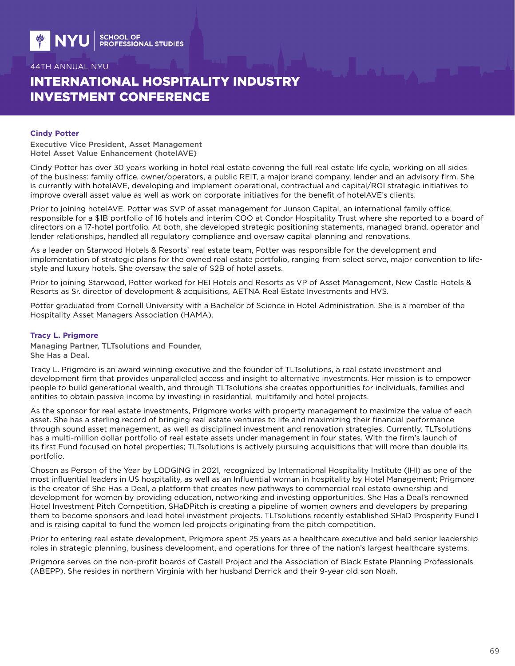# INTERNATIONAL HOSPITALITY INDUSTRY INVESTMENT CONFERENCE

### **Cindy Potter**

Executive Vice President, Asset Management Hotel Asset Value Enhancement (hotelAVE)

Cindy Potter has over 30 years working in hotel real estate covering the full real estate life cycle, working on all sides of the business: family office, owner/operators, a public REIT, a major brand company, lender and an advisory firm. She is currently with hotelAVE, developing and implement operational, contractual and capital/ROI strategic initiatives to improve overall asset value as well as work on corporate initiatives for the benefit of hotelAVE's clients.

Prior to joining hotelAVE, Potter was SVP of asset management for Junson Capital, an international family office, responsible for a \$1B portfolio of 16 hotels and interim COO at Condor Hospitality Trust where she reported to a board of directors on a 17-hotel portfolio. At both, she developed strategic positioning statements, managed brand, operator and lender relationships, handled all regulatory compliance and oversaw capital planning and renovations.

As a leader on Starwood Hotels & Resorts' real estate team, Potter was responsible for the development and implementation of strategic plans for the owned real estate portfolio, ranging from select serve, major convention to lifestyle and luxury hotels. She oversaw the sale of \$2B of hotel assets.

Prior to joining Starwood, Potter worked for HEI Hotels and Resorts as VP of Asset Management, New Castle Hotels & Resorts as Sr. director of development & acquisitions, AETNA Real Estate Investments and HVS.

Potter graduated from Cornell University with a Bachelor of Science in Hotel Administration. She is a member of the Hospitality Asset Managers Association (HAMA).

#### **Tracy L. Prigmore**

Managing Partner, TLTsolutions and Founder, She Has a Deal.

Tracy L. Prigmore is an award winning executive and the founder of TLTsolutions, a real estate investment and development firm that provides unparalleled access and insight to alternative investments. Her mission is to empower people to build generational wealth, and through TLTsolutions she creates opportunities for individuals, families and entities to obtain passive income by investing in residential, multifamily and hotel projects.

As the sponsor for real estate investments, Prigmore works with property management to maximize the value of each asset. She has a sterling record of bringing real estate ventures to life and maximizing their financial performance through sound asset management, as well as disciplined investment and renovation strategies. Currently, TLTsolutions has a multi-million dollar portfolio of real estate assets under management in four states. With the firm's launch of its first Fund focused on hotel properties; TLTsolutions is actively pursuing acquisitions that will more than double its portfolio.

Chosen as Person of the Year by LODGING in 2021, recognized by International Hospitality Institute (IHI) as one of the most influential leaders in US hospitality, as well as an Influential woman in hospitality by Hotel Management; Prigmore is the creator of She Has a Deal, a platform that creates new pathways to commercial real estate ownership and development for women by providing education, networking and investing opportunities. She Has a Deal's renowned Hotel Investment Pitch Competition, SHaDPitch is creating a pipeline of women owners and developers by preparing them to become sponsors and lead hotel investment projects. TLTsolutions recently established SHaD Prosperity Fund I and is raising capital to fund the women led projects originating from the pitch competition.

Prior to entering real estate development, Prigmore spent 25 years as a healthcare executive and held senior leadership roles in strategic planning, business development, and operations for three of the nation's largest healthcare systems.

Prigmore serves on the non-profit boards of Castell Project and the Association of Black Estate Planning Professionals (ABEPP). She resides in northern Virginia with her husband Derrick and their 9-year old son Noah.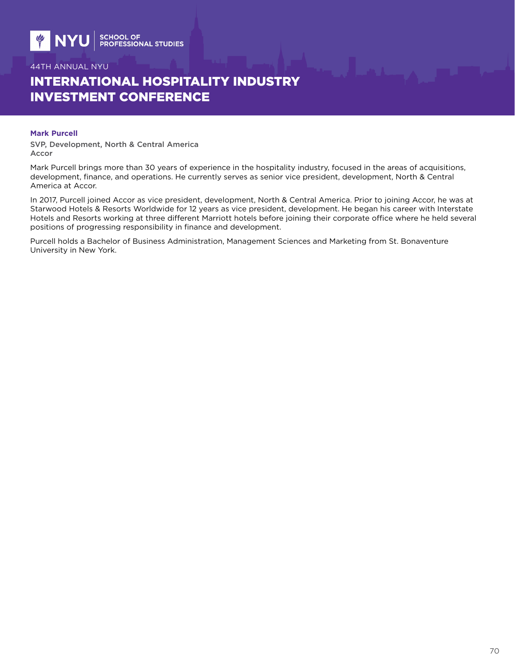# INTERNATIONAL HOSPITALITY INDUSTRY INVESTMENT CONFERENCE

#### **Mark Purcell**

SVP, Development, North & Central America Accor

Mark Purcell brings more than 30 years of experience in the hospitality industry, focused in the areas of acquisitions, development, finance, and operations. He currently serves as senior vice president, development, North & Central America at Accor.

In 2017, Purcell joined Accor as vice president, development, North & Central America. Prior to joining Accor, he was at Starwood Hotels & Resorts Worldwide for 12 years as vice president, development. He began his career with Interstate Hotels and Resorts working at three different Marriott hotels before joining their corporate office where he held several positions of progressing responsibility in finance and development.

Purcell holds a Bachelor of Business Administration, Management Sciences and Marketing from St. Bonaventure University in New York.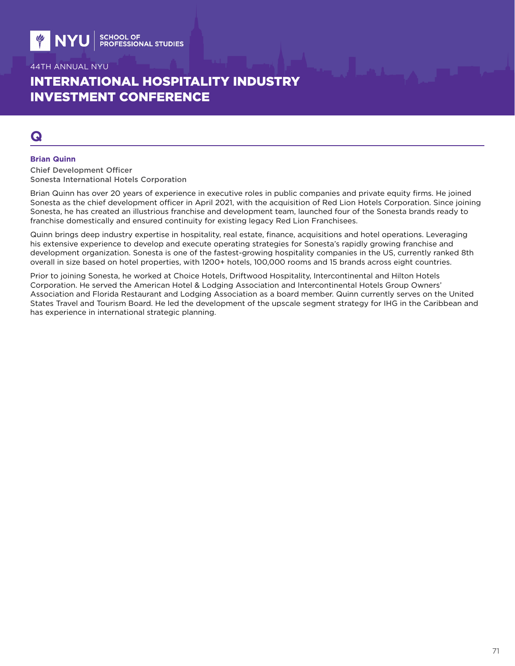# INTERNATIONAL HOSPITALITY INDUSTRY INVESTMENT CONFERENCE

## **Q**

#### **Brian Quinn**

Chief Development Officer Sonesta International Hotels Corporation

Brian Quinn has over 20 years of experience in executive roles in public companies and private equity firms. He joined Sonesta as the chief development officer in April 2021, with the acquisition of Red Lion Hotels Corporation. Since joining Sonesta, he has created an illustrious franchise and development team, launched four of the Sonesta brands ready to franchise domestically and ensured continuity for existing legacy Red Lion Franchisees.

Quinn brings deep industry expertise in hospitality, real estate, finance, acquisitions and hotel operations. Leveraging his extensive experience to develop and execute operating strategies for Sonesta's rapidly growing franchise and development organization. Sonesta is one of the fastest-growing hospitality companies in the US, currently ranked 8th overall in size based on hotel properties, with 1200+ hotels, 100,000 rooms and 15 brands across eight countries.

Prior to joining Sonesta, he worked at Choice Hotels, Driftwood Hospitality, Intercontinental and Hilton Hotels Corporation. He served the American Hotel & Lodging Association and Intercontinental Hotels Group Owners' Association and Florida Restaurant and Lodging Association as a board member. Quinn currently serves on the United States Travel and Tourism Board. He led the development of the upscale segment strategy for IHG in the Caribbean and has experience in international strategic planning.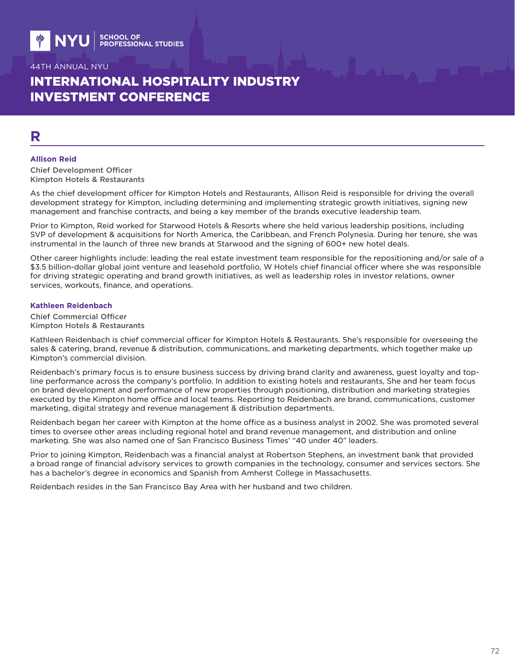# INTERNATIONAL HOSPITALITY INDUSTRY INVESTMENT CONFERENCE

# **R**

#### **Allison Reid**

Chief Development Officer Kimpton Hotels & Restaurants

As the chief development officer for Kimpton Hotels and Restaurants, Allison Reid is responsible for driving the overall development strategy for Kimpton, including determining and implementing strategic growth initiatives, signing new management and franchise contracts, and being a key member of the brands executive leadership team.

Prior to Kimpton, Reid worked for Starwood Hotels & Resorts where she held various leadership positions, including SVP of development & acquisitions for North America, the Caribbean, and French Polynesia. During her tenure, she was instrumental in the launch of three new brands at Starwood and the signing of 600+ new hotel deals.

Other career highlights include: leading the real estate investment team responsible for the repositioning and/or sale of a \$3.5 billion-dollar global joint venture and leasehold portfolio, W Hotels chief financial officer where she was responsible for driving strategic operating and brand growth initiatives, as well as leadership roles in investor relations, owner services, workouts, finance, and operations.

#### **Kathleen Reidenbach**

Chief Commercial Officer Kimpton Hotels & Restaurants

Kathleen Reidenbach is chief commercial officer for Kimpton Hotels & Restaurants. She's responsible for overseeing the sales & catering, brand, revenue & distribution, communications, and marketing departments, which together make up Kimpton's commercial division.

Reidenbach's primary focus is to ensure business success by driving brand clarity and awareness, guest loyalty and topline performance across the company's portfolio. In addition to existing hotels and restaurants, She and her team focus on brand development and performance of new properties through positioning, distribution and marketing strategies executed by the Kimpton home office and local teams. Reporting to Reidenbach are brand, communications, customer marketing, digital strategy and revenue management & distribution departments.

Reidenbach began her career with Kimpton at the home office as a business analyst in 2002. She was promoted several times to oversee other areas including regional hotel and brand revenue management, and distribution and online marketing. She was also named one of San Francisco Business Times' "40 under 40" leaders.

Prior to joining Kimpton, Reidenbach was a financial analyst at Robertson Stephens, an investment bank that provided a broad range of financial advisory services to growth companies in the technology, consumer and services sectors. She has a bachelor's degree in economics and Spanish from Amherst College in Massachusetts.

Reidenbach resides in the San Francisco Bay Area with her husband and two children.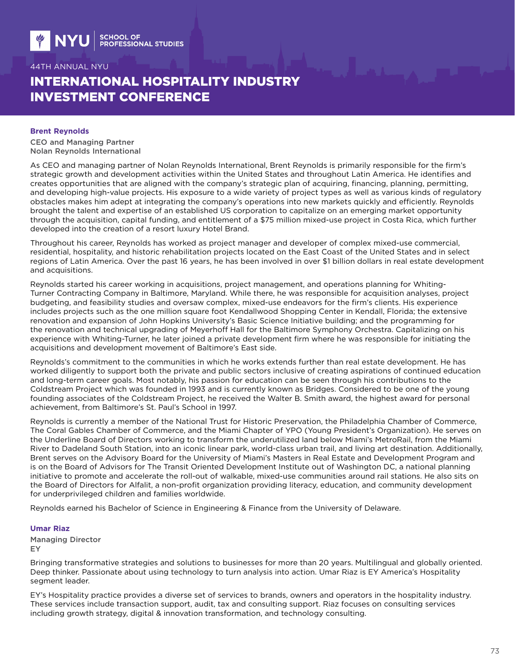# INTERNATIONAL HOSPITALITY INDUSTRY INVESTMENT CONFERENCE

#### **Brent Reynolds**

CEO and Managing Partner Nolan Reynolds International

As CEO and managing partner of Nolan Reynolds International, Brent Reynolds is primarily responsible for the firm's strategic growth and development activities within the United States and throughout Latin America. He identifies and creates opportunities that are aligned with the company's strategic plan of acquiring, financing, planning, permitting, and developing high-value projects. His exposure to a wide variety of project types as well as various kinds of regulatory obstacles makes him adept at integrating the company's operations into new markets quickly and efficiently. Reynolds brought the talent and expertise of an established US corporation to capitalize on an emerging market opportunity through the acquisition, capital funding, and entitlement of a \$75 million mixed-use project in Costa Rica, which further developed into the creation of a resort luxury Hotel Brand.

Throughout his career, Reynolds has worked as project manager and developer of complex mixed-use commercial, residential, hospitality, and historic rehabilitation projects located on the East Coast of the United States and in select regions of Latin America. Over the past 16 years, he has been involved in over \$1 billion dollars in real estate development and acquisitions.

Reynolds started his career working in acquisitions, project management, and operations planning for Whiting-Turner Contracting Company in Baltimore, Maryland. While there, he was responsible for acquisition analyses, project budgeting, and feasibility studies and oversaw complex, mixed-use endeavors for the firm's clients. His experience includes projects such as the one million square foot Kendallwood Shopping Center in Kendall, Florida; the extensive renovation and expansion of John Hopkins University's Basic Science Initiative building; and the programming for the renovation and technical upgrading of Meyerhoff Hall for the Baltimore Symphony Orchestra. Capitalizing on his experience with Whiting-Turner, he later joined a private development firm where he was responsible for initiating the acquisitions and development movement of Baltimore's East side.

Reynolds's commitment to the communities in which he works extends further than real estate development. He has worked diligently to support both the private and public sectors inclusive of creating aspirations of continued education and long-term career goals. Most notably, his passion for education can be seen through his contributions to the Coldstream Project which was founded in 1993 and is currently known as Bridges. Considered to be one of the young founding associates of the Coldstream Project, he received the Walter B. Smith award, the highest award for personal achievement, from Baltimore's St. Paul's School in 1997.

Reynolds is currently a member of the National Trust for Historic Preservation, the Philadelphia Chamber of Commerce, The Coral Gables Chamber of Commerce, and the Miami Chapter of YPO (Young President's Organization). He serves on the Underline Board of Directors working to transform the underutilized land below Miami's MetroRail, from the Miami River to Dadeland South Station, into an iconic linear park, world-class urban trail, and living art destination. Additionally, Brent serves on the Advisory Board for the University of Miami's Masters in Real Estate and Development Program and is on the Board of Advisors for The Transit Oriented Development Institute out of Washington DC, a national planning initiative to promote and accelerate the roll-out of walkable, mixed-use communities around rail stations. He also sits on the Board of Directors for Alfalit, a non-profit organization providing literacy, education, and community development for underprivileged children and families worldwide.

Reynolds earned his Bachelor of Science in Engineering & Finance from the University of Delaware.

#### **Umar Riaz**

Managing Director EY

Bringing transformative strategies and solutions to businesses for more than 20 years. Multilingual and globally oriented. Deep thinker. Passionate about using technology to turn analysis into action. Umar Riaz is EY America's Hospitality segment leader.

EY's Hospitality practice provides a diverse set of services to brands, owners and operators in the hospitality industry. These services include transaction support, audit, tax and consulting support. Riaz focuses on consulting services including growth strategy, digital & innovation transformation, and technology consulting.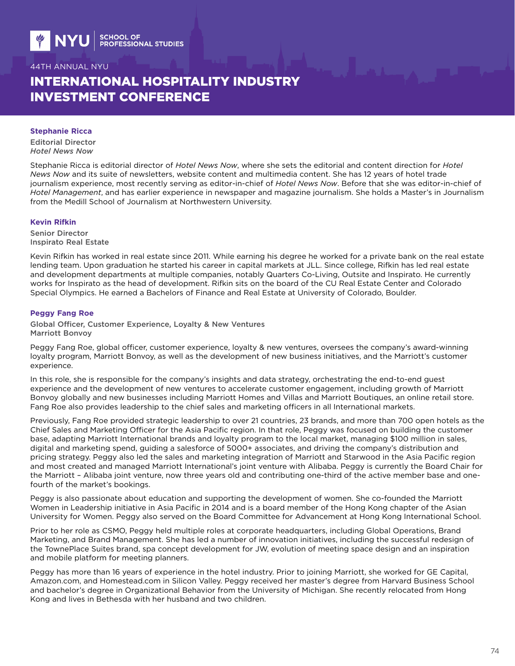# INTERNATIONAL HOSPITALITY INDUSTRY INVESTMENT CONFERENCE

#### **Stephanie Ricca**

Editorial Director *Hotel News Now*

Stephanie Ricca is editorial director of *Hotel News Now*, where she sets the editorial and content direction for *Hotel News Now* and its suite of newsletters, website content and multimedia content. She has 12 years of hotel trade journalism experience, most recently serving as editor-in-chief of *Hotel News Now*. Before that she was editor-in-chief of *Hotel Management*, and has earlier experience in newspaper and magazine journalism. She holds a Master's in Journalism from the Medill School of Journalism at Northwestern University.

#### **Kevin Rifkin**

Senior Director Inspirato Real Estate

Kevin Rifkin has worked in real estate since 2011. While earning his degree he worked for a private bank on the real estate lending team. Upon graduation he started his career in capital markets at JLL. Since college, Rifkin has led real estate and development departments at multiple companies, notably Quarters Co-Living, Outsite and Inspirato. He currently works for Inspirato as the head of development. Rifkin sits on the board of the CU Real Estate Center and Colorado Special Olympics. He earned a Bachelors of Finance and Real Estate at University of Colorado, Boulder.

### **Peggy Fang Roe**

Global Officer, Customer Experience, Loyalty & New Ventures Marriott Bonvoy

Peggy Fang Roe, global officer, customer experience, loyalty & new ventures, oversees the company's award-winning loyalty program, Marriott Bonvoy, as well as the development of new business initiatives, and the Marriott's customer experience.

In this role, she is responsible for the company's insights and data strategy, orchestrating the end-to-end guest experience and the development of new ventures to accelerate customer engagement, including growth of Marriott Bonvoy globally and new businesses including Marriott Homes and Villas and Marriott Boutiques, an online retail store. Fang Roe also provides leadership to the chief sales and marketing officers in all International markets.

Previously, Fang Roe provided strategic leadership to over 21 countries, 23 brands, and more than 700 open hotels as the Chief Sales and Marketing Officer for the Asia Pacific region. In that role, Peggy was focused on building the customer base, adapting Marriott International brands and loyalty program to the local market, managing \$100 million in sales, digital and marketing spend, guiding a salesforce of 5000+ associates, and driving the company's distribution and pricing strategy. Peggy also led the sales and marketing integration of Marriott and Starwood in the Asia Pacific region and most created and managed Marriott International's joint venture with Alibaba. Peggy is currently the Board Chair for the Marriott – Alibaba joint venture, now three years old and contributing one-third of the active member base and onefourth of the market's bookings.

Peggy is also passionate about education and supporting the development of women. She co-founded the Marriott Women in Leadership initiative in Asia Pacific in 2014 and is a board member of the Hong Kong chapter of the Asian University for Women. Peggy also served on the Board Committee for Advancement at Hong Kong International School.

Prior to her role as CSMO, Peggy held multiple roles at corporate headquarters, including Global Operations, Brand Marketing, and Brand Management. She has led a number of innovation initiatives, including the successful redesign of the TownePlace Suites brand, spa concept development for JW, evolution of meeting space design and an inspiration and mobile platform for meeting planners.

Peggy has more than 16 years of experience in the hotel industry. Prior to joining Marriott, she worked for GE Capital, Amazon.com, and Homestead.com in Silicon Valley. Peggy received her master's degree from Harvard Business School and bachelor's degree in Organizational Behavior from the University of Michigan. She recently relocated from Hong Kong and lives in Bethesda with her husband and two children.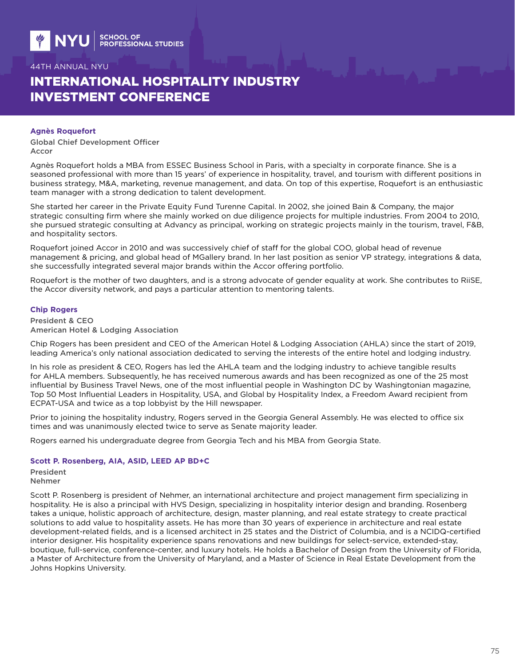# INTERNATIONAL HOSPITALITY INDUSTRY INVESTMENT CONFERENCE

#### **Agnès Roquefort**

Global Chief Development Officer Accor

Agnès Roquefort holds a MBA from ESSEC Business School in Paris, with a specialty in corporate finance. She is a seasoned professional with more than 15 years' of experience in hospitality, travel, and tourism with different positions in business strategy, M&A, marketing, revenue management, and data. On top of this expertise, Roquefort is an enthusiastic team manager with a strong dedication to talent development.

She started her career in the Private Equity Fund Turenne Capital. In 2002, she joined Bain & Company, the major strategic consulting firm where she mainly worked on due diligence projects for multiple industries. From 2004 to 2010, she pursued strategic consulting at Advancy as principal, working on strategic projects mainly in the tourism, travel, F&B, and hospitality sectors.

Roquefort joined Accor in 2010 and was successively chief of staff for the global COO, global head of revenue management & pricing, and global head of MGallery brand. In her last position as senior VP strategy, integrations & data, she successfully integrated several major brands within the Accor offering portfolio.

Roquefort is the mother of two daughters, and is a strong advocate of gender equality at work. She contributes to RiiSE, the Accor diversity network, and pays a particular attention to mentoring talents.

#### **Chip Rogers**

President & CEO American Hotel & Lodging Association

Chip Rogers has been president and CEO of the American Hotel & Lodging Association (AHLA) since the start of 2019, leading America's only national association dedicated to serving the interests of the entire hotel and lodging industry.

In his role as president & CEO, Rogers has led the AHLA team and the lodging industry to achieve tangible results for AHLA members. Subsequently, he has received numerous awards and has been recognized as one of the 25 most influential by Business Travel News, one of the most influential people in Washington DC by Washingtonian magazine, Top 50 Most Influential Leaders in Hospitality, USA, and Global by Hospitality Index, a Freedom Award recipient from ECPAT-USA and twice as a top lobbyist by the Hill newspaper.

Prior to joining the hospitality industry, Rogers served in the Georgia General Assembly. He was elected to office six times and was unanimously elected twice to serve as Senate majority leader.

Rogers earned his undergraduate degree from Georgia Tech and his MBA from Georgia State.

### **Scott P. Rosenberg, AIA, ASID, LEED AP BD+C**

President Nehmer

Scott P. Rosenberg is president of Nehmer, an international architecture and project management firm specializing in hospitality. He is also a principal with HVS Design, specializing in hospitality interior design and branding. Rosenberg takes a unique, holistic approach of architecture, design, master planning, and real estate strategy to create practical solutions to add value to hospitality assets. He has more than 30 years of experience in architecture and real estate development-related fields, and is a licensed architect in 25 states and the District of Columbia, and is a NCIDQ-certified interior designer. His hospitality experience spans renovations and new buildings for select-service, extended-stay, boutique, full-service, conference-center, and luxury hotels. He holds a Bachelor of Design from the University of Florida, a Master of Architecture from the University of Maryland, and a Master of Science in Real Estate Development from the Johns Hopkins University.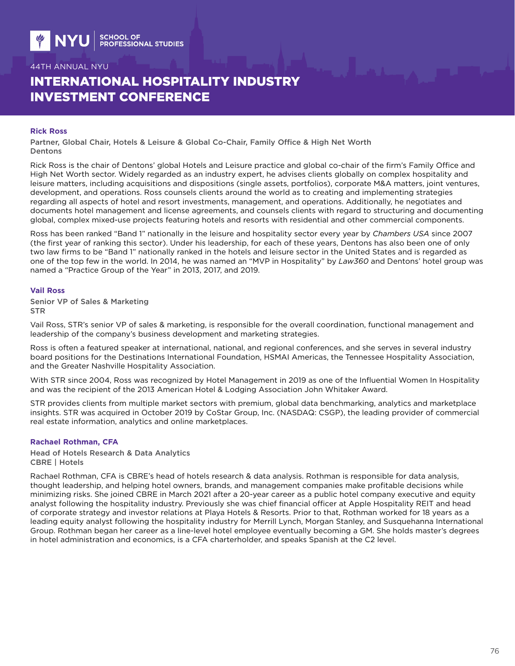# INTERNATIONAL HOSPITALITY INDUSTRY INVESTMENT CONFERENCE

#### **Rick Ross**

Partner, Global Chair, Hotels & Leisure & Global Co-Chair, Family Office & High Net Worth Dentons

Rick Ross is the chair of Dentons' global Hotels and Leisure practice and global co-chair of the firm's Family Office and High Net Worth sector. Widely regarded as an industry expert, he advises clients globally on complex hospitality and leisure matters, including acquisitions and dispositions (single assets, portfolios), corporate M&A matters, joint ventures, development, and operations. Ross counsels clients around the world as to creating and implementing strategies regarding all aspects of hotel and resort investments, management, and operations. Additionally, he negotiates and documents hotel management and license agreements, and counsels clients with regard to structuring and documenting global, complex mixed-use projects featuring hotels and resorts with residential and other commercial components.

Ross has been ranked "Band 1" nationally in the leisure and hospitality sector every year by *Chambers USA* since 2007 (the first year of ranking this sector). Under his leadership, for each of these years, Dentons has also been one of only two law firms to be "Band 1" nationally ranked in the hotels and leisure sector in the United States and is regarded as one of the top few in the world. In 2014, he was named an "MVP in Hospitality" by *Law360* and Dentons' hotel group was named a "Practice Group of the Year" in 2013, 2017, and 2019.

#### **Vail Ross**

Senior VP of Sales & Marketing STR

Vail Ross, STR's senior VP of sales & marketing, is responsible for the overall coordination, functional management and leadership of the company's business development and marketing strategies.

Ross is often a featured speaker at international, national, and regional conferences, and she serves in several industry board positions for the Destinations International Foundation, HSMAI Americas, the Tennessee Hospitality Association, and the Greater Nashville Hospitality Association.

With STR since 2004, Ross was recognized by Hotel Management in 2019 as one of the Influential Women In Hospitality and was the recipient of the 2013 American Hotel & Lodging Association John Whitaker Award.

STR provides clients from multiple market sectors with premium, global data benchmarking, analytics and marketplace insights. STR was acquired in October 2019 by CoStar Group, Inc. (NASDAQ: CSGP), the leading provider of commercial real estate information, analytics and online marketplaces.

### **Rachael Rothman, CFA**

Head of Hotels Research & Data Analytics CBRE | Hotels

Rachael Rothman, CFA is CBRE's head of hotels research & data analysis. Rothman is responsible for data analysis, thought leadership, and helping hotel owners, brands, and management companies make profitable decisions while minimizing risks. She joined CBRE in March 2021 after a 20-year career as a public hotel company executive and equity analyst following the hospitality industry. Previously she was chief financial officer at Apple Hospitality REIT and head of corporate strategy and investor relations at Playa Hotels & Resorts. Prior to that, Rothman worked for 18 years as a leading equity analyst following the hospitality industry for Merrill Lynch, Morgan Stanley, and Susquehanna International Group. Rothman began her career as a line-level hotel employee eventually becoming a GM. She holds master's degrees in hotel administration and economics, is a CFA charterholder, and speaks Spanish at the C2 level.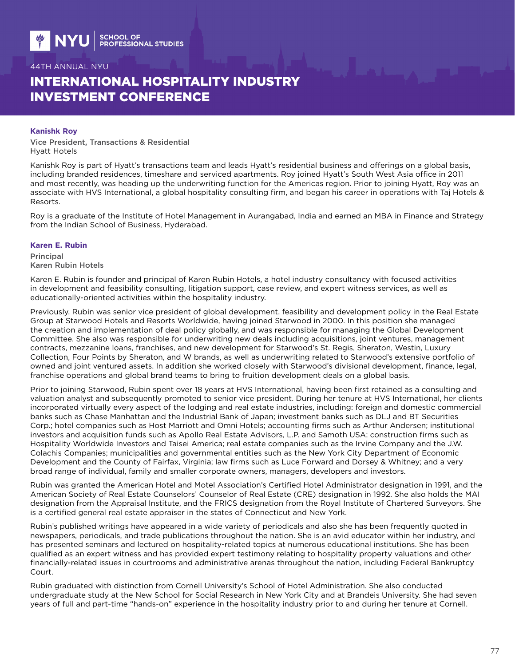# INTERNATIONAL HOSPITALITY INDUSTRY INVESTMENT CONFERENCE

#### **Kanishk Roy**

Vice President, Transactions & Residential Hyatt Hotels

Kanishk Roy is part of Hyatt's transactions team and leads Hyatt's residential business and offerings on a global basis, including branded residences, timeshare and serviced apartments. Roy joined Hyatt's South West Asia office in 2011 and most recently, was heading up the underwriting function for the Americas region. Prior to joining Hyatt, Roy was an associate with HVS International, a global hospitality consulting firm, and began his career in operations with Taj Hotels & Resorts.

Roy is a graduate of the Institute of Hotel Management in Aurangabad, India and earned an MBA in Finance and Strategy from the Indian School of Business, Hyderabad.

#### **Karen E. Rubin**

Principal Karen Rubin Hotels

Karen E. Rubin is founder and principal of Karen Rubin Hotels, a hotel industry consultancy with focused activities in development and feasibility consulting, litigation support, case review, and expert witness services, as well as educationally-oriented activities within the hospitality industry.

Previously, Rubin was senior vice president of global development, feasibility and development policy in the Real Estate Group at Starwood Hotels and Resorts Worldwide, having joined Starwood in 2000. In this position she managed the creation and implementation of deal policy globally, and was responsible for managing the Global Development Committee. She also was responsible for underwriting new deals including acquisitions, joint ventures, management contracts, mezzanine loans, franchises, and new development for Starwood's St. Regis, Sheraton, Westin, Luxury Collection, Four Points by Sheraton, and W brands, as well as underwriting related to Starwood's extensive portfolio of owned and joint ventured assets. In addition she worked closely with Starwood's divisional development, finance, legal, franchise operations and global brand teams to bring to fruition development deals on a global basis.

Prior to joining Starwood, Rubin spent over 18 years at HVS International, having been first retained as a consulting and valuation analyst and subsequently promoted to senior vice president. During her tenure at HVS International, her clients incorporated virtually every aspect of the lodging and real estate industries, including: foreign and domestic commercial banks such as Chase Manhattan and the Industrial Bank of Japan; investment banks such as DLJ and BT Securities Corp.; hotel companies such as Host Marriott and Omni Hotels; accounting firms such as Arthur Andersen; institutional investors and acquisition funds such as Apollo Real Estate Advisors, L.P. and Samoth USA; construction firms such as Hospitality Worldwide Investors and Taisei America; real estate companies such as the Irvine Company and the J.W. Colachis Companies; municipalities and governmental entities such as the New York City Department of Economic Development and the County of Fairfax, Virginia; law firms such as Luce Forward and Dorsey & Whitney; and a very broad range of individual, family and smaller corporate owners, managers, developers and investors.

Rubin was granted the American Hotel and Motel Association's Certified Hotel Administrator designation in 1991, and the American Society of Real Estate Counselors' Counselor of Real Estate (CRE) designation in 1992. She also holds the MAI designation from the Appraisal Institute, and the FRICS designation from the Royal Institute of Chartered Surveyors. She is a certified general real estate appraiser in the states of Connecticut and New York.

Rubin's published writings have appeared in a wide variety of periodicals and also she has been frequently quoted in newspapers, periodicals, and trade publications throughout the nation. She is an avid educator within her industry, and has presented seminars and lectured on hospitality-related topics at numerous educational institutions. She has been qualified as an expert witness and has provided expert testimony relating to hospitality property valuations and other financially-related issues in courtrooms and administrative arenas throughout the nation, including Federal Bankruptcy Court.

Rubin graduated with distinction from Cornell University's School of Hotel Administration. She also conducted undergraduate study at the New School for Social Research in New York City and at Brandeis University. She had seven years of full and part-time "hands-on" experience in the hospitality industry prior to and during her tenure at Cornell.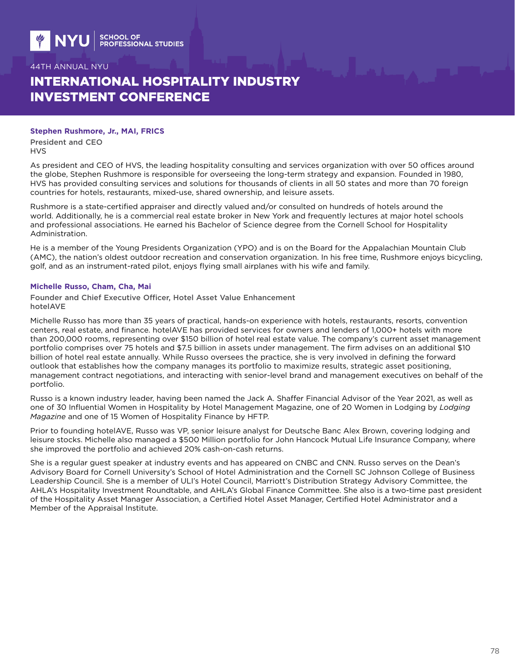# INTERNATIONAL HOSPITALITY INDUSTRY INVESTMENT CONFERENCE

### **Stephen Rushmore, Jr., MAI, FRICS**

President and CEO HVS

As president and CEO of HVS, the leading hospitality consulting and services organization with over 50 offices around the globe, Stephen Rushmore is responsible for overseeing the long-term strategy and expansion. Founded in 1980, HVS has provided consulting services and solutions for thousands of clients in all 50 states and more than 70 foreign countries for hotels, restaurants, mixed-use, shared ownership, and leisure assets.

Rushmore is a state-certified appraiser and directly valued and/or consulted on hundreds of hotels around the world. Additionally, he is a commercial real estate broker in New York and frequently lectures at major hotel schools and professional associations. He earned his Bachelor of Science degree from the Cornell School for Hospitality Administration.

He is a member of the Young Presidents Organization (YPO) and is on the Board for the Appalachian Mountain Club (AMC), the nation's oldest outdoor recreation and conservation organization. In his free time, Rushmore enjoys bicycling, golf, and as an instrument-rated pilot, enjoys flying small airplanes with his wife and family.

### **Michelle Russo, Cham, Cha, Mai**

Founder and Chief Executive Officer, Hotel Asset Value Enhancement hotelAVE

Michelle Russo has more than 35 years of practical, hands-on experience with hotels, restaurants, resorts, convention centers, real estate, and finance. hotelAVE has provided services for owners and lenders of 1,000+ hotels with more than 200,000 rooms, representing over \$150 billion of hotel real estate value. The company's current asset management portfolio comprises over 75 hotels and \$7.5 billion in assets under management. The firm advises on an additional \$10 billion of hotel real estate annually. While Russo oversees the practice, she is very involved in defining the forward outlook that establishes how the company manages its portfolio to maximize results, strategic asset positioning, management contract negotiations, and interacting with senior-level brand and management executives on behalf of the portfolio.

Russo is a known industry leader, having been named the Jack A. Shaffer Financial Advisor of the Year 2021, as well as one of 30 Influential Women in Hospitality by Hotel Management Magazine, one of 20 Women in Lodging by *Lodging Magazine* and one of 15 Women of Hospitality Finance by HFTP.

Prior to founding hotelAVE, Russo was VP, senior leisure analyst for Deutsche Banc Alex Brown, covering lodging and leisure stocks. Michelle also managed a \$500 Million portfolio for John Hancock Mutual Life Insurance Company, where she improved the portfolio and achieved 20% cash-on-cash returns.

She is a regular guest speaker at industry events and has appeared on CNBC and CNN. Russo serves on the Dean's Advisory Board for Cornell University's School of Hotel Administration and the Cornell SC Johnson College of Business Leadership Council. She is a member of ULI's Hotel Council, Marriott's Distribution Strategy Advisory Committee, the AHLA's Hospitality Investment Roundtable, and AHLA's Global Finance Committee. She also is a two-time past president of the Hospitality Asset Manager Association, a Certified Hotel Asset Manager, Certified Hotel Administrator and a Member of the Appraisal Institute.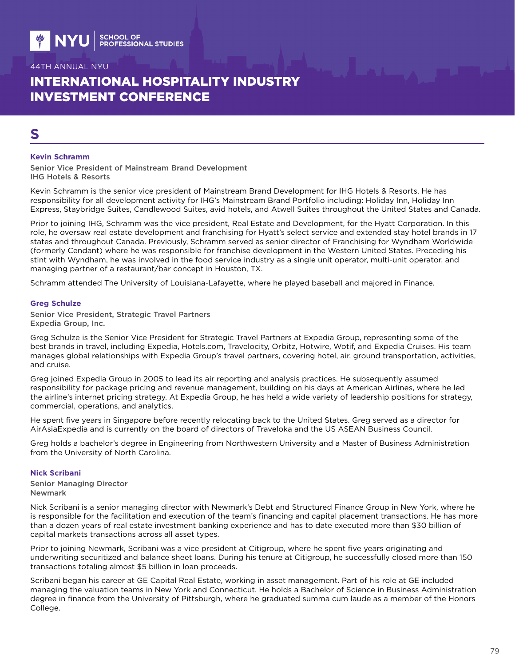# INTERNATIONAL HOSPITALITY INDUSTRY INVESTMENT CONFERENCE

# **S**

#### **Kevin Schramm**

Senior Vice President of Mainstream Brand Development IHG Hotels & Resorts

Kevin Schramm is the senior vice president of Mainstream Brand Development for IHG Hotels & Resorts. He has responsibility for all development activity for IHG's Mainstream Brand Portfolio including: Holiday Inn, Holiday Inn Express, Staybridge Suites, Candlewood Suites, avid hotels, and Atwell Suites throughout the United States and Canada.

Prior to joining IHG, Schramm was the vice president, Real Estate and Development, for the Hyatt Corporation. In this role, he oversaw real estate development and franchising for Hyatt's select service and extended stay hotel brands in 17 states and throughout Canada. Previously, Schramm served as senior director of Franchising for Wyndham Worldwide (formerly Cendant) where he was responsible for franchise development in the Western United States. Preceding his stint with Wyndham, he was involved in the food service industry as a single unit operator, multi-unit operator, and managing partner of a restaurant/bar concept in Houston, TX.

Schramm attended The University of Louisiana-Lafayette, where he played baseball and majored in Finance.

#### **Greg Schulze**

Senior Vice President, Strategic Travel Partners Expedia Group, Inc.

Greg Schulze is the Senior Vice President for Strategic Travel Partners at Expedia Group, representing some of the best brands in travel, including Expedia, Hotels.com, Travelocity, Orbitz, Hotwire, Wotif, and Expedia Cruises. His team manages global relationships with Expedia Group's travel partners, covering hotel, air, ground transportation, activities, and cruise.

Greg joined Expedia Group in 2005 to lead its air reporting and analysis practices. He subsequently assumed responsibility for package pricing and revenue management, building on his days at American Airlines, where he led the airline's internet pricing strategy. At Expedia Group, he has held a wide variety of leadership positions for strategy, commercial, operations, and analytics.

He spent five years in Singapore before recently relocating back to the United States. Greg served as a director for AirAsiaExpedia and is currently on the board of directors of Traveloka and the US ASEAN Business Council.

Greg holds a bachelor's degree in Engineering from Northwestern University and a Master of Business Administration from the University of North Carolina.

#### **Nick Scribani**

Senior Managing Director Newmark

Nick Scribani is a senior managing director with Newmark's Debt and Structured Finance Group in New York, where he is responsible for the facilitation and execution of the team's financing and capital placement transactions. He has more than a dozen years of real estate investment banking experience and has to date executed more than \$30 billion of capital markets transactions across all asset types.

Prior to joining Newmark, Scribani was a vice president at Citigroup, where he spent five years originating and underwriting securitized and balance sheet loans. During his tenure at Citigroup, he successfully closed more than 150 transactions totaling almost \$5 billion in loan proceeds.

Scribani began his career at GE Capital Real Estate, working in asset management. Part of his role at GE included managing the valuation teams in New York and Connecticut. He holds a Bachelor of Science in Business Administration degree in finance from the University of Pittsburgh, where he graduated summa cum laude as a member of the Honors College.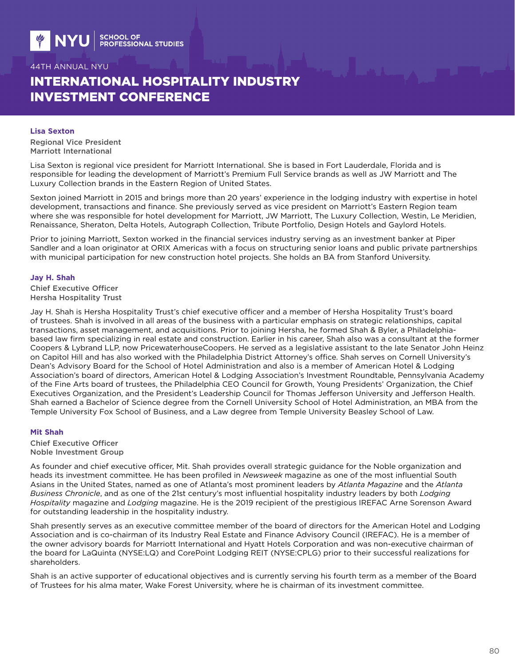# INTERNATIONAL HOSPITALITY INDUSTRY INVESTMENT CONFERENCE

#### **Lisa Sexton**

Regional Vice President Marriott International

Lisa Sexton is regional vice president for Marriott International. She is based in Fort Lauderdale, Florida and is responsible for leading the development of Marriott's Premium Full Service brands as well as JW Marriott and The Luxury Collection brands in the Eastern Region of United States.

Sexton joined Marriott in 2015 and brings more than 20 years' experience in the lodging industry with expertise in hotel development, transactions and finance. She previously served as vice president on Marriott's Eastern Region team where she was responsible for hotel development for Marriott, JW Marriott, The Luxury Collection, Westin, Le Meridien, Renaissance, Sheraton, Delta Hotels, Autograph Collection, Tribute Portfolio, Design Hotels and Gaylord Hotels.

Prior to joining Marriott, Sexton worked in the financial services industry serving as an investment banker at Piper Sandler and a loan originator at ORIX Americas with a focus on structuring senior loans and public private partnerships with municipal participation for new construction hotel projects. She holds an BA from Stanford University.

#### **Jay H. Shah**

Chief Executive Officer Hersha Hospitality Trust

Jay H. Shah is Hersha Hospitality Trust's chief executive officer and a member of Hersha Hospitality Trust's board of trustees. Shah is involved in all areas of the business with a particular emphasis on strategic relationships, capital transactions, asset management, and acquisitions. Prior to joining Hersha, he formed Shah & Byler, a Philadelphiabased law firm specializing in real estate and construction. Earlier in his career, Shah also was a consultant at the former Coopers & Lybrand LLP, now PricewaterhouseCoopers. He served as a legislative assistant to the late Senator John Heinz on Capitol Hill and has also worked with the Philadelphia District Attorney's office. Shah serves on Cornell University's Dean's Advisory Board for the School of Hotel Administration and also is a member of American Hotel & Lodging Association's board of directors, American Hotel & Lodging Association's Investment Roundtable, Pennsylvania Academy of the Fine Arts board of trustees, the Philadelphia CEO Council for Growth, Young Presidents' Organization, the Chief Executives Organization, and the President's Leadership Council for Thomas Jefferson University and Jefferson Health. Shah earned a Bachelor of Science degree from the Cornell University School of Hotel Administration, an MBA from the Temple University Fox School of Business, and a Law degree from Temple University Beasley School of Law.

#### **Mit Shah**

Chief Executive Officer Noble Investment Group

As founder and chief executive officer, Mit. Shah provides overall strategic guidance for the Noble organization and heads its investment committee. He has been profiled in *Newsweek* magazine as one of the most influential South Asians in the United States, named as one of Atlanta's most prominent leaders by *Atlanta Magazine* and the *Atlanta Business Chronicle*, and as one of the 21st century's most influential hospitality industry leaders by both *Lodging Hospitality* magazine and *Lodging* magazine. He is the 2019 recipient of the prestigious IREFAC Arne Sorenson Award for outstanding leadership in the hospitality industry.

Shah presently serves as an executive committee member of the board of directors for the American Hotel and Lodging Association and is co-chairman of its Industry Real Estate and Finance Advisory Council (IREFAC). He is a member of the owner advisory boards for Marriott International and Hyatt Hotels Corporation and was non-executive chairman of the board for LaQuinta (NYSE:LQ) and CorePoint Lodging REIT (NYSE:CPLG) prior to their successful realizations for shareholders.

Shah is an active supporter of educational objectives and is currently serving his fourth term as a member of the Board of Trustees for his alma mater, Wake Forest University, where he is chairman of its investment committee.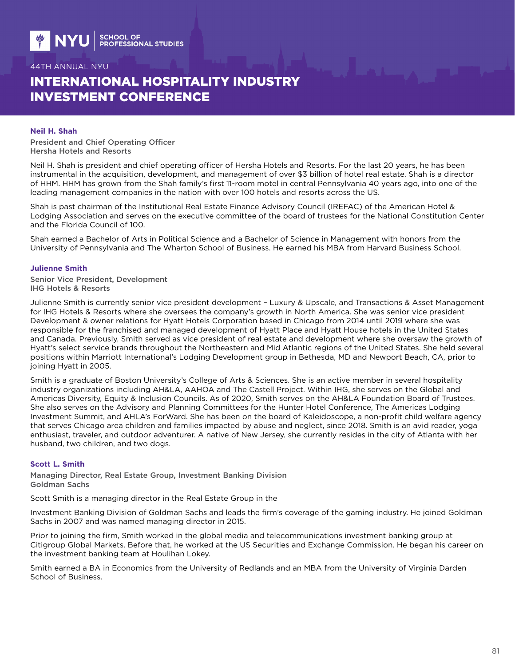# INTERNATIONAL HOSPITALITY INDUSTRY INVESTMENT CONFERENCE

#### **Neil H. Shah**

President and Chief Operating Officer Hersha Hotels and Resorts

Neil H. Shah is president and chief operating officer of Hersha Hotels and Resorts. For the last 20 years, he has been instrumental in the acquisition, development, and management of over \$3 billion of hotel real estate. Shah is a director of HHM. HHM has grown from the Shah family's first 11-room motel in central Pennsylvania 40 years ago, into one of the leading management companies in the nation with over 100 hotels and resorts across the US.

Shah is past chairman of the Institutional Real Estate Finance Advisory Council (IREFAC) of the American Hotel & Lodging Association and serves on the executive committee of the board of trustees for the National Constitution Center and the Florida Council of 100.

Shah earned a Bachelor of Arts in Political Science and a Bachelor of Science in Management with honors from the University of Pennsylvania and The Wharton School of Business. He earned his MBA from Harvard Business School.

#### **Julienne Smith**

Senior Vice President, Development IHG Hotels & Resorts

Julienne Smith is currently senior vice president development – Luxury & Upscale, and Transactions & Asset Management for IHG Hotels & Resorts where she oversees the company's growth in North America. She was senior vice president Development & owner relations for Hyatt Hotels Corporation based in Chicago from 2014 until 2019 where she was responsible for the franchised and managed development of Hyatt Place and Hyatt House hotels in the United States and Canada. Previously, Smith served as vice president of real estate and development where she oversaw the growth of Hyatt's select service brands throughout the Northeastern and Mid Atlantic regions of the United States. She held several positions within Marriott International's Lodging Development group in Bethesda, MD and Newport Beach, CA, prior to joining Hyatt in 2005.

Smith is a graduate of Boston University's College of Arts & Sciences. She is an active member in several hospitality industry organizations including AH&LA, AAHOA and The Castell Project. Within IHG, she serves on the Global and Americas Diversity, Equity & Inclusion Councils. As of 2020, Smith serves on the AH&LA Foundation Board of Trustees. She also serves on the Advisory and Planning Committees for the Hunter Hotel Conference, The Americas Lodging Investment Summit, and AHLA's ForWard. She has been on the board of Kaleidoscope, a non-profit child welfare agency that serves Chicago area children and families impacted by abuse and neglect, since 2018. Smith is an avid reader, yoga enthusiast, traveler, and outdoor adventurer. A native of New Jersey, she currently resides in the city of Atlanta with her husband, two children, and two dogs.

#### **Scott L. Smith**

Managing Director, Real Estate Group, Investment Banking Division Goldman Sachs

Scott Smith is a managing director in the Real Estate Group in the

Investment Banking Division of Goldman Sachs and leads the firm's coverage of the gaming industry. He joined Goldman Sachs in 2007 and was named managing director in 2015.

Prior to joining the firm, Smith worked in the global media and telecommunications investment banking group at Citigroup Global Markets. Before that, he worked at the US Securities and Exchange Commission. He began his career on the investment banking team at Houlihan Lokey.

Smith earned a BA in Economics from the University of Redlands and an MBA from the University of Virginia Darden School of Business.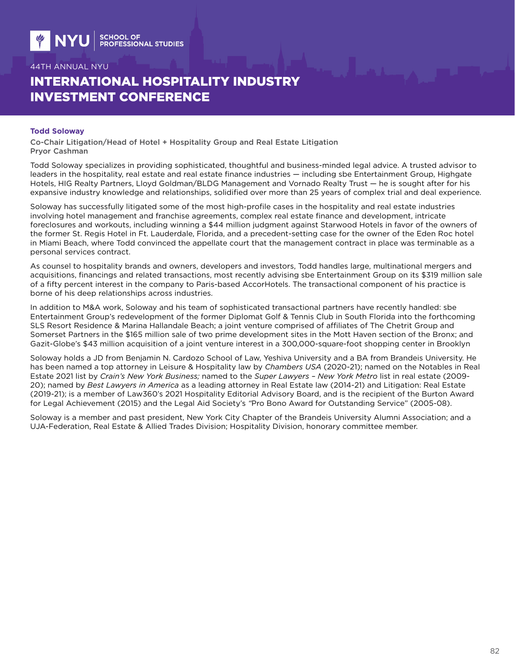# INTERNATIONAL HOSPITALITY INDUSTRY INVESTMENT CONFERENCE

#### **Todd Soloway**

Co-Chair Litigation/Head of Hotel + Hospitality Group and Real Estate Litigation Pryor Cashman

Todd Soloway specializes in providing sophisticated, thoughtful and business-minded legal advice. A trusted advisor to leaders in the hospitality, real estate and real estate finance industries — including sbe Entertainment Group, Highgate Hotels, HIG Realty Partners, Lloyd Goldman/BLDG Management and Vornado Realty Trust — he is sought after for his expansive industry knowledge and relationships, solidified over more than 25 years of complex trial and deal experience.

Soloway has successfully litigated some of the most high-profile cases in the hospitality and real estate industries involving hotel management and franchise agreements, complex real estate finance and development, intricate foreclosures and workouts, including winning a \$44 million judgment against Starwood Hotels in favor of the owners of the former St. Regis Hotel in Ft. Lauderdale, Florida, and a precedent-setting case for the owner of the Eden Roc hotel in Miami Beach, where Todd convinced the appellate court that the management contract in place was terminable as a personal services contract.

As counsel to hospitality brands and owners, developers and investors, Todd handles large, multinational mergers and acquisitions, financings and related transactions, most recently advising sbe Entertainment Group on its \$319 million sale of a fifty percent interest in the company to Paris-based AccorHotels. The transactional component of his practice is borne of his deep relationships across industries.

In addition to M&A work, Soloway and his team of sophisticated transactional partners have recently handled: sbe Entertainment Group's redevelopment of the former Diplomat Golf & Tennis Club in South Florida into the forthcoming SLS Resort Residence & Marina Hallandale Beach; a joint venture comprised of affiliates of The Chetrit Group and Somerset Partners in the \$165 million sale of two prime development sites in the Mott Haven section of the Bronx; and Gazit-Globe's \$43 million acquisition of a joint venture interest in a 300,000-square-foot shopping center in Brooklyn

Soloway holds a JD from Benjamin N. Cardozo School of Law, Yeshiva University and a BA from Brandeis University. He has been named a top attorney in Leisure & Hospitality law by *Chambers USA* (2020-21); named on the Notables in Real Estate 2021 list by *Crain's New York Business;* named to the *Super Lawyers – New York Metro* list in real estate (2009- 20); named by *Best Lawyers in America* as a leading attorney in Real Estate law (2014-21) and Litigation: Real Estate (2019-21); is a member of Law360's 2021 Hospitality Editorial Advisory Board, and is the recipient of the Burton Award for Legal Achievement (2015) and the Legal Aid Society's *"*Pro Bono Award for Outstanding Service" (2005-08).

Soloway is a member and past president, New York City Chapter of the Brandeis University Alumni Association; and a UJA-Federation, Real Estate & Allied Trades Division; Hospitality Division, honorary committee member.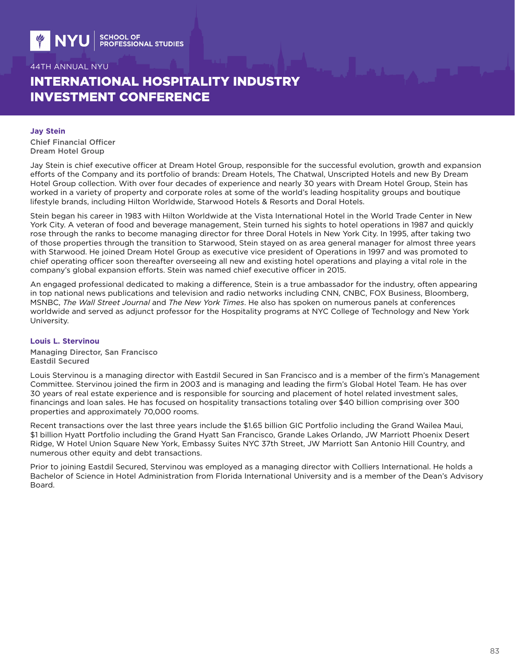# INTERNATIONAL HOSPITALITY INDUSTRY INVESTMENT CONFERENCE

#### **Jay Stein**

Chief Financial Officer Dream Hotel Group

Jay Stein is chief executive officer at Dream Hotel Group, responsible for the successful evolution, growth and expansion efforts of the Company and its portfolio of brands: Dream Hotels, The Chatwal, Unscripted Hotels and new By Dream Hotel Group collection. With over four decades of experience and nearly 30 years with Dream Hotel Group, Stein has worked in a variety of property and corporate roles at some of the world's leading hospitality groups and boutique lifestyle brands, including Hilton Worldwide, Starwood Hotels & Resorts and Doral Hotels.

Stein began his career in 1983 with Hilton Worldwide at the Vista International Hotel in the World Trade Center in New York City. A veteran of food and beverage management, Stein turned his sights to hotel operations in 1987 and quickly rose through the ranks to become managing director for three Doral Hotels in New York City. In 1995, after taking two of those properties through the transition to Starwood, Stein stayed on as area general manager for almost three years with Starwood. He joined Dream Hotel Group as executive vice president of Operations in 1997 and was promoted to chief operating officer soon thereafter overseeing all new and existing hotel operations and playing a vital role in the company's global expansion efforts. Stein was named chief executive officer in 2015.

An engaged professional dedicated to making a difference, Stein is a true ambassador for the industry, often appearing in top national news publications and television and radio networks including CNN, CNBC, FOX Business, Bloomberg, MSNBC, *The Wall Street Journal* and *The New York Times*. He also has spoken on numerous panels at conferences worldwide and served as adjunct professor for the Hospitality programs at NYC College of Technology and New York University.

#### **Louis L. Stervinou**

Managing Director, San Francisco Eastdil Secured

Louis Stervinou is a managing director with Eastdil Secured in San Francisco and is a member of the firm's Management Committee. Stervinou joined the firm in 2003 and is managing and leading the firm's Global Hotel Team. He has over 30 years of real estate experience and is responsible for sourcing and placement of hotel related investment sales, financings and loan sales. He has focused on hospitality transactions totaling over \$40 billion comprising over 300 properties and approximately 70,000 rooms.

Recent transactions over the last three years include the \$1.65 billion GIC Portfolio including the Grand Wailea Maui, \$1 billion Hyatt Portfolio including the Grand Hyatt San Francisco, Grande Lakes Orlando, JW Marriott Phoenix Desert Ridge, W Hotel Union Square New York, Embassy Suites NYC 37th Street, JW Marriott San Antonio Hill Country, and numerous other equity and debt transactions.

Prior to joining Eastdil Secured, Stervinou was employed as a managing director with Colliers International. He holds a Bachelor of Science in Hotel Administration from Florida International University and is a member of the Dean's Advisory Board.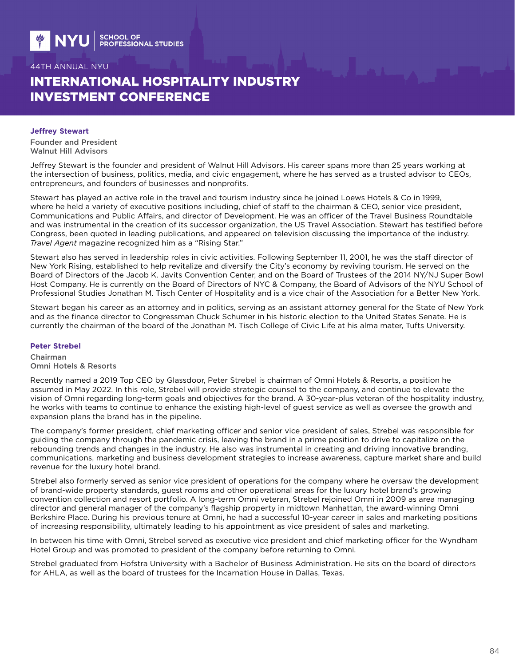# INTERNATIONAL HOSPITALITY INDUSTRY INVESTMENT CONFERENCE

#### **Jeffrey Stewart**

Founder and President Walnut Hill Advisors

Jeffrey Stewart is the founder and president of Walnut Hill Advisors. His career spans more than 25 years working at the intersection of business, politics, media, and civic engagement, where he has served as a trusted advisor to CEOs, entrepreneurs, and founders of businesses and nonprofits.

Stewart has played an active role in the travel and tourism industry since he joined Loews Hotels & Co in 1999, where he held a variety of executive positions including, chief of staff to the chairman & CEO, senior vice president, Communications and Public Affairs, and director of Development. He was an officer of the Travel Business Roundtable and was instrumental in the creation of its successor organization, the US Travel Association. Stewart has testified before Congress, been quoted in leading publications, and appeared on television discussing the importance of the industry. *Travel Agent* magazine recognized him as a "Rising Star."

Stewart also has served in leadership roles in civic activities. Following September 11, 2001, he was the staff director of New York Rising, established to help revitalize and diversify the City's economy by reviving tourism. He served on the Board of Directors of the Jacob K. Javits Convention Center, and on the Board of Trustees of the 2014 NY/NJ Super Bowl Host Company. He is currently on the Board of Directors of NYC & Company, the Board of Advisors of the NYU School of Professional Studies Jonathan M. Tisch Center of Hospitality and is a vice chair of the Association for a Better New York.

Stewart began his career as an attorney and in politics, serving as an assistant attorney general for the State of New York and as the finance director to Congressman Chuck Schumer in his historic election to the United States Senate. He is currently the chairman of the board of the Jonathan M. Tisch College of Civic Life at his alma mater, Tufts University.

#### **Peter Strebel**

Chairman Omni Hotels & Resorts

Recently named a 2019 Top CEO by Glassdoor, Peter Strebel is chairman of Omni Hotels & Resorts, a position he assumed in May 2022. In this role, Strebel will provide strategic counsel to the company, and continue to elevate the vision of Omni regarding long-term goals and objectives for the brand. A 30-year-plus veteran of the hospitality industry, he works with teams to continue to enhance the existing high-level of guest service as well as oversee the growth and expansion plans the brand has in the pipeline.

The company's former president, chief marketing officer and senior vice president of sales, Strebel was responsible for guiding the company through the pandemic crisis, leaving the brand in a prime position to drive to capitalize on the rebounding trends and changes in the industry. He also was instrumental in creating and driving innovative branding, communications, marketing and business development strategies to increase awareness, capture market share and build revenue for the luxury hotel brand.

Strebel also formerly served as senior vice president of operations for the company where he oversaw the development of brand-wide property standards, guest rooms and other operational areas for the luxury hotel brand's growing convention collection and resort portfolio. A long-term Omni veteran, Strebel rejoined Omni in 2009 as area managing director and general manager of the company's flagship property in midtown Manhattan, the award-winning Omni Berkshire Place. During his previous tenure at Omni, he had a successful 10-year career in sales and marketing positions of increasing responsibility, ultimately leading to his appointment as vice president of sales and marketing.

In between his time with Omni, Strebel served as executive vice president and chief marketing officer for the Wyndham Hotel Group and was promoted to president of the company before returning to Omni.

Strebel graduated from Hofstra University with a Bachelor of Business Administration. He sits on the board of directors for AHLA, as well as the board of trustees for the Incarnation House in Dallas, Texas.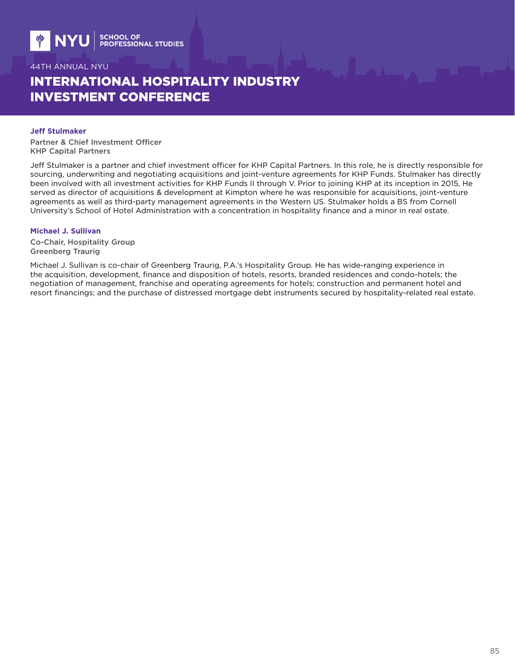# INTERNATIONAL HOSPITALITY INDUSTRY INVESTMENT CONFERENCE

#### **Jeff Stulmaker**

Partner & Chief Investment Officer KHP Capital Partners

Jeff Stulmaker is a partner and chief investment officer for KHP Capital Partners. In this role, he is directly responsible for sourcing, underwriting and negotiating acquisitions and joint-venture agreements for KHP Funds. Stulmaker has directly been involved with all investment activities for KHP Funds II through V. Prior to joining KHP at its inception in 2015, He served as director of acquisitions & development at Kimpton where he was responsible for acquisitions, joint-venture agreements as well as third-party management agreements in the Western US. Stulmaker holds a BS from Cornell University's School of Hotel Administration with a concentration in hospitality finance and a minor in real estate.

#### **Michael J. Sullivan**

Co-Chair, Hospitality Group Greenberg Traurig

Michael J. Sullivan is co-chair of Greenberg Traurig, P.A.'s Hospitality Group. He has wide-ranging experience in the acquisition, development, finance and disposition of hotels, resorts, branded residences and condo-hotels; the negotiation of management, franchise and operating agreements for hotels; construction and permanent hotel and resort financings; and the purchase of distressed mortgage debt instruments secured by hospitality-related real estate.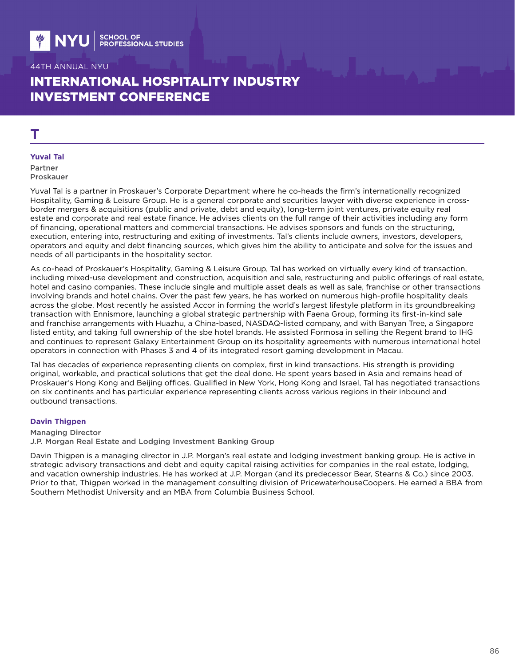# INTERNATIONAL HOSPITALITY INDUSTRY INVESTMENT CONFERENCE

# **T**

#### **Yuval Tal**

Partner Proskauer

Yuval Tal is a partner in Proskauer's Corporate Department where he co-heads the firm's internationally recognized Hospitality, Gaming & Leisure Group. He is a general corporate and securities lawyer with diverse experience in crossborder mergers & acquisitions (public and private, debt and equity), long-term joint ventures, private equity real estate and corporate and real estate finance. He advises clients on the full range of their activities including any form of financing, operational matters and commercial transactions. He advises sponsors and funds on the structuring, execution, entering into, restructuring and exiting of investments. Tal's clients include owners, investors, developers, operators and equity and debt financing sources, which gives him the ability to anticipate and solve for the issues and needs of all participants in the hospitality sector.

As co-head of Proskauer's Hospitality, Gaming & Leisure Group, Tal has worked on virtually every kind of transaction, including mixed-use development and construction, acquisition and sale, restructuring and public offerings of real estate, hotel and casino companies. These include single and multiple asset deals as well as sale, franchise or other transactions involving brands and hotel chains. Over the past few years, he has worked on numerous high-profile hospitality deals across the globe. Most recently he assisted Accor in forming the world's largest lifestyle platform in its groundbreaking transaction with Ennismore, launching a global strategic partnership with Faena Group, forming its first-in-kind sale and franchise arrangements with Huazhu, a China-based, NASDAQ-listed company, and with Banyan Tree, a Singapore listed entity, and taking full ownership of the sbe hotel brands. He assisted Formosa in selling the Regent brand to IHG and continues to represent Galaxy Entertainment Group on its hospitality agreements with numerous international hotel operators in connection with Phases 3 and 4 of its integrated resort gaming development in Macau.

Tal has decades of experience representing clients on complex, first in kind transactions. His strength is providing original, workable, and practical solutions that get the deal done. He spent years based in Asia and remains head of Proskauer's Hong Kong and Beijing offices. Qualified in New York, Hong Kong and Israel, Tal has negotiated transactions on six continents and has particular experience representing clients across various regions in their inbound and outbound transactions.

#### **Davin Thigpen**

Managing Director J.P. Morgan Real Estate and Lodging Investment Banking Group

Davin Thigpen is a managing director in J.P. Morgan's real estate and lodging investment banking group. He is active in strategic advisory transactions and debt and equity capital raising activities for companies in the real estate, lodging, and vacation ownership industries. He has worked at J.P. Morgan (and its predecessor Bear, Stearns & Co.) since 2003. Prior to that, Thigpen worked in the management consulting division of PricewaterhouseCoopers. He earned a BBA from Southern Methodist University and an MBA from Columbia Business School.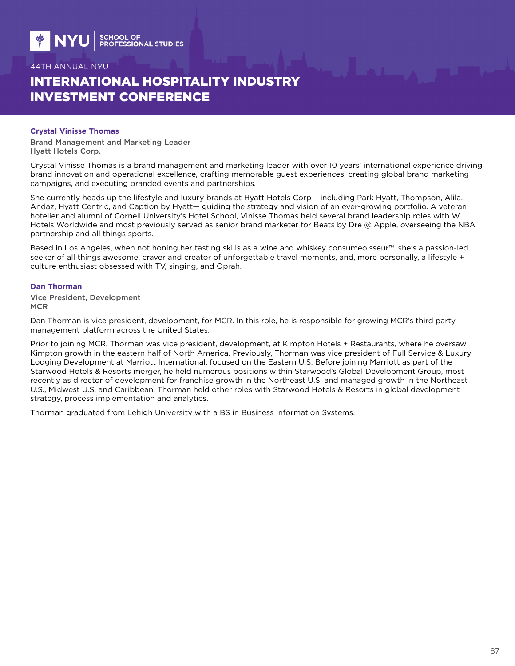# INTERNATIONAL HOSPITALITY INDUSTRY INVESTMENT CONFERENCE

#### **Crystal Vinisse Thomas**

Brand Management and Marketing Leader Hyatt Hotels Corp.

Crystal Vinisse Thomas is a brand management and marketing leader with over 10 years' international experience driving brand innovation and operational excellence, crafting memorable guest experiences, creating global brand marketing campaigns, and executing branded events and partnerships.

She currently heads up the lifestyle and luxury brands at Hyatt Hotels Corp— including Park Hyatt, Thompson, Alila, Andaz, Hyatt Centric, and Caption by Hyatt— guiding the strategy and vision of an ever-growing portfolio. A veteran hotelier and alumni of Cornell University's Hotel School, Vinisse Thomas held several brand leadership roles with W Hotels Worldwide and most previously served as senior brand marketer for Beats by Dre @ Apple, overseeing the NBA partnership and all things sports.

Based in Los Angeles, when not honing her tasting skills as a wine and whiskey consumeoisseur™, she's a passion-led seeker of all things awesome, craver and creator of unforgettable travel moments, and, more personally, a lifestyle + culture enthusiast obsessed with TV, singing, and Oprah.

#### **Dan Thorman**

Vice President, Development **MCR** 

Dan Thorman is vice president, development, for MCR. In this role, he is responsible for growing MCR's third party management platform across the United States.

Prior to joining MCR, Thorman was vice president, development, at Kimpton Hotels + Restaurants, where he oversaw Kimpton growth in the eastern half of North America. Previously, Thorman was vice president of Full Service & Luxury Lodging Development at Marriott International, focused on the Eastern U.S. Before joining Marriott as part of the Starwood Hotels & Resorts merger, he held numerous positions within Starwood's Global Development Group, most recently as director of development for franchise growth in the Northeast U.S. and managed growth in the Northeast U.S., Midwest U.S. and Caribbean. Thorman held other roles with Starwood Hotels & Resorts in global development strategy, process implementation and analytics.

Thorman graduated from Lehigh University with a BS in Business Information Systems.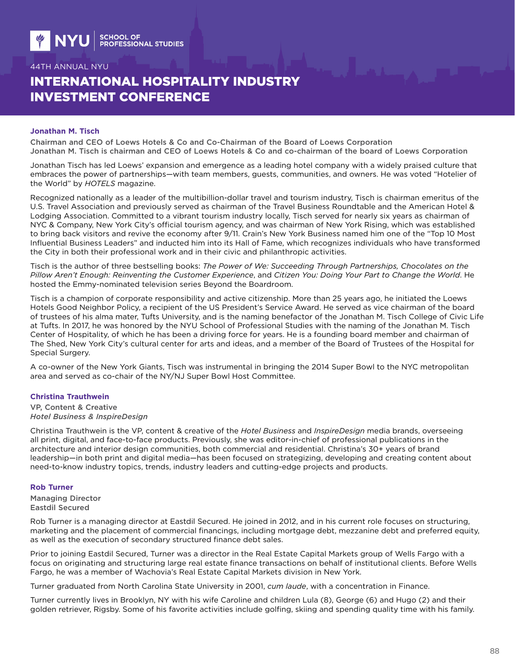# INTERNATIONAL HOSPITALITY INDUSTRY INVESTMENT CONFERENCE

#### **Jonathan M. Tisch**

Chairman and CEO of Loews Hotels & Co and Co-Chairman of the Board of Loews Corporation Jonathan M. Tisch is chairman and CEO of Loews Hotels & Co and co-chairman of the board of Loews Corporation

Jonathan Tisch has led Loews' expansion and emergence as a leading hotel company with a widely praised culture that embraces the power of partnerships—with team members, guests, communities, and owners. He was voted "Hotelier of the World" by *HOTELS* magazine.

Recognized nationally as a leader of the multibillion-dollar travel and tourism industry, Tisch is chairman emeritus of the U.S. Travel Association and previously served as chairman of the Travel Business Roundtable and the American Hotel & Lodging Association. Committed to a vibrant tourism industry locally, Tisch served for nearly six years as chairman of NYC & Company, New York City's official tourism agency, and was chairman of New York Rising, which was established to bring back visitors and revive the economy after 9/11. Crain's New York Business named him one of the "Top 10 Most Influential Business Leaders" and inducted him into its Hall of Fame, which recognizes individuals who have transformed the City in both their professional work and in their civic and philanthropic activities.

Tisch is the author of three bestselling books: *The Power of We: Succeeding Through Partnerships, Chocolates on the Pillow Aren't Enough: Reinventing the Customer Experience*, and *Citizen You: Doing Your Part to Change the World*. He hosted the Emmy-nominated television series Beyond the Boardroom.

Tisch is a champion of corporate responsibility and active citizenship. More than 25 years ago, he initiated the Loews Hotels Good Neighbor Policy, a recipient of the US President's Service Award. He served as vice chairman of the board of trustees of his alma mater, Tufts University, and is the naming benefactor of the Jonathan M. Tisch College of Civic Life at Tufts. In 2017, he was honored by the NYU School of Professional Studies with the naming of the Jonathan M. Tisch Center of Hospitality, of which he has been a driving force for years. He is a founding board member and chairman of The Shed, New York City's cultural center for arts and ideas, and a member of the Board of Trustees of the Hospital for Special Surgery.

A co-owner of the New York Giants, Tisch was instrumental in bringing the 2014 Super Bowl to the NYC metropolitan area and served as co-chair of the NY/NJ Super Bowl Host Committee.

### **Christina Trauthwein**

VP, Content & Creative *Hotel Business & InspireDesign*

Christina Trauthwein is the VP, content & creative of the *Hotel Business* and *InspireDesign* media brands, overseeing all print, digital, and face-to-face products. Previously, she was editor-in-chief of professional publications in the architecture and interior design communities, both commercial and residential. Christina's 30+ years of brand leadership—in both print and digital media—has been focused on strategizing, developing and creating content about need-to-know industry topics, trends, industry leaders and cutting-edge projects and products.

#### **Rob Turner**

Managing Director Eastdil Secured

Rob Turner is a managing director at Eastdil Secured. He joined in 2012, and in his current role focuses on structuring, marketing and the placement of commercial financings, including mortgage debt, mezzanine debt and preferred equity, as well as the execution of secondary structured finance debt sales.

Prior to joining Eastdil Secured, Turner was a director in the Real Estate Capital Markets group of Wells Fargo with a focus on originating and structuring large real estate finance transactions on behalf of institutional clients. Before Wells Fargo, he was a member of Wachovia's Real Estate Capital Markets division in New York.

Turner graduated from North Carolina State University in 2001, *cum laude*, with a concentration in Finance.

Turner currently lives in Brooklyn, NY with his wife Caroline and children Lula (8), George (6) and Hugo (2) and their golden retriever, Rigsby. Some of his favorite activities include golfing, skiing and spending quality time with his family.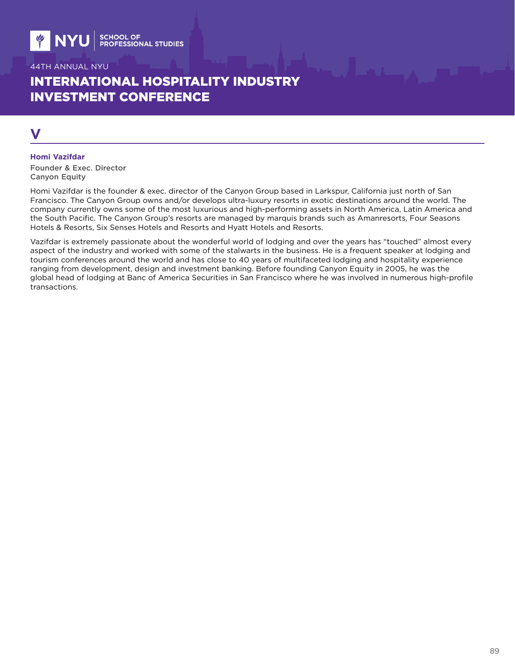# INTERNATIONAL HOSPITALITY INDUSTRY INVESTMENT CONFERENCE

# **V**

#### **Homi Vazifdar**

Founder & Exec. Director Canyon Equity

Homi Vazifdar is the founder & exec. director of the Canyon Group based in Larkspur, California just north of San Francisco. The Canyon Group owns and/or develops ultra-luxury resorts in exotic destinations around the world. The company currently owns some of the most luxurious and high-performing assets in North America, Latin America and the South Pacific. The Canyon Group's resorts are managed by marquis brands such as Amanresorts, Four Seasons Hotels & Resorts, Six Senses Hotels and Resorts and Hyatt Hotels and Resorts.

Vazifdar is extremely passionate about the wonderful world of lodging and over the years has "touched" almost every aspect of the industry and worked with some of the stalwarts in the business. He is a frequent speaker at lodging and tourism conferences around the world and has close to 40 years of multifaceted lodging and hospitality experience ranging from development, design and investment banking. Before founding Canyon Equity in 2005, he was the global head of lodging at Banc of America Securities in San Francisco where he was involved in numerous high-profile transactions.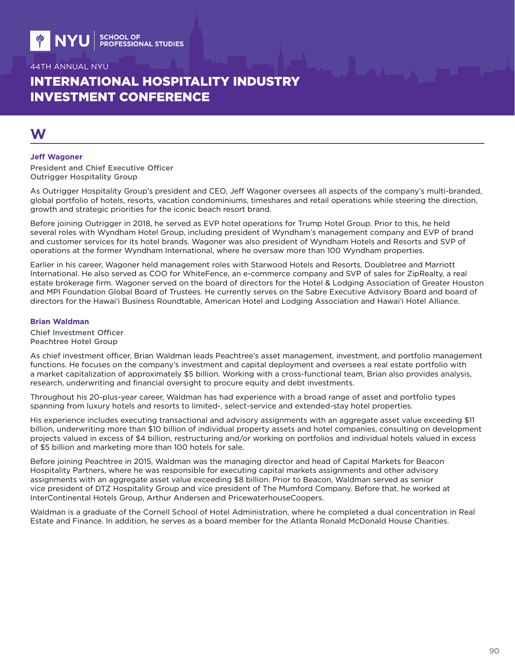# INTERNATIONAL HOSPITALITY INDUSTRY INVESTMENT CONFERENCE

# **W**

#### **Jeff Wagoner**

President and Chief Executive Officer Outrigger Hospitality Group

As Outrigger Hospitality Group's president and CEO, Jeff Wagoner oversees all aspects of the company's multi-branded, global portfolio of hotels, resorts, vacation condominiums, timeshares and retail operations while steering the direction, growth and strategic priorities for the iconic beach resort brand.

Before joining Outrigger in 2018, he served as EVP hotel operations for Trump Hotel Group. Prior to this, he held several roles with Wyndham Hotel Group, including president of Wyndham's management company and EVP of brand and customer services for its hotel brands. Wagoner was also president of Wyndham Hotels and Resorts and SVP of operations at the former Wyndham International, where he oversaw more than 100 Wyndham properties.

Earlier in his career, Wagoner held management roles with Starwood Hotels and Resorts, Doubletree and Marriott International. He also served as COO for WhiteFence, an e-commerce company and SVP of sales for ZipRealty, a real estate brokerage firm. Wagoner served on the board of directors for the Hotel & Lodging Association of Greater Houston and MPI Foundation Global Board of Trustees. He currently serves on the Sabre Executive Advisory Board and board of directors for the Hawai'i Business Roundtable, American Hotel and Lodging Association and Hawai'i Hotel Alliance.

#### **Brian Waldman**

Chief Investment Officer Peachtree Hotel Group

As chief investment officer, Brian Waldman leads Peachtree's asset management, investment, and portfolio management functions. He focuses on the company's investment and capital deployment and oversees a real estate portfolio with a market capitalization of approximately \$5 billion. Working with a cross-functional team, Brian also provides analysis, research, underwriting and financial oversight to procure equity and debt investments.

Throughout his 20-plus-year career, Waldman has had experience with a broad range of asset and portfolio types spanning from luxury hotels and resorts to limited-, select-service and extended-stay hotel properties.

His experience includes executing transactional and advisory assignments with an aggregate asset value exceeding \$11 billion, underwriting more than \$10 billion of individual property assets and hotel companies, consulting on development projects valued in excess of \$4 billion, restructuring and/or working on portfolios and individual hotels valued in excess of \$5 billion and marketing more than 100 hotels for sale.

Before joining Peachtree in 2015, Waldman was the managing director and head of Capital Markets for Beacon Hospitality Partners, where he was responsible for executing capital markets assignments and other advisory assignments with an aggregate asset value exceeding \$8 billion. Prior to Beacon, Waldman served as senior vice president of DTZ Hospitality Group and vice president of The Mumford Company. Before that, he worked at InterContinental Hotels Group, Arthur Andersen and PricewaterhouseCoopers.

Waldman is a graduate of the Cornell School of Hotel Administration, where he completed a dual concentration in Real Estate and Finance. In addition, he serves as a board member for the Atlanta Ronald McDonald House Charities.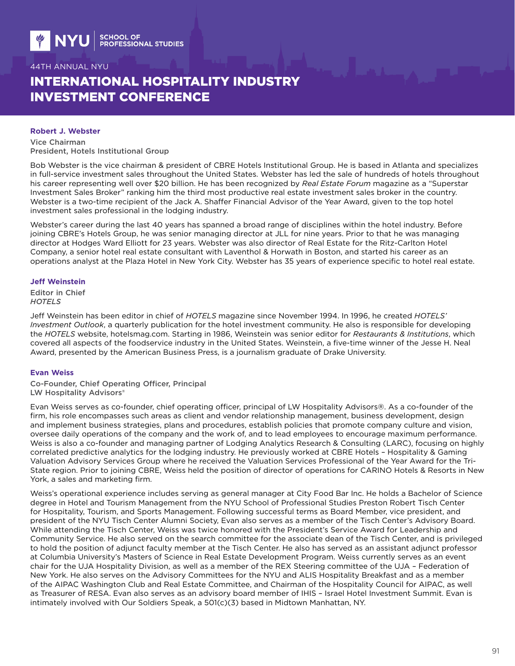# INTERNATIONAL HOSPITALITY INDUSTRY INVESTMENT CONFERENCE

#### **Robert J. Webster**

Vice Chairman President, Hotels Institutional Group

Bob Webster is the vice chairman & president of CBRE Hotels Institutional Group. He is based in Atlanta and specializes in full-service investment sales throughout the United States. Webster has led the sale of hundreds of hotels throughout his career representing well over \$20 billion. He has been recognized by *Real Estate Forum* magazine as a "Superstar Investment Sales Broker" ranking him the third most productive real estate investment sales broker in the country. Webster is a two-time recipient of the Jack A. Shaffer Financial Advisor of the Year Award, given to the top hotel investment sales professional in the lodging industry.

Webster's career during the last 40 years has spanned a broad range of disciplines within the hotel industry. Before joining CBRE's Hotels Group, he was senior managing director at JLL for nine years. Prior to that he was managing director at Hodges Ward Elliott for 23 years. Webster was also director of Real Estate for the Ritz-Carlton Hotel Company, a senior hotel real estate consultant with Laventhol & Horwath in Boston, and started his career as an operations analyst at the Plaza Hotel in New York City. Webster has 35 years of experience specific to hotel real estate.

#### **Jeff Weinstein**

Editor in Chief *HOTELS*

Jeff Weinstein has been editor in chief of *HOTELS* magazine since November 1994. In 1996, he created *HOTELS' Investment Outlook*, a quarterly publication for the hotel investment community. He also is responsible for developing the *HOTELS* website, hotelsmag.com. Starting in 1986, Weinstein was senior editor for *Restaurants & Institutions*, which covered all aspects of the foodservice industry in the United States. Weinstein, a five-time winner of the Jesse H. Neal Award, presented by the American Business Press, is a journalism graduate of Drake University.

#### **Evan Weiss**

Co-Founder, Chief Operating Officer, Principal LW Hospitality Advisors®

Evan Weiss serves as co-founder, chief operating officer, principal of LW Hospitality Advisors®. As a co-founder of the firm, his role encompasses such areas as client and vendor relationship management, business development, design and implement business strategies, plans and procedures, establish policies that promote company culture and vision, oversee daily operations of the company and the work of, and to lead employees to encourage maximum performance. Weiss is also a co-founder and managing partner of Lodging Analytics Research & Consulting (LARC), focusing on highly correlated predictive analytics for the lodging industry. He previously worked at CBRE Hotels – Hospitality & Gaming Valuation Advisory Services Group where he received the Valuation Services Professional of the Year Award for the Tri-State region. Prior to joining CBRE, Weiss held the position of director of operations for CARINO Hotels & Resorts in New York, a sales and marketing firm.

Weiss's operational experience includes serving as general manager at City Food Bar Inc. He holds a Bachelor of Science degree in Hotel and Tourism Management from the NYU School of Professional Studies Preston Robert Tisch Center for Hospitality, Tourism, and Sports Management. Following successful terms as Board Member, vice president, and president of the NYU Tisch Center Alumni Society, Evan also serves as a member of the Tisch Center's Advisory Board. While attending the Tisch Center, Weiss was twice honored with the President's Service Award for Leadership and Community Service. He also served on the search committee for the associate dean of the Tisch Center, and is privileged to hold the position of adjunct faculty member at the Tisch Center. He also has served as an assistant adjunct professor at Columbia University's Masters of Science in Real Estate Development Program. Weiss currently serves as an event chair for the UJA Hospitality Division, as well as a member of the REX Steering committee of the UJA – Federation of New York. He also serves on the Advisory Committees for the NYU and ALIS Hospitality Breakfast and as a member of the AIPAC Washington Club and Real Estate Committee, and Chairman of the Hospitality Council for AIPAC, as well as Treasurer of RESA. Evan also serves as an advisory board member of IHIS – Israel Hotel Investment Summit. Evan is intimately involved with Our Soldiers Speak, a 501(c)(3) based in Midtown Manhattan, NY.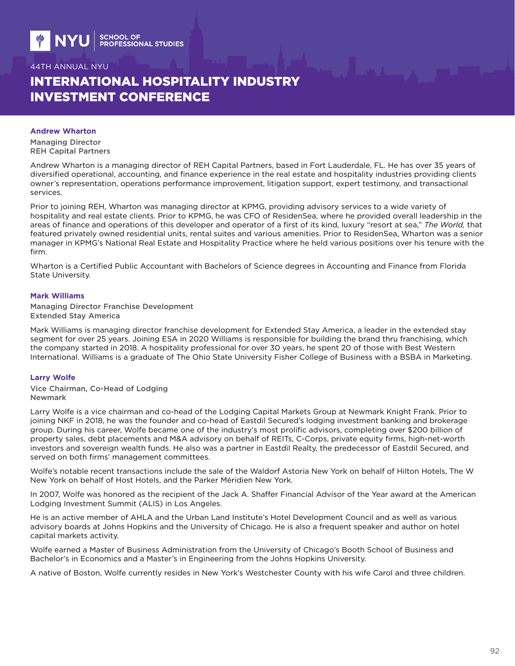# INTERNATIONAL HOSPITALITY INDUSTRY INVESTMENT CONFERENCE

#### **Andrew Wharton**

Managing Director REH Capital Partners

Andrew Wharton is a managing director of REH Capital Partners, based in Fort Lauderdale, FL. He has over 35 years of diversified operational, accounting, and finance experience in the real estate and hospitality industries providing clients owner's representation, operations performance improvement, litigation support, expert testimony, and transactional services.

Prior to joining REH, Wharton was managing director at KPMG, providing advisory services to a wide variety of hospitality and real estate clients. Prior to KPMG, he was CFO of ResidenSea, where he provided overall leadership in the areas of finance and operations of this developer and operator of a first of its kind, luxury "resort at sea," *The World,* that featured privately owned residential units, rental suites and various amenities. Prior to ResidenSea, Wharton was a senior manager in KPMG's National Real Estate and Hospitality Practice where he held various positions over his tenure with the firm.

Wharton is a Certified Public Accountant with Bachelors of Science degrees in Accounting and Finance from Florida State University.

#### **Mark Williams**

Managing Director Franchise Development Extended Stay America

Mark Williams is managing director franchise development for Extended Stay America, a leader in the extended stay segment for over 25 years. Joining ESA in 2020 Williams is responsible for building the brand thru franchising, which the company started in 2018. A hospitality professional for over 30 years, he spent 20 of those with Best Western International. Williams is a graduate of The Ohio State University Fisher College of Business with a BSBA in Marketing.

#### **Larry Wolfe**

Vice Chairman, Co-Head of Lodging Newmark

Larry Wolfe is a vice chairman and co-head of the Lodging Capital Markets Group at Newmark Knight Frank. Prior to joining NKF in 2018, he was the founder and co-head of Eastdil Secured's lodging investment banking and brokerage group. During his career, Wolfe became one of the industry's most prolific advisors, completing over \$200 billion of property sales, debt placements and M&A advisory on behalf of REITs, C-Corps, private equity firms, high-net-worth investors and sovereign wealth funds. He also was a partner in Eastdil Realty, the predecessor of Eastdil Secured, and served on both firms' management committees.

Wolfe's notable recent transactions include the sale of the Waldorf Astoria New York on behalf of Hilton Hotels, The W New York on behalf of Host Hotels, and the Parker Méridien New York.

In 2007, Wolfe was honored as the recipient of the Jack A. Shaffer Financial Advisor of the Year award at the American Lodging Investment Summit (ALIS) in Los Angeles.

He is an active member of AHLA and the Urban Land Institute's Hotel Development Council and as well as various advisory boards at Johns Hopkins and the University of Chicago. He is also a frequent speaker and author on hotel capital markets activity.

Wolfe earned a Master of Business Administration from the University of Chicago's Booth School of Business and Bachelor's in Economics and a Master's in Engineering from the Johns Hopkins University.

A native of Boston, Wolfe currently resides in New York's Westchester County with his wife Carol and three children.